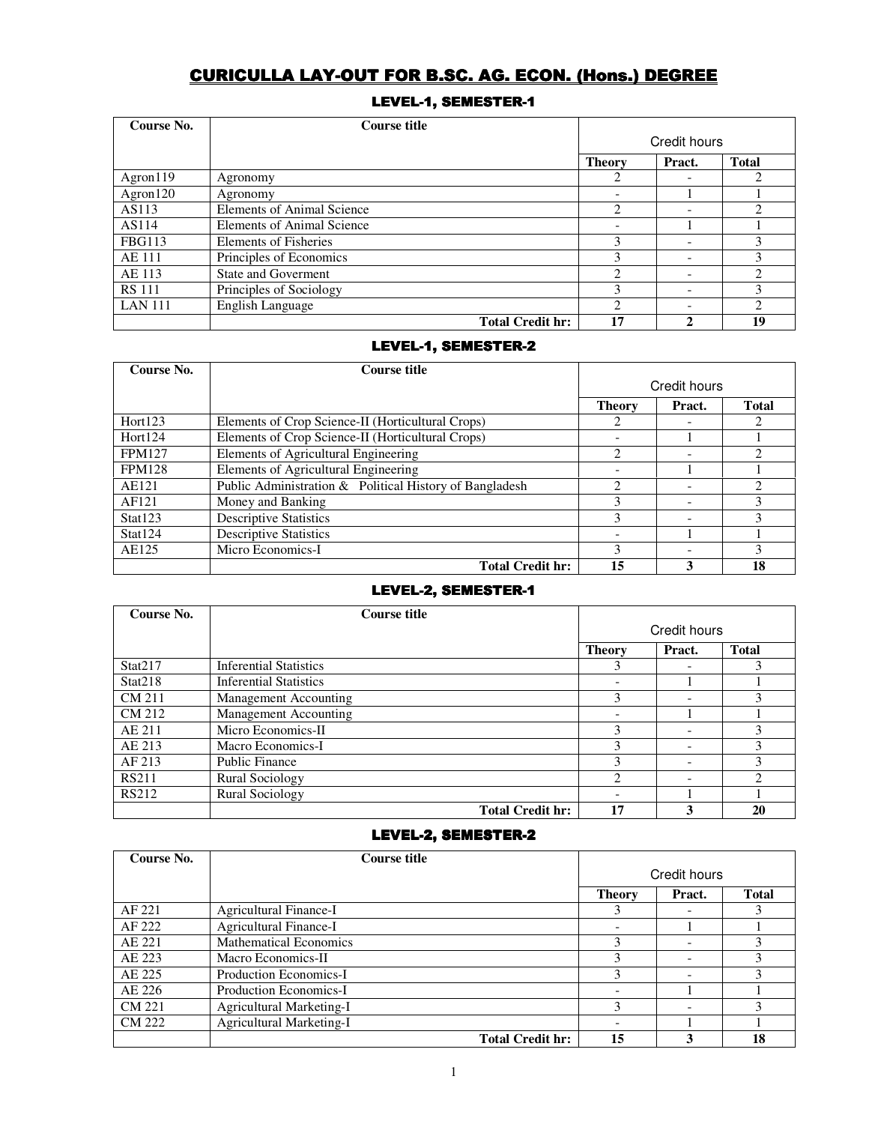# CURICULLA LAY-OUT FOR B.SC. AG. ECON. (Hons.) DEGREE

# LEVEL-1, SEMESTER-1

| Course No.     | <b>Course title</b>               |                |                          |              |
|----------------|-----------------------------------|----------------|--------------------------|--------------|
|                |                                   | Credit hours   |                          |              |
|                |                                   | <b>Theory</b>  | Pract.                   | <b>Total</b> |
| $A$ gron $119$ | Agronomy                          | ∍              |                          |              |
| Agron $120$    | Agronomy                          |                |                          |              |
| AS113          | <b>Elements of Animal Science</b> | 2              |                          |              |
| AS114          | Elements of Animal Science        | -              |                          |              |
| <b>FBG113</b>  | <b>Elements of Fisheries</b>      | 3              | $\overline{\phantom{0}}$ |              |
| <b>AE 111</b>  | Principles of Economics           | 3              |                          |              |
| AE 113         | State and Goverment               | 2              | $\overline{\phantom{0}}$ | 2            |
| <b>RS</b> 111  | Principles of Sociology           |                | $\overline{\phantom{a}}$ |              |
| <b>LAN 111</b> | English Language                  | $\mathfrak{D}$ |                          | ↑            |
|                | <b>Total Credit hr:</b>           | 17             |                          | 19           |

# LEVEL-1, SEMESTER-2

| Course No.    | Course title                                            |                             |        |              |
|---------------|---------------------------------------------------------|-----------------------------|--------|--------------|
|               |                                                         | Credit hours                |        |              |
|               |                                                         | <b>Theory</b>               | Pract. | <b>Total</b> |
| Hort123       | Elements of Crop Science-II (Horticultural Crops)       |                             |        |              |
| Hort124       | Elements of Crop Science-II (Horticultural Crops)       |                             |        |              |
| <b>FPM127</b> | Elements of Agricultural Engineering                    | 2                           |        |              |
| <b>FPM128</b> | Elements of Agricultural Engineering                    |                             |        |              |
| AE121         | Public Administration & Political History of Bangladesh | $\mathcal{D}_{\mathcal{L}}$ |        |              |
| AF121         | Money and Banking                                       | 3                           |        | 3            |
| Stat123       | <b>Descriptive Statistics</b>                           | 3                           |        | 3            |
| Stat124       | <b>Descriptive Statistics</b>                           |                             |        |              |
| AE125         | Micro Economics-I                                       | κ                           |        |              |
|               | <b>Total Credit hr:</b>                                 | 15                          | 3      | 18           |

# LEVEL-2, SEMESTER-1

| Course No.   | Course title                  |               |                          |              |
|--------------|-------------------------------|---------------|--------------------------|--------------|
|              |                               |               | Credit hours             |              |
|              |                               | <b>Theory</b> | Pract.                   | <b>Total</b> |
| Stat217      | <b>Inferential Statistics</b> | 3             |                          |              |
| Stat218      | <b>Inferential Statistics</b> |               |                          |              |
| CM 211       | Management Accounting         | 3             |                          |              |
| CM 212       | Management Accounting         |               |                          |              |
| AE 211       | Micro Economics-II            | 3             | $\overline{\phantom{a}}$ |              |
| AE 213       | Macro Economics-I             | 3             | $\overline{\phantom{a}}$ | 3            |
| AF 213       | Public Finance                | 3             | $\overline{\phantom{a}}$ |              |
| <b>RS211</b> | Rural Sociology               | 2             |                          |              |
| RS212        | <b>Rural Sociology</b>        |               |                          |              |
|              | <b>Total Credit hr:</b>       | 17            | 3                        | 20           |

# LEVEL-2, SEMESTER-2

| Course No.    | Course title                  |               |              |              |
|---------------|-------------------------------|---------------|--------------|--------------|
|               |                               |               | Credit hours |              |
|               |                               | <b>Theory</b> | Pract.       | <b>Total</b> |
| AF 221        | <b>Agricultural Finance-I</b> |               |              |              |
| AF 222        | Agricultural Finance-I        |               |              |              |
| AE 221        | <b>Mathematical Economics</b> | 3             |              |              |
| AE 223        | Macro Economics-II            |               |              |              |
| AE 225        | Production Economics-I        | 3             |              |              |
| AE 226        | Production Economics-I        |               |              |              |
| <b>CM 221</b> | Agricultural Marketing-I      | 3             |              |              |
| <b>CM 222</b> | Agricultural Marketing-I      |               |              |              |
|               | <b>Total Credit hr:</b>       | 15            |              | 18           |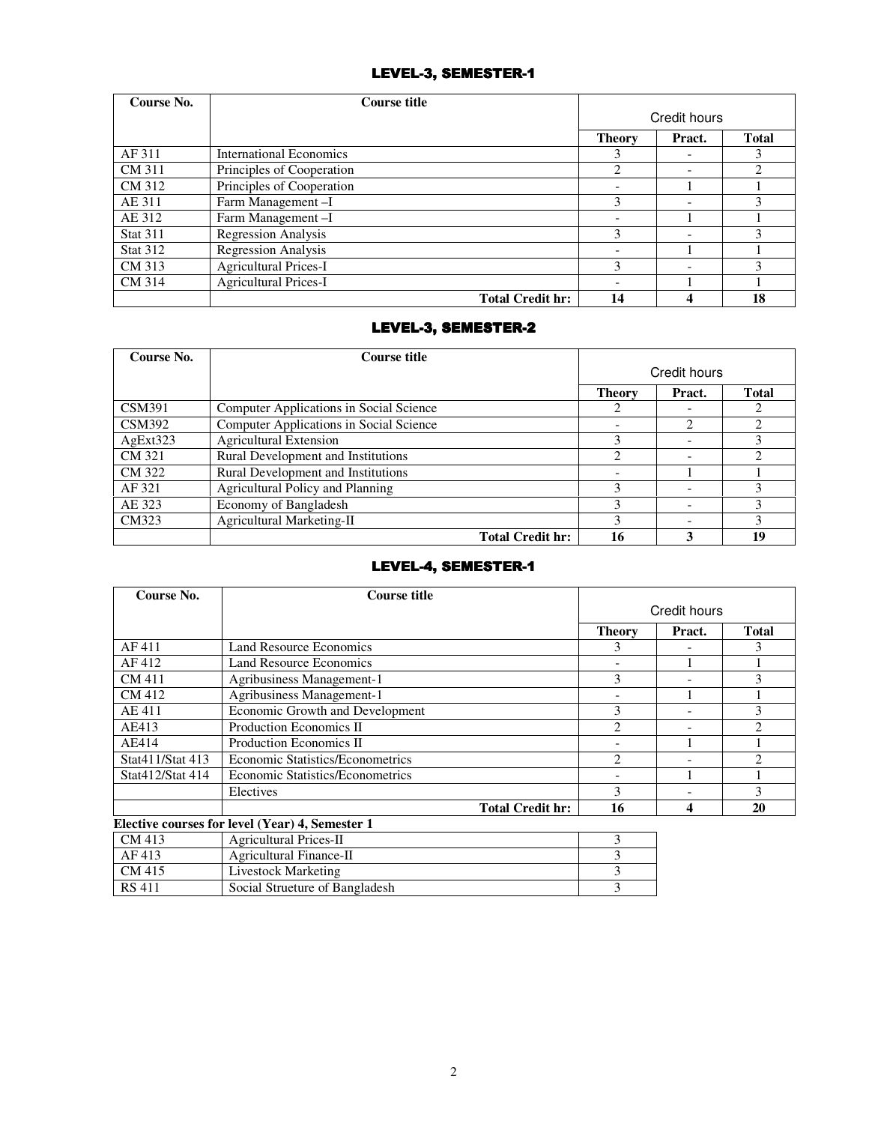# LEVEL-3, SEMESTER-1

| Course No.      | <b>Course title</b>            |                          |                          |              |
|-----------------|--------------------------------|--------------------------|--------------------------|--------------|
|                 |                                | Credit hours             |                          |              |
|                 |                                | <b>Theory</b>            | Pract.                   | <b>Total</b> |
| AF 311          | <b>International Economics</b> |                          |                          |              |
| CM 311          | Principles of Cooperation      | 2                        | $\overline{\phantom{0}}$ | 2            |
| CM 312          | Principles of Cooperation      |                          |                          |              |
| AE 311          | Farm Management-I              | 3                        | $\overline{\phantom{0}}$ |              |
| AE 312          | Farm Management-I              |                          |                          |              |
| <b>Stat 311</b> | Regression Analysis            | 3                        |                          |              |
| <b>Stat 312</b> | <b>Regression Analysis</b>     | $\overline{\phantom{0}}$ |                          |              |
| CM 313          | <b>Agricultural Prices-I</b>   | 3                        |                          |              |
| CM 314          | <b>Agricultural Prices-I</b>   |                          |                          |              |
|                 | <b>Total Credit hr:</b>        | 14                       |                          | 18           |

# LEVEL-3, SEMESTER-2

| Course No.    | <b>Course title</b>                     |               |        |              |
|---------------|-----------------------------------------|---------------|--------|--------------|
|               |                                         | Credit hours  |        |              |
|               |                                         | <b>Theory</b> | Pract. | <b>Total</b> |
| <b>CSM391</b> | Computer Applications in Social Science |               |        |              |
| <b>CSM392</b> | Computer Applications in Social Science |               | 2      |              |
| AgExt323      | <b>Agricultural Extension</b>           | 3             |        |              |
| CM 321        | Rural Development and Institutions      |               |        |              |
| CM 322        | Rural Development and Institutions      |               |        |              |
| AF 321        | Agricultural Policy and Planning        | 3             |        |              |
| AE 323        | Economy of Bangladesh                   | 3             |        | 3            |
| CM323         | Agricultural Marketing-II               | 3             |        |              |
|               | <b>Total Credit hr:</b>                 | 16            |        |              |

## LEVEL-4, SEMESTER-1

| Course No.       | <b>Course title</b>                             |                |        |                |
|------------------|-------------------------------------------------|----------------|--------|----------------|
|                  |                                                 | Credit hours   |        |                |
|                  |                                                 | <b>Theory</b>  | Pract. | <b>Total</b>   |
| AF 411           | <b>Land Resource Economics</b>                  | 3              |        | 3              |
| AF 412           | Land Resource Economics                         |                |        |                |
| CM 411           | Agribusiness Management-1                       | 3              |        | 3              |
| CM 412           | <b>Agribusiness Management-1</b>                | ۰              |        |                |
| AE 411           | Economic Growth and Development                 | 3              |        | 3              |
| AE413            | Production Economics II                         | $\overline{2}$ |        | 2              |
| AE414            | Production Economics II                         |                |        |                |
| Stat411/Stat 413 | <b>Economic Statistics/Econometrics</b>         | $\mathfrak{D}$ |        | $\mathfrak{D}$ |
| Stat412/Stat 414 | <b>Economic Statistics/Econometrics</b>         |                |        |                |
|                  | Electives                                       | 3              |        | 3              |
|                  | <b>Total Credit hr:</b>                         | 16             | 4      | 20             |
|                  | Elective courses for level (Year) 4, Semester 1 |                |        |                |
| CM 413           | <b>Agricultural Prices-II</b>                   | $\mathcal{F}$  |        |                |
| AF 413           | Agricultural Finance-II                         | 3              |        |                |
| CM 415           | <b>Livestock Marketing</b>                      | 3              |        |                |
| <b>RS</b> 411    | Social Structure of Bangladesh                  | 3              |        |                |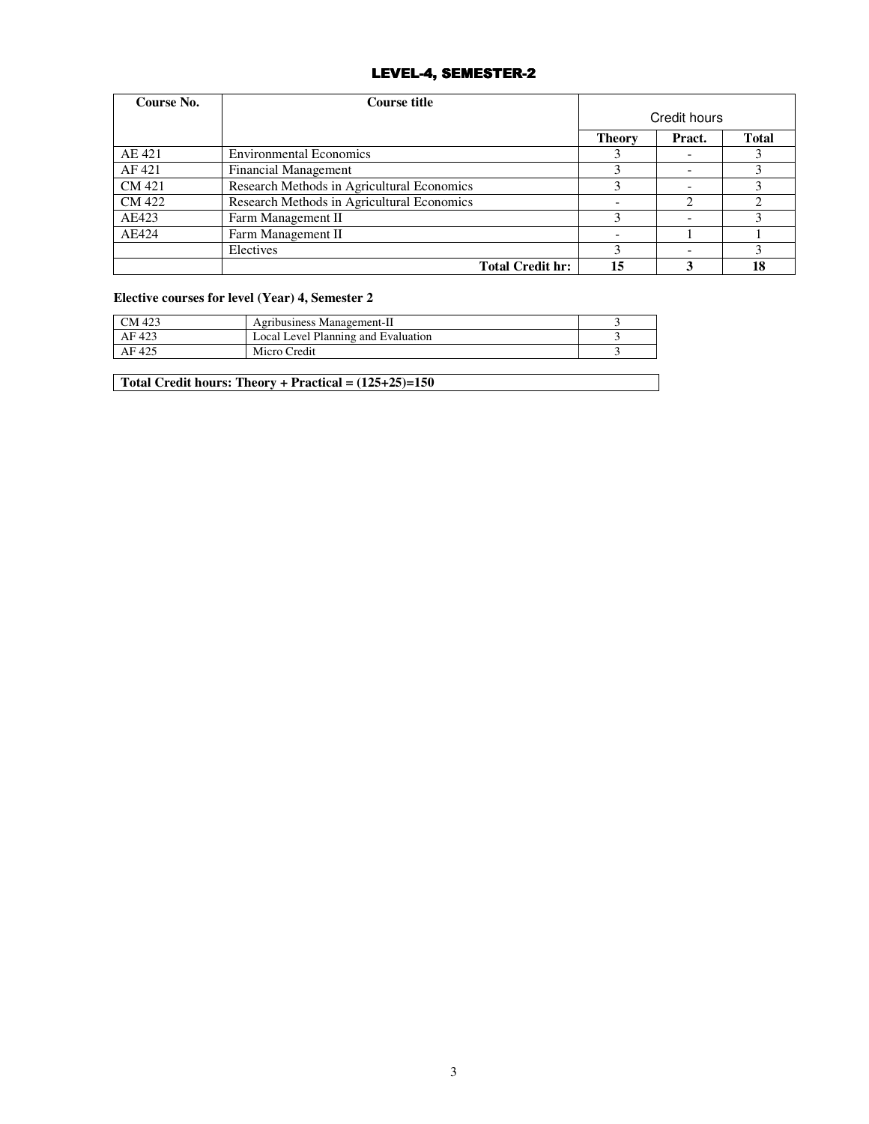## LEVEL-4, SEMESTER-2

| Course No. | <b>Course title</b>                        |               |              |              |
|------------|--------------------------------------------|---------------|--------------|--------------|
|            |                                            |               | Credit hours |              |
|            |                                            | <b>Theory</b> | Pract.       | <b>Total</b> |
| AE 421     | <b>Environmental Economics</b>             |               |              |              |
| AF 421     | <b>Financial Management</b>                |               |              |              |
| CM 421     | Research Methods in Agricultural Economics |               |              |              |
| CM 422     | Research Methods in Agricultural Economics |               | 2            |              |
| AE423      | Farm Management II                         | 3             |              |              |
| AE424      | Farm Management II                         |               |              |              |
|            | Electives                                  |               |              |              |
|            | <b>Total Credit hr:</b>                    | 15            |              | 18           |

## **Elective courses for level (Year) 4, Semester 2**

| CM 423 | Agribusiness Management-II          |  |
|--------|-------------------------------------|--|
| AF 423 | Local Level Planning and Evaluation |  |
| AF 425 | Micro Credit                        |  |

**Total Credit hours: Theory + Practical = (125+25)=150**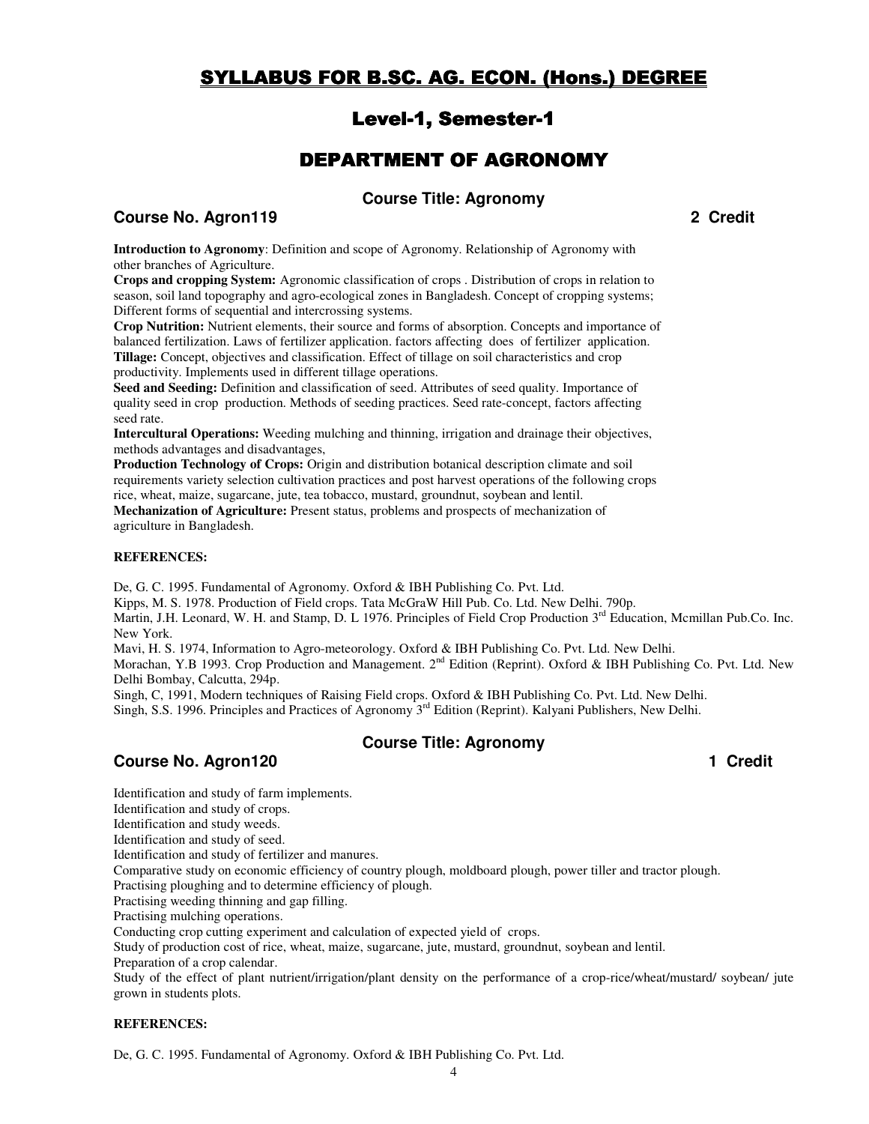# SYLLABUS FOR B.SC. AG. ECON. (Hons.) DEGREE

# Level-1, Semester-1

# DEPARTMENT OF AGRONOMY

# **Course Title: Agronomy**

# **Course No. Agron119 2 Credit 2 Credit 2 Credit 2 Credit**

**Introduction to Agronomy**: Definition and scope of Agronomy. Relationship of Agronomy with other branches of Agriculture.

**Crops and cropping System:** Agronomic classification of crops . Distribution of crops in relation to season, soil land topography and agro-ecological zones in Bangladesh. Concept of cropping systems; Different forms of sequential and intercrossing systems.

**Crop Nutrition:** Nutrient elements, their source and forms of absorption. Concepts and importance of balanced fertilization. Laws of fertilizer application. factors affecting does of fertilizer application. **Tillage:** Concept, objectives and classification. Effect of tillage on soil characteristics and crop productivity. Implements used in different tillage operations.

**Seed and Seeding:** Definition and classification of seed. Attributes of seed quality. Importance of quality seed in crop production. Methods of seeding practices. Seed rate-concept, factors affecting seed rate.

**Intercultural Operations:** Weeding mulching and thinning, irrigation and drainage their objectives, methods advantages and disadvantages,

**Production Technology of Crops:** Origin and distribution botanical description climate and soil requirements variety selection cultivation practices and post harvest operations of the following crops rice, wheat, maize, sugarcane, jute, tea tobacco, mustard, groundnut, soybean and lentil. **Mechanization of Agriculture:** Present status, problems and prospects of mechanization of

agriculture in Bangladesh.

#### **REFERENCES:**

De, G. C. 1995. Fundamental of Agronomy. Oxford & IBH Publishing Co. Pvt. Ltd.

Kipps, M. S. 1978. Production of Field crops. Tata McGraW Hill Pub. Co. Ltd. New Delhi. 790p.

Martin, J.H. Leonard, W. H. and Stamp, D. L 1976. Principles of Field Crop Production  $3<sup>rd</sup>$  Education, Mcmillan Pub.Co. Inc. New York.

Mavi, H. S. 1974, Information to Agro-meteorology. Oxford & IBH Publishing Co. Pvt. Ltd. New Delhi.

Morachan, Y.B 1993. Crop Production and Management. 2<sup>nd</sup> Edition (Reprint). Oxford & IBH Publishing Co. Pvt. Ltd. New Delhi Bombay, Calcutta, 294p.

Singh, C, 1991, Modern techniques of Raising Field crops. Oxford & IBH Publishing Co. Pvt. Ltd. New Delhi. Singh, S.S. 1996. Principles and Practices of Agronomy 3<sup>rd</sup> Edition (Reprint). Kalyani Publishers, New Delhi.

## **Course Title: Agronomy**

# **Course No. Agron120 1 Credit 1 Credit 1 Credit**

Identification and study of farm implements.

Identification and study of crops.

Identification and study weeds.

Identification and study of seed.

Identification and study of fertilizer and manures.

Comparative study on economic efficiency of country plough, moldboard plough, power tiller and tractor plough.

Practising ploughing and to determine efficiency of plough.

Practising weeding thinning and gap filling.

Practising mulching operations.

Conducting crop cutting experiment and calculation of expected yield of crops.

Study of production cost of rice, wheat, maize, sugarcane, jute, mustard, groundnut, soybean and lentil.

Preparation of a crop calendar.

Study of the effect of plant nutrient/irrigation/plant density on the performance of a crop-rice/wheat/mustard/ soybean/ jute grown in students plots.

#### **REFERENCES:**

De, G. C. 1995. Fundamental of Agronomy. Oxford & IBH Publishing Co. Pvt. Ltd.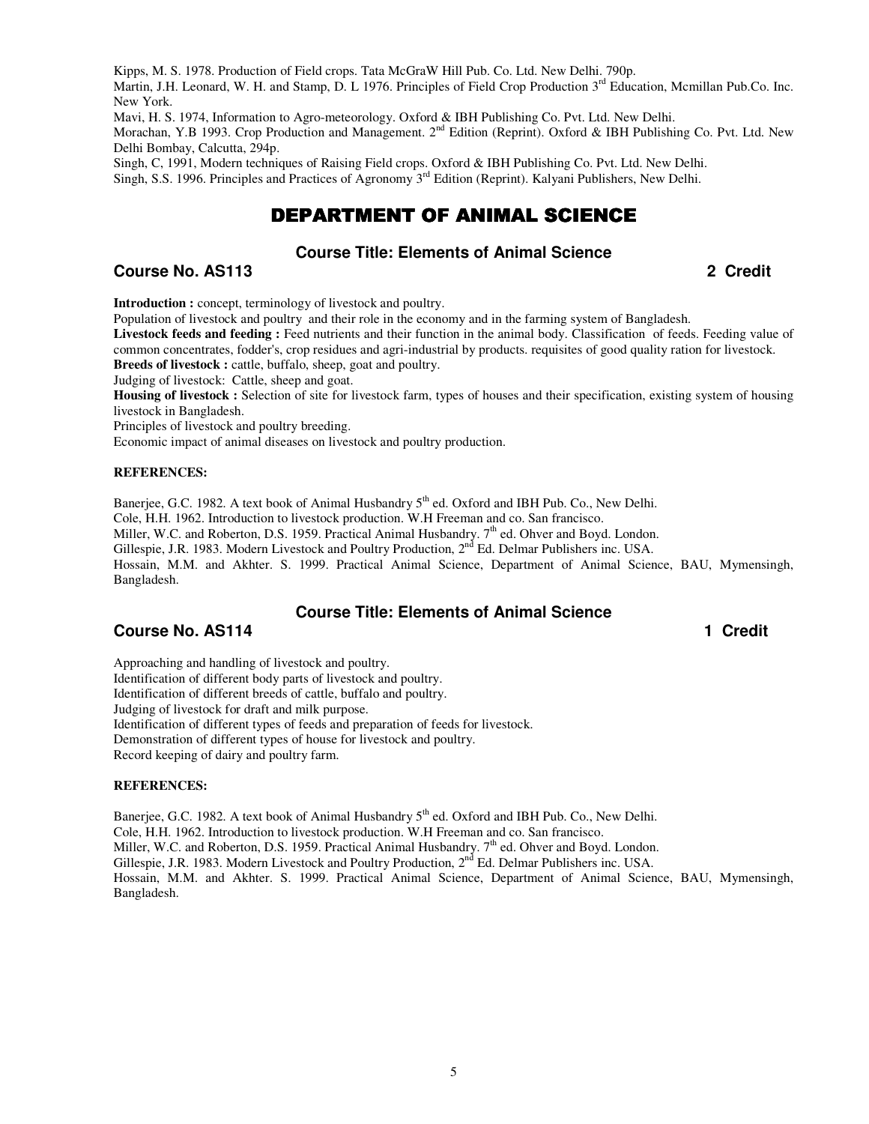Kipps, M. S. 1978. Production of Field crops. Tata McGraW Hill Pub. Co. Ltd. New Delhi. 790p.

Martin, J.H. Leonard, W. H. and Stamp, D. L 1976. Principles of Field Crop Production 3<sup>rd</sup> Education, Mcmillan Pub.Co. Inc. New York.

Mavi, H. S. 1974, Information to Agro-meteorology. Oxford & IBH Publishing Co. Pvt. Ltd. New Delhi.

Morachan, Y.B 1993. Crop Production and Management. 2<sup>nd</sup> Edition (Reprint). Oxford & IBH Publishing Co. Pvt. Ltd. New Delhi Bombay, Calcutta, 294p.

Singh, C, 1991, Modern techniques of Raising Field crops. Oxford & IBH Publishing Co. Pvt. Ltd. New Delhi. Singh, S.S. 1996. Principles and Practices of Agronomy 3<sup>rd</sup> Edition (Reprint). Kalyani Publishers, New Delhi.

# DEPARTMENT OF ANIMAL SCIENCE

## **Course Title: Elements of Animal Science**

**Course No. AS113 2 Credit** 

**Introduction :** concept, terminology of livestock and poultry.

Population of livestock and poultry and their role in the economy and in the farming system of Bangladesh.

**Livestock feeds and feeding :** Feed nutrients and their function in the animal body. Classification of feeds. Feeding value of common concentrates, fodder's, crop residues and agri-industrial by products. requisites of good quality ration for livestock.

**Breeds of livestock :** cattle, buffalo, sheep, goat and poultry.

Judging of livestock: Cattle, sheep and goat.

Housing of livestock : Selection of site for livestock farm, types of houses and their specification, existing system of housing livestock in Bangladesh.

Principles of livestock and poultry breeding.

Economic impact of animal diseases on livestock and poultry production.

#### **REFERENCES:**

Banerjee, G.C. 1982. A text book of Animal Husbandry 5<sup>th</sup> ed. Oxford and IBH Pub. Co., New Delhi.

Cole, H.H. 1962. Introduction to livestock production. W.H Freeman and co. San francisco.

Miller, W.C. and Roberton, D.S. 1959. Practical Animal Husbandry.  $7<sup>th</sup>$  ed. Ohver and Boyd. London.

Gillespie, J.R. 1983. Modern Livestock and Poultry Production, 2<sup>nd</sup> Ed. Delmar Publishers inc. USA.

Hossain, M.M. and Akhter. S. 1999. Practical Animal Science, Department of Animal Science, BAU, Mymensingh, Bangladesh.

#### **Course Title: Elements of Animal Science**

## **Course No. AS114 1** Credit **1** Credit **1** Credit **1** Credit **1** Credit **1** Credit **1** Credit **1** Credit **1** Credit **1**

Approaching and handling of livestock and poultry. Identification of different body parts of livestock and poultry. Identification of different breeds of cattle, buffalo and poultry. Judging of livestock for draft and milk purpose. Identification of different types of feeds and preparation of feeds for livestock. Demonstration of different types of house for livestock and poultry. Record keeping of dairy and poultry farm.

#### **REFERENCES:**

Banerjee, G.C. 1982. A text book of Animal Husbandry  $5<sup>th</sup>$  ed. Oxford and IBH Pub. Co., New Delhi.

Cole, H.H. 1962. Introduction to livestock production. W.H Freeman and co. San francisco.

Miller, W.C. and Roberton, D.S. 1959. Practical Animal Husbandry. 7<sup>th</sup> ed. Ohver and Boyd. London.

Gillespie, J.R. 1983. Modern Livestock and Poultry Production, 2<sup>nd</sup> Ed. Delmar Publishers inc. USA.

Hossain, M.M. and Akhter. S. 1999. Practical Animal Science, Department of Animal Science, BAU, Mymensingh, Bangladesh.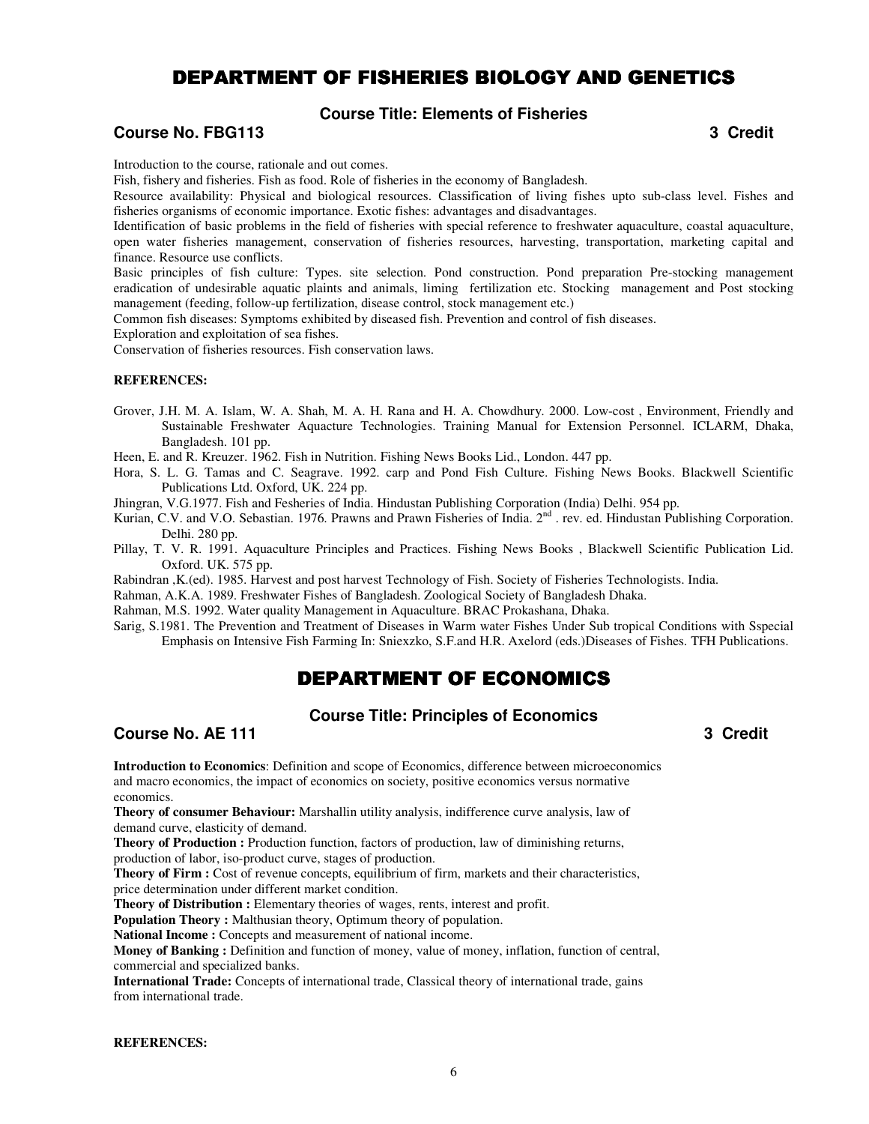# DEPARTMENT OF FISHERIES BIOLOGY AND GENETICS

## **Course Title: Elements of Fisheries**

## **Course No. FBG113** 3 Credit **3** Credit **3** Credit **3** Credit **3** Credit **3** Credit **3** Credit **3** Credit **3** Credit **3** Credit **3** Credit **3** Credit **3** Credit **3** Credit **3** Credit **3** Credit **3** Credit **3** Credit **3** Cr

Introduction to the course, rationale and out comes.

Fish, fishery and fisheries. Fish as food. Role of fisheries in the economy of Bangladesh.

Resource availability: Physical and biological resources. Classification of living fishes upto sub-class level. Fishes and fisheries organisms of economic importance. Exotic fishes: advantages and disadvantages.

Identification of basic problems in the field of fisheries with special reference to freshwater aquaculture, coastal aquaculture, open water fisheries management, conservation of fisheries resources, harvesting, transportation, marketing capital and finance. Resource use conflicts.

Basic principles of fish culture: Types. site selection. Pond construction. Pond preparation Pre-stocking management eradication of undesirable aquatic plaints and animals, liming fertilization etc. Stocking management and Post stocking management (feeding, follow-up fertilization, disease control, stock management etc.)

Common fish diseases: Symptoms exhibited by diseased fish. Prevention and control of fish diseases.

Exploration and exploitation of sea fishes.

Conservation of fisheries resources. Fish conservation laws.

#### **REFERENCES:**

- Grover, J.H. M. A. Islam, W. A. Shah, M. A. H. Rana and H. A. Chowdhury. 2000. Low-cost , Environment, Friendly and Sustainable Freshwater Aquacture Technologies. Training Manual for Extension Personnel. ICLARM, Dhaka, Bangladesh. 101 pp.
- Heen, E. and R. Kreuzer. 1962. Fish in Nutrition. Fishing News Books Lid., London. 447 pp.
- Hora, S. L. G. Tamas and C. Seagrave. 1992. carp and Pond Fish Culture. Fishing News Books. Blackwell Scientific Publications Ltd. Oxford, UK. 224 pp.

Jhingran, V.G.1977. Fish and Fesheries of India. Hindustan Publishing Corporation (India) Delhi. 954 pp.

- Kurian, C.V. and V.O. Sebastian. 1976. Prawns and Prawn Fisheries of India. 2<sup>nd</sup>. rev. ed. Hindustan Publishing Corporation. Delhi. 280 pp.
- Pillay, T. V. R. 1991. Aquaculture Principles and Practices. Fishing News Books , Blackwell Scientific Publication Lid. Oxford. UK. 575 pp.

Rabindran ,K.(ed). 1985. Harvest and post harvest Technology of Fish. Society of Fisheries Technologists. India.

Rahman, A.K.A. 1989. Freshwater Fishes of Bangladesh. Zoological Society of Bangladesh Dhaka.

Rahman, M.S. 1992. Water quality Management in Aquaculture. BRAC Prokashana, Dhaka.

Sarig, S.1981. The Prevention and Treatment of Diseases in Warm water Fishes Under Sub tropical Conditions with Sspecial Emphasis on Intensive Fish Farming In: Sniexzko, S.F.and H.R. Axelord (eds.)Diseases of Fishes. TFH Publications.

# DEPARTMENT OF ECONOMICS

## **Course Title: Principles of Economics**

**Course No. AE 111 Course No. AE 111** 

**Introduction to Economics**: Definition and scope of Economics, difference between microeconomics and macro economics, the impact of economics on society, positive economics versus normative economics.

**Theory of consumer Behaviour:** Marshallin utility analysis, indifference curve analysis, law of demand curve, elasticity of demand.

**Theory of Production :** Production function, factors of production, law of diminishing returns, production of labor, iso-product curve, stages of production.

**Theory of Firm :** Cost of revenue concepts, equilibrium of firm, markets and their characteristics, price determination under different market condition.

**Theory of Distribution :** Elementary theories of wages, rents, interest and profit.

**Population Theory :** Malthusian theory, Optimum theory of population.

**National Income :** Concepts and measurement of national income.

**Money of Banking :** Definition and function of money, value of money, inflation, function of central, commercial and specialized banks.

**International Trade:** Concepts of international trade, Classical theory of international trade, gains from international trade.

**REFERENCES:**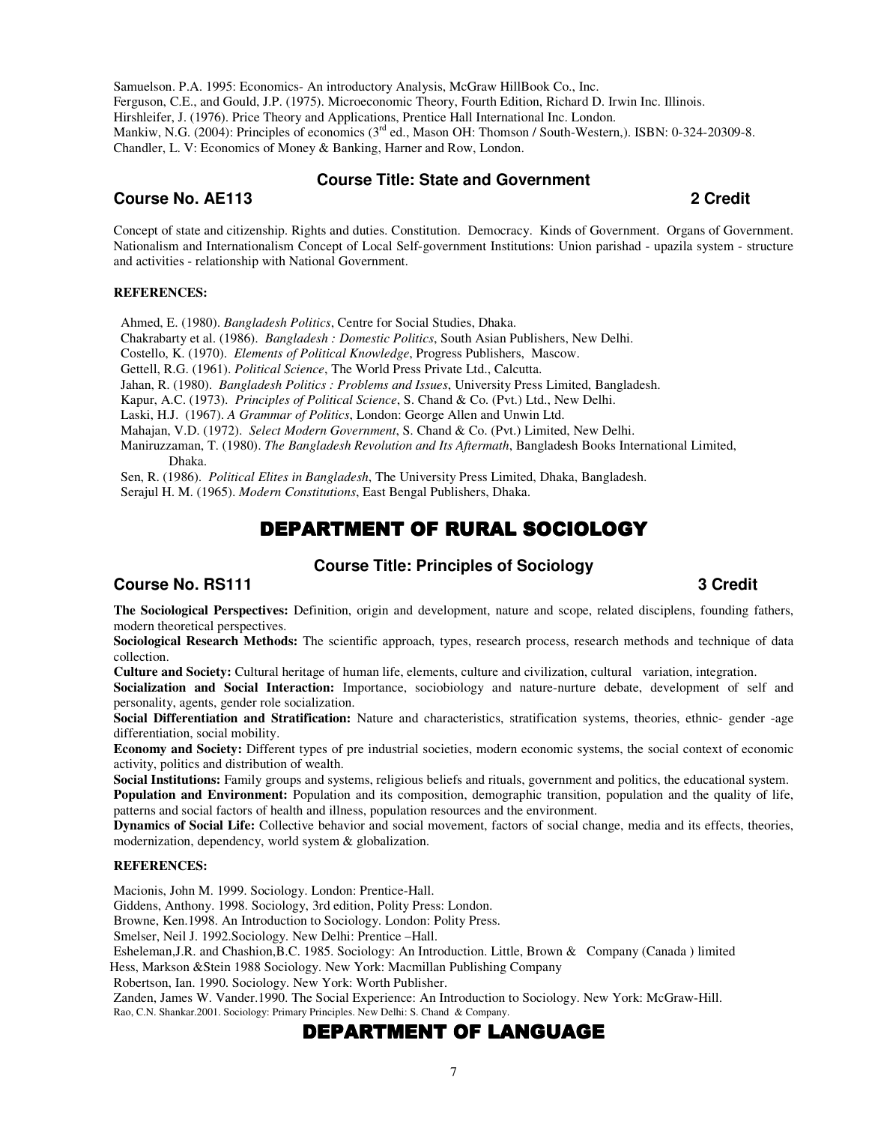Samuelson. P.A. 1995: Economics- An introductory Analysis, McGraw HillBook Co., Inc. Ferguson, C.E., and Gould, J.P. (1975). Microeconomic Theory, Fourth Edition, Richard D. Irwin Inc. Illinois. Hirshleifer, J. (1976). Price Theory and Applications, Prentice Hall International Inc. London. Mankiw, N.G. (2004): Principles of economics (3<sup>rd</sup> ed., Mason OH: Thomson / South-Western,). ISBN: 0-324-20309-8. Chandler, L. V: Economics of Money & Banking, Harner and Row, London.

### **Course Title: State and Government**

## **Course No. AE113 2 Credit**

Concept of state and citizenship. Rights and duties. Constitution. Democracy. Kinds of Government. Organs of Government. Nationalism and Internationalism Concept of Local Self-government Institutions: Union parishad - upazila system - structure and activities - relationship with National Government.

#### **REFERENCES:**

Ahmed, E. (1980). *Bangladesh Politics*, Centre for Social Studies, Dhaka.

Chakrabarty et al. (1986). *Bangladesh : Domestic Politics*, South Asian Publishers, New Delhi.

Costello, K. (1970). *Elements of Political Knowledge*, Progress Publishers, Mascow.

Gettell, R.G. (1961). *Political Science*, The World Press Private Ltd., Calcutta.

Jahan, R. (1980). *Bangladesh Politics : Problems and Issues*, University Press Limited, Bangladesh.

Kapur, A.C. (1973). *Principles of Political Science*, S. Chand & Co. (Pvt.) Ltd., New Delhi.

Laski, H.J. (1967). *A Grammar of Politics*, London: George Allen and Unwin Ltd.

Mahajan, V.D. (1972). *Select Modern Government*, S. Chand & Co. (Pvt.) Limited, New Delhi.

Maniruzzaman, T. (1980). *The Bangladesh Revolution and Its Aftermath*, Bangladesh Books International Limited, Dhaka.

Sen, R. (1986). *Political Elites in Bangladesh*, The University Press Limited, Dhaka, Bangladesh. Serajul H. M. (1965). *Modern Constitutions*, East Bengal Publishers, Dhaka.

# DEPARTMENT OF RURAL SOCIOLOGY

# **Course Title: Principles of Sociology**

## **Course No. RS111** 3 Credit **3**

**The Sociological Perspectives:** Definition, origin and development, nature and scope, related disciplens, founding fathers, modern theoretical perspectives.

**Sociological Research Methods:** The scientific approach, types, research process, research methods and technique of data collection.

**Culture and Society:** Cultural heritage of human life, elements, culture and civilization, cultural variation, integration.

**Socialization and Social Interaction:** Importance, sociobiology and nature-nurture debate, development of self and personality, agents, gender role socialization.

**Social Differentiation and Stratification:** Nature and characteristics, stratification systems, theories, ethnic- gender -age differentiation, social mobility.

**Economy and Society:** Different types of pre industrial societies, modern economic systems, the social context of economic activity, politics and distribution of wealth.

**Social Institutions:** Family groups and systems, religious beliefs and rituals, government and politics, the educational system. **Population and Environment:** Population and its composition, demographic transition, population and the quality of life,

patterns and social factors of health and illness, population resources and the environment.

**Dynamics of Social Life:** Collective behavior and social movement, factors of social change, media and its effects, theories, modernization, dependency, world system & globalization.

#### **REFERENCES:**

Macionis, John M. 1999. Sociology. London: Prentice-Hall.

Giddens, Anthony. 1998. Sociology, 3rd edition, Polity Press: London.

Browne, Ken.1998. An Introduction to Sociology. London: Polity Press.

Smelser, Neil J. 1992.Sociology. New Delhi: Prentice –Hall.

Esheleman,J.R. and Chashion,B.C. 1985. Sociology: An Introduction. Little, Brown & Company (Canada ) limited

Hess, Markson &Stein 1988 Sociology. New York: Macmillan Publishing Company

Robertson, Ian. 1990. Sociology. New York: Worth Publisher.

Zanden, James W. Vander.1990. The Social Experience: An Introduction to Sociology. New York: McGraw-Hill. Rao, C.N. Shankar.2001. Sociology: Primary Principles. New Delhi: S. Chand & Company.

# DEPARTMENT OF LANGUAGE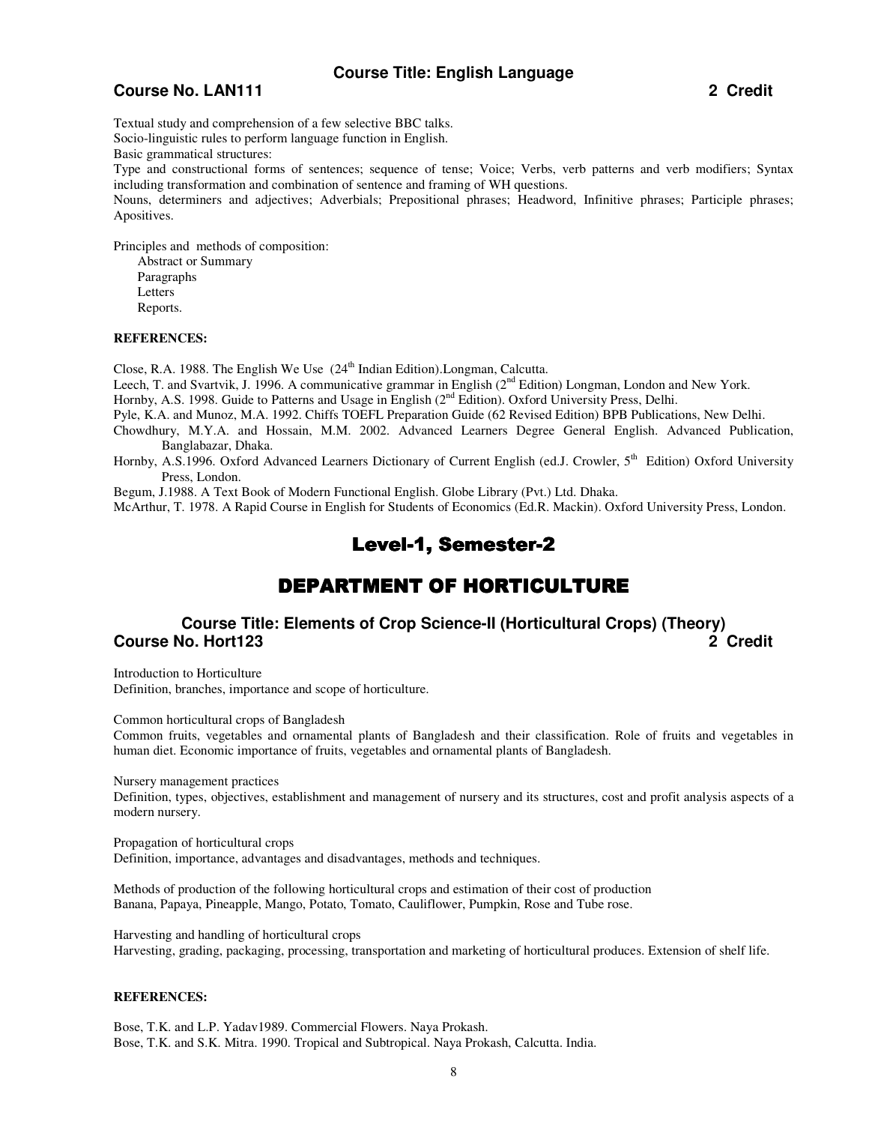## **Course Title: English Language**

## **Course No. LAN111 2 Credit**

Textual study and comprehension of a few selective BBC talks. Socio-linguistic rules to perform language function in English. Basic grammatical structures:

Type and constructional forms of sentences; sequence of tense; Voice; Verbs, verb patterns and verb modifiers; Syntax including transformation and combination of sentence and framing of WH questions.

Nouns, determiners and adjectives; Adverbials; Prepositional phrases; Headword, Infinitive phrases; Participle phrases; Apositives.

Principles and methods of composition:

Abstract or Summary Paragraphs Letters Reports.

#### **REFERENCES:**

Close, R.A. 1988. The English We Use  $(24<sup>th</sup> Indian Edition)$ . Longman, Calcutta.

Leech, T. and Svartvik, J. 1996. A communicative grammar in English (2<sup>nd</sup> Edition) Longman, London and New York.

Hornby, A.S. 1998. Guide to Patterns and Usage in English (2<sup>nd</sup> Edition). Oxford University Press, Delhi.

Pyle, K.A. and Munoz, M.A. 1992. Chiffs TOEFL Preparation Guide (62 Revised Edition) BPB Publications, New Delhi.

- Chowdhury, M.Y.A. and Hossain, M.M. 2002. Advanced Learners Degree General English. Advanced Publication, Banglabazar, Dhaka.
- Hornby, A.S.1996. Oxford Advanced Learners Dictionary of Current English (ed.J. Crowler, 5<sup>th</sup> Edition) Oxford University Press, London.

Begum, J.1988. A Text Book of Modern Functional English. Globe Library (Pvt.) Ltd. Dhaka.

McArthur, T. 1978. A Rapid Course in English for Students of Economics (Ed.R. Mackin). Oxford University Press, London.

# Level-1, Semester-2

# DEPARTMENT OF HORTICULTURE

# **Course Title: Elements of Crop Science-II (Horticultural Crops) (Theory) Course No. Hort123 2 Credit**

Introduction to Horticulture Definition, branches, importance and scope of horticulture.

Common horticultural crops of Bangladesh

Common fruits, vegetables and ornamental plants of Bangladesh and their classification. Role of fruits and vegetables in human diet. Economic importance of fruits, vegetables and ornamental plants of Bangladesh.

Nursery management practices

Definition, types, objectives, establishment and management of nursery and its structures, cost and profit analysis aspects of a modern nursery.

Propagation of horticultural crops

Definition, importance, advantages and disadvantages, methods and techniques.

Methods of production of the following horticultural crops and estimation of their cost of production Banana, Papaya, Pineapple, Mango, Potato, Tomato, Cauliflower, Pumpkin, Rose and Tube rose.

Harvesting and handling of horticultural crops Harvesting, grading, packaging, processing, transportation and marketing of horticultural produces. Extension of shelf life.

#### **REFERENCES:**

Bose, T.K. and L.P. Yadav1989. Commercial Flowers. Naya Prokash. Bose, T.K. and S.K. Mitra. 1990. Tropical and Subtropical. Naya Prokash, Calcutta. India.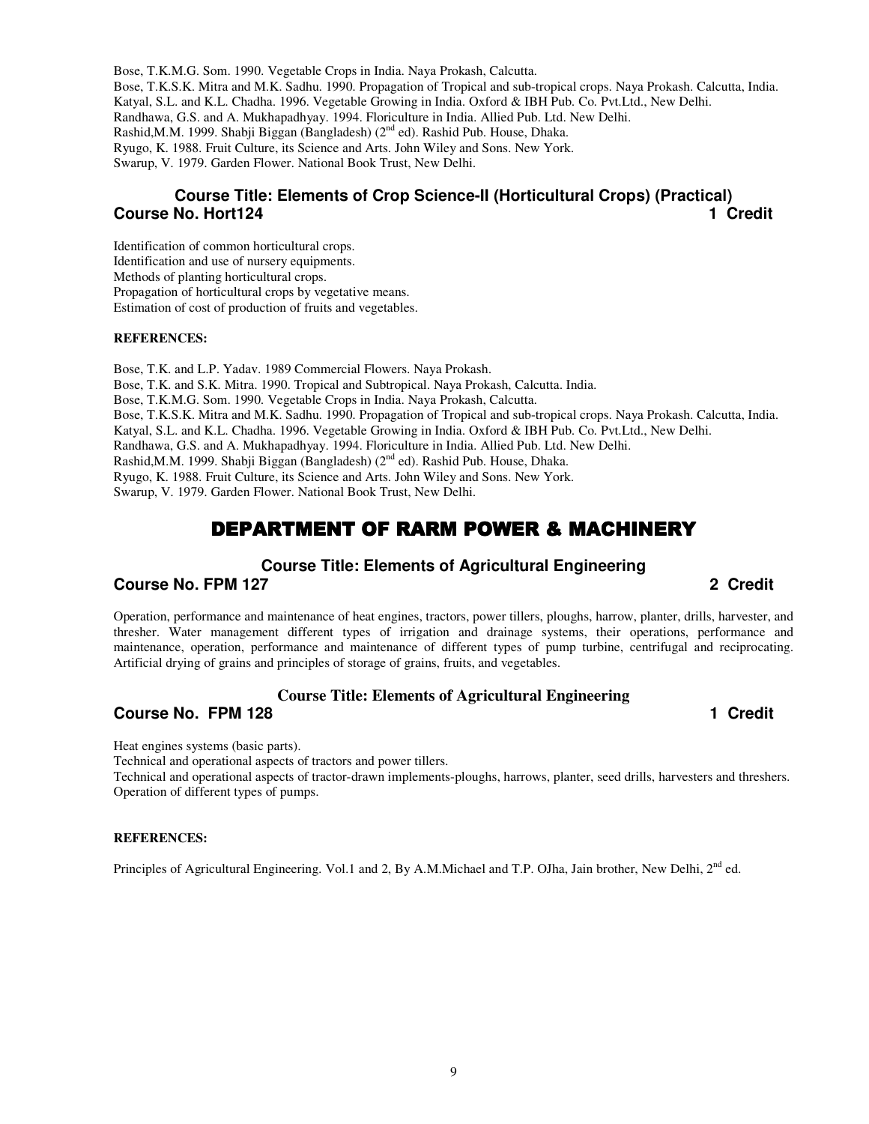Bose, T.K.M.G. Som. 1990. Vegetable Crops in India. Naya Prokash, Calcutta. Bose, T.K.S.K. Mitra and M.K. Sadhu. 1990. Propagation of Tropical and sub-tropical crops. Naya Prokash. Calcutta, India. Katyal, S.L. and K.L. Chadha. 1996. Vegetable Growing in India. Oxford & IBH Pub. Co. Pvt.Ltd., New Delhi. Randhawa, G.S. and A. Mukhapadhyay. 1994. Floriculture in India. Allied Pub. Ltd. New Delhi. Rashid,M.M. 1999. Shabji Biggan (Bangladesh) (2<sup>nd</sup> ed). Rashid Pub. House, Dhaka. Ryugo, K. 1988. Fruit Culture, its Science and Arts. John Wiley and Sons. New York. Swarup, V. 1979. Garden Flower. National Book Trust, New Delhi.

# **Course Title: Elements of Crop Science-II (Horticultural Crops) (Practical) Course No. Hort124 1 Credit 1** Credit **1** Credit **1** Credit **1** Credit **1** Credit **1** Credit **1** Credit **1** Credit **1** Credit **1** Credit **1** Credit **1** Credit **1** Credit **1** Credit **1** Credit **1** Credit **1** Credit **1**

Identification of common horticultural crops. Identification and use of nursery equipments. Methods of planting horticultural crops. Propagation of horticultural crops by vegetative means. Estimation of cost of production of fruits and vegetables.

#### **REFERENCES:**

Bose, T.K. and L.P. Yadav. 1989 Commercial Flowers. Naya Prokash. Bose, T.K. and S.K. Mitra. 1990. Tropical and Subtropical. Naya Prokash, Calcutta. India. Bose, T.K.M.G. Som. 1990. Vegetable Crops in India. Naya Prokash, Calcutta. Bose, T.K.S.K. Mitra and M.K. Sadhu. 1990. Propagation of Tropical and sub-tropical crops. Naya Prokash. Calcutta, India. Katyal, S.L. and K.L. Chadha. 1996. Vegetable Growing in India. Oxford & IBH Pub. Co. Pvt.Ltd., New Delhi. Randhawa, G.S. and A. Mukhapadhyay. 1994. Floriculture in India. Allied Pub. Ltd. New Delhi. Rashid,M.M. 1999. Shabji Biggan (Bangladesh) (2<sup>nd</sup> ed). Rashid Pub. House, Dhaka. Ryugo, K. 1988. Fruit Culture, its Science and Arts. John Wiley and Sons. New York. Swarup, V. 1979. Garden Flower. National Book Trust, New Delhi.

# DEPARTMENT OF RARM POWER & MACHINERY

#### **Course Title: Elements of Agricultural Engineering**

**Course No. FPM 127 2 Credit** 

Operation, performance and maintenance of heat engines, tractors, power tillers, ploughs, harrow, planter, drills, harvester, and thresher. Water management different types of irrigation and drainage systems, their operations, performance and maintenance, operation, performance and maintenance of different types of pump turbine, centrifugal and reciprocating. Artificial drying of grains and principles of storage of grains, fruits, and vegetables.

## **Course Title: Elements of Agricultural Engineering**

## **Course No. FPM 128 1 Credit 2008**

Heat engines systems (basic parts).

Technical and operational aspects of tractors and power tillers.

Technical and operational aspects of tractor-drawn implements-ploughs, harrows, planter, seed drills, harvesters and threshers. Operation of different types of pumps.

#### **REFERENCES:**

Principles of Agricultural Engineering. Vol.1 and 2, By A.M.Michael and T.P. OJha, Jain brother, New Delhi,  $2<sup>nd</sup>$  ed.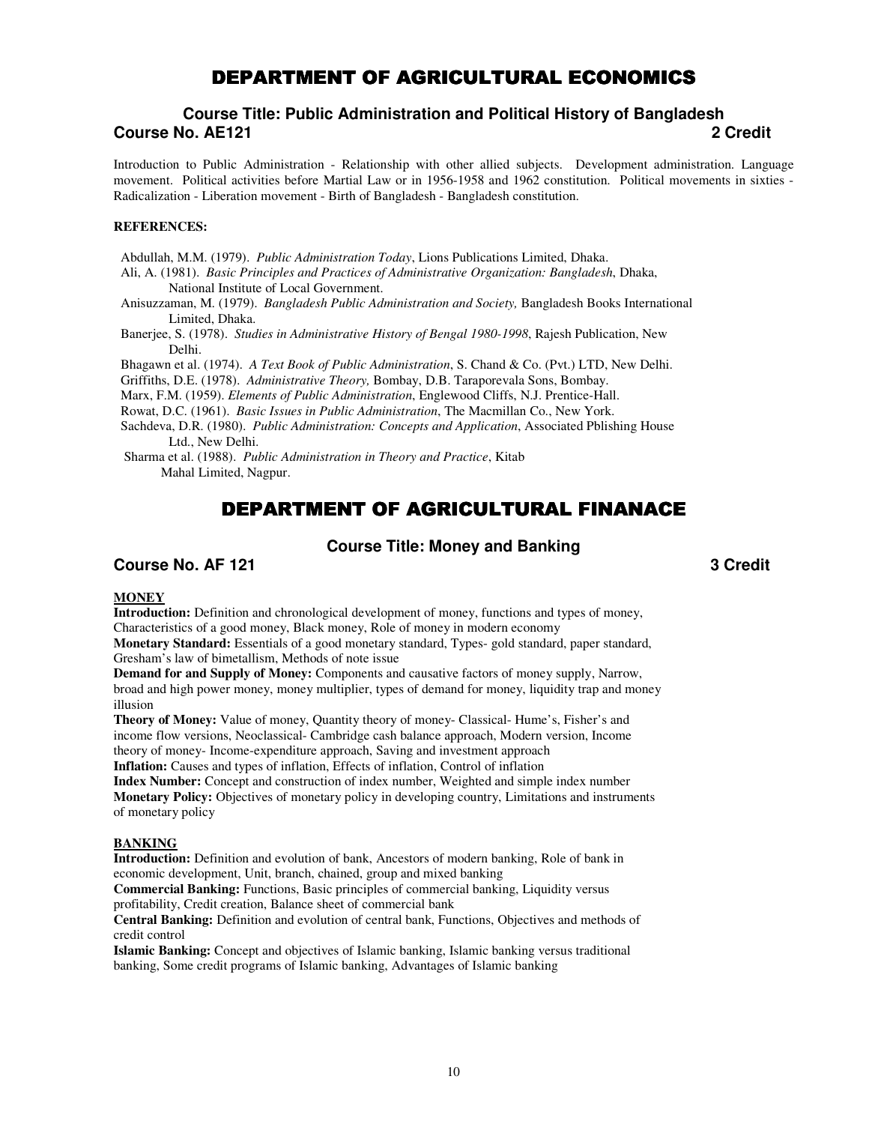# DEPARTMENT OF AGRICULTURAL ECONOMICS

# **Course Title: Public Administration and Political History of Bangladesh Course No. AE121 2 Credit**

Introduction to Public Administration - Relationship with other allied subjects. Development administration. Language movement. Political activities before Martial Law or in 1956-1958 and 1962 constitution. Political movements in sixties - Radicalization - Liberation movement - Birth of Bangladesh - Bangladesh constitution.

#### **REFERENCES:**

Abdullah, M.M. (1979). *Public Administration Today*, Lions Publications Limited, Dhaka.

Ali, A. (1981). *Basic Principles and Practices of Administrative Organization: Bangladesh*, Dhaka, National Institute of Local Government.

Anisuzzaman, M. (1979). *Bangladesh Public Administration and Society,* Bangladesh Books International Limited, Dhaka.

Banerjee, S. (1978). *Studies in Administrative History of Bengal 1980-1998*, Rajesh Publication, New Delhi.

Bhagawn et al. (1974). *A Text Book of Public Administration*, S. Chand & Co. (Pvt.) LTD, New Delhi.

Griffiths, D.E. (1978). *Administrative Theory,* Bombay, D.B. Taraporevala Sons, Bombay.

Marx, F.M. (1959). *Elements of Public Administration*, Englewood Cliffs, N.J. Prentice-Hall.

Rowat, D.C. (1961). *Basic Issues in Public Administration*, The Macmillan Co., New York.

Sachdeva, D.R. (1980). *Public Administration: Concepts and Application*, Associated Pblishing House Ltd., New Delhi.

 Sharma et al. (1988). *Public Administration in Theory and Practice*, Kitab Mahal Limited, Nagpur.

# DEPARTMENT OF AGRICULTURAL FINANACE

#### **Course Title: Money and Banking**

## **Course No. AF 121** 3 Credit **3**

#### **MONEY**

**Introduction:** Definition and chronological development of money, functions and types of money, Characteristics of a good money, Black money, Role of money in modern economy

**Monetary Standard:** Essentials of a good monetary standard, Types- gold standard, paper standard, Gresham's law of bimetallism, Methods of note issue

**Demand for and Supply of Money:** Components and causative factors of money supply, Narrow, broad and high power money, money multiplier, types of demand for money, liquidity trap and money illusion

**Theory of Money:** Value of money, Quantity theory of money- Classical- Hume's, Fisher's and income flow versions, Neoclassical- Cambridge cash balance approach, Modern version, Income theory of money- Income-expenditure approach, Saving and investment approach **Inflation:** Causes and types of inflation, Effects of inflation, Control of inflation

**Index Number:** Concept and construction of index number, Weighted and simple index number **Monetary Policy:** Objectives of monetary policy in developing country, Limitations and instruments of monetary policy

#### **BANKING**

**Introduction:** Definition and evolution of bank, Ancestors of modern banking, Role of bank in economic development, Unit, branch, chained, group and mixed banking

**Commercial Banking:** Functions, Basic principles of commercial banking, Liquidity versus profitability, Credit creation, Balance sheet of commercial bank

**Central Banking:** Definition and evolution of central bank, Functions, Objectives and methods of credit control

**Islamic Banking:** Concept and objectives of Islamic banking, Islamic banking versus traditional banking, Some credit programs of Islamic banking, Advantages of Islamic banking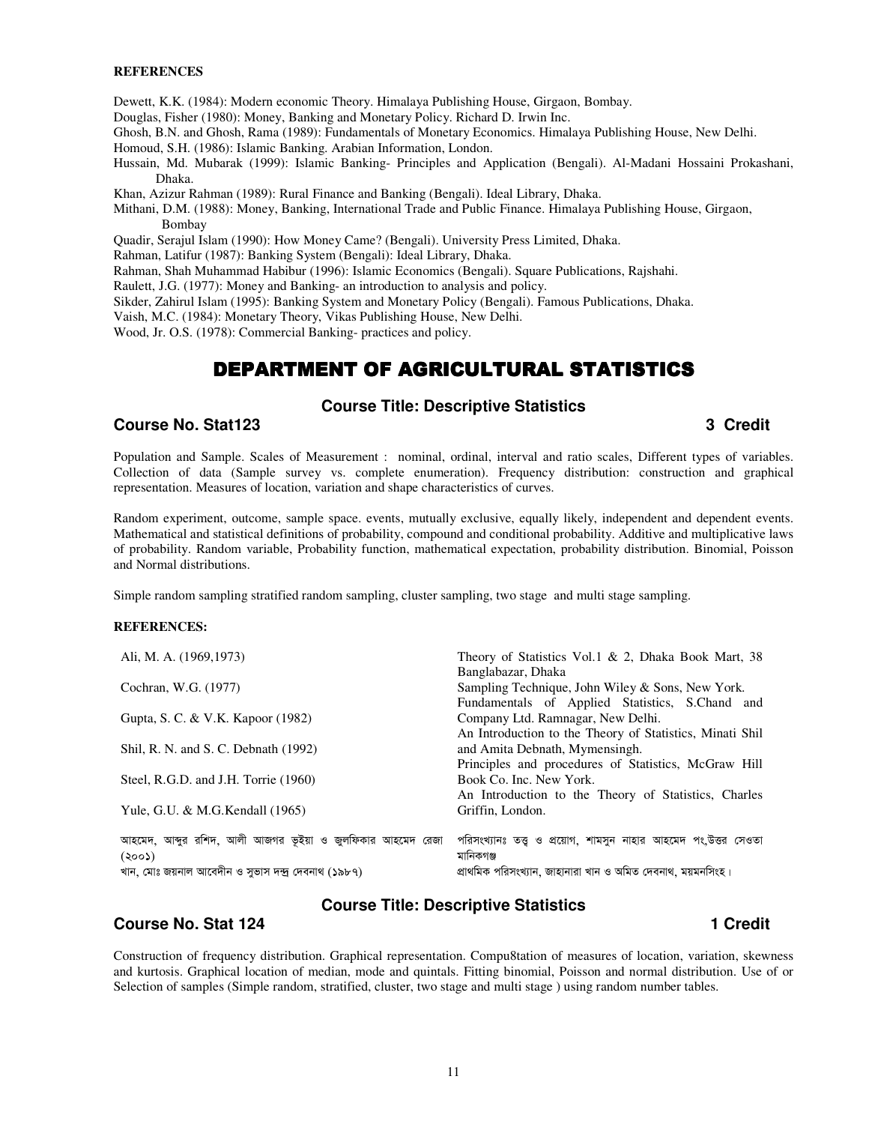#### **REFERENCES**

Dewett, K.K. (1984): Modern economic Theory. Himalaya Publishing House, Girgaon, Bombay.

Douglas, Fisher (1980): Money, Banking and Monetary Policy. Richard D. Irwin Inc.

Ghosh, B.N. and Ghosh, Rama (1989): Fundamentals of Monetary Economics. Himalaya Publishing House, New Delhi.

- Homoud, S.H. (1986): Islamic Banking. Arabian Information, London.
- Hussain, Md. Mubarak (1999): Islamic Banking- Principles and Application (Bengali). Al-Madani Hossaini Prokashani, Dhaka.

Khan, Azizur Rahman (1989): Rural Finance and Banking (Bengali). Ideal Library, Dhaka.

Mithani, D.M. (1988): Money, Banking, International Trade and Public Finance. Himalaya Publishing House, Girgaon, Bombay

Quadir, Serajul Islam (1990): How Money Came? (Bengali). University Press Limited, Dhaka.

Rahman, Latifur (1987): Banking System (Bengali): Ideal Library, Dhaka.

Rahman, Shah Muhammad Habibur (1996): Islamic Economics (Bengali). Square Publications, Rajshahi.

Raulett, J.G. (1977): Money and Banking- an introduction to analysis and policy.

Sikder, Zahirul Islam (1995): Banking System and Monetary Policy (Bengali). Famous Publications, Dhaka.

Vaish, M.C. (1984): Monetary Theory, Vikas Publishing House, New Delhi.

Wood, Jr. O.S. (1978): Commercial Banking- practices and policy.

# DEPARTMENT OF AGRICULTURAL STATISTICS

#### **Course Title: Descriptive Statistics**

#### **Course No. Stat123** 3 Credit **3** Credit **3** Credit **3** Credit **3** Credit **3** Credit **3** Credit **3** Credit **3** Credit **3** Credit **3** Credit **3** Credit **3** Credit **3** Credit **3** Credit **3** Credit **3** Credit **3** Credit **3** C

Population and Sample. Scales of Measurement : nominal, ordinal, interval and ratio scales, Different types of variables. Collection of data (Sample survey vs. complete enumeration). Frequency distribution: construction and graphical representation. Measures of location, variation and shape characteristics of curves.

Random experiment, outcome, sample space. events, mutually exclusive, equally likely, independent and dependent events. Mathematical and statistical definitions of probability, compound and conditional probability. Additive and multiplicative laws of probability. Random variable, Probability function, mathematical expectation, probability distribution. Binomial, Poisson and Normal distributions.

Simple random sampling stratified random sampling, cluster sampling, two stage and multi stage sampling.

#### **REFERENCES:**

| Ali, M. A. (1969,1973)                                             | Theory of Statistics Vol.1 & 2, Dhaka Book Mart, 38<br>Banglabazar, Dhaka                           |
|--------------------------------------------------------------------|-----------------------------------------------------------------------------------------------------|
| Cochran, W.G. (1977)                                               | Sampling Technique, John Wiley & Sons, New York.<br>Fundamentals of Applied Statistics, S.Chand and |
| Gupta, S. C. & V.K. Kapoor (1982)                                  | Company Ltd. Ramnagar, New Delhi.                                                                   |
| Shil, R. N. and S. C. Debnath (1992)                               | An Introduction to the Theory of Statistics, Minati Shil<br>and Amita Debnath, Mymensingh.          |
| Steel, R.G.D. and J.H. Torrie (1960)                               | Principles and procedures of Statistics, McGraw Hill<br>Book Co. Inc. New York.                     |
| Yule, G.U. $&$ M.G. Kendall (1965)                                 | An Introduction to the Theory of Statistics, Charles<br>Griffin, London.                            |
|                                                                    |                                                                                                     |
| আহমেদ, আব্দুর রশিদ, আলী আজগর ভূইয়া ও জুলফিকার আহমেদ রেজা<br>(500) | পরিসংখ্যানঃ তত্ত ও প্রয়োগ, শামসন নাহার আহমেদ পং.উত্তর সেওতা<br>মানিকগঞ্জ                           |
| খান, মোঃ জয়নাল আবেদীন ও সুভাস দন্দ্ৰ দেবনাথ (১৯৮৭)                | প্ৰাথমিক পরিসংখ্যান, জাহানারা খান ও অমিত দেবনাথ, ময়মনসিংহ।                                         |

## **Course No. Stat 124 1 Credit 2018 1 Credit 2018 1 Credit 2018 1 Credit 2018 1 Credit 2018 1 Credit 2018 1 Credit**

# **Course Title: Descriptive Statistics**

Construction of frequency distribution. Graphical representation. Compu8tation of measures of location, variation, skewness and kurtosis. Graphical location of median, mode and quintals. Fitting binomial, Poisson and normal distribution. Use of or Selection of samples (Simple random, stratified, cluster, two stage and multi stage ) using random number tables.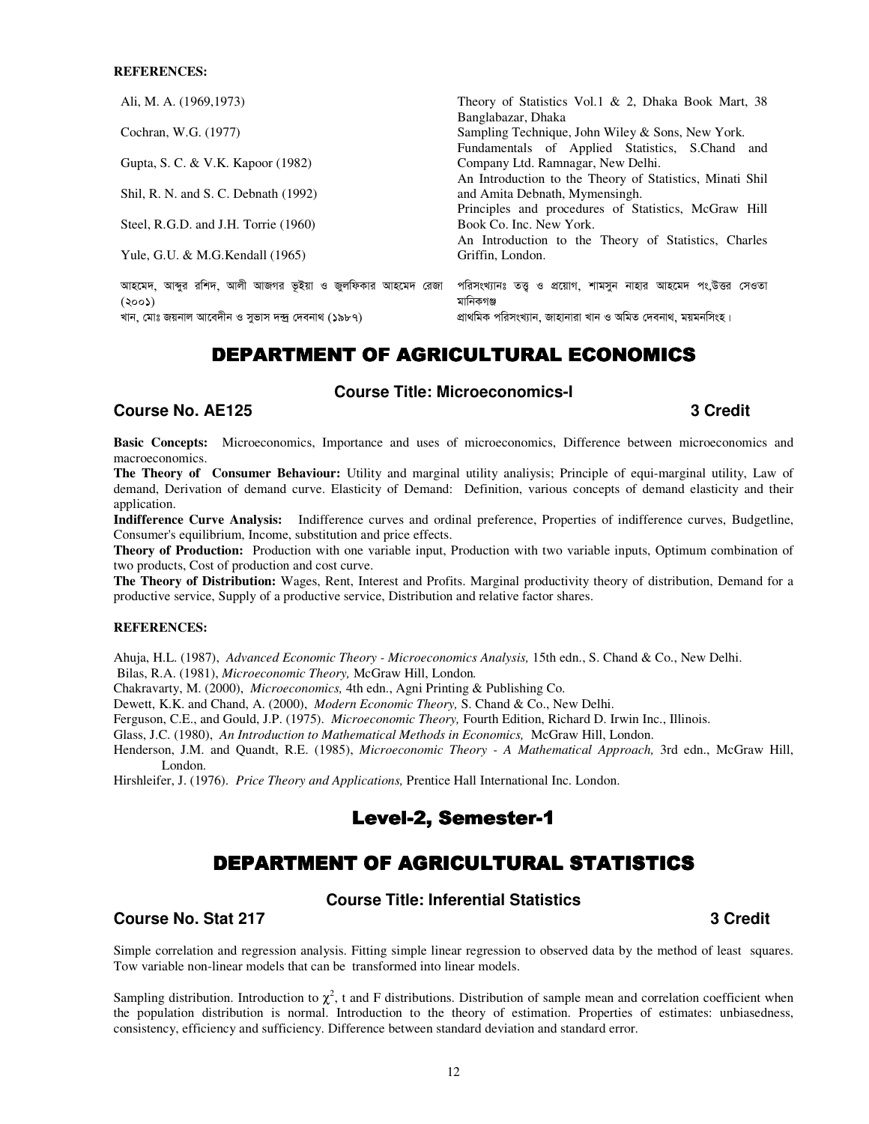#### **REFERENCES:**

| Ali, M. A. (1969, 1973)                                                                                                   | Theory of Statistics Vol.1 & 2, Dhaka Book Mart, 38<br>Banglabazar, Dhaka                                                                   |
|---------------------------------------------------------------------------------------------------------------------------|---------------------------------------------------------------------------------------------------------------------------------------------|
| Cochran, W.G. (1977)                                                                                                      | Sampling Technique, John Wiley & Sons, New York.<br>Fundamentals of Applied Statistics, S.Chand and                                         |
| Gupta, S. C. & V.K. Kapoor (1982)                                                                                         | Company Ltd. Ramnagar, New Delhi.<br>An Introduction to the Theory of Statistics, Minati Shil                                               |
| Shil, R. N. and S. C. Debnath (1992)                                                                                      | and Amita Debnath, Mymensingh.                                                                                                              |
| Steel, R.G.D. and J.H. Torrie (1960)                                                                                      | Principles and procedures of Statistics, McGraw Hill<br>Book Co. Inc. New York.                                                             |
| Yule, G.U. & M.G. Kendall (1965)                                                                                          | An Introduction to the Theory of Statistics, Charles<br>Griffin, London.                                                                    |
| আহমেদ, আব্দুর রশিদ, আলী আজগর ভূইয়া ও জুলফিকার আহমেদ রেজা<br>(300)<br>খান, মোঃ জয়নাল আবেদীন ও সুভাস দন্দ্ৰ দেবনাথ (১৯৮৭) | পরিসংখ্যানঃ তত্ত্ব ও প্রয়োগ, শামসুন নাহার আহমেদ পং.উত্তর সেওতা<br>মানিকগঞ্জ<br>প্রাথমিক পরিসংখ্যান, জাহানারা খান ও অমিত দেবনাথ, ময়মনসিংহ। |

# DEPARTMENT OF AGRICULTURAL ECONOMICS

## **Course Title: Microeconomics-I**

## **Course No. AE125 3 Credit**

**Basic Concepts:** Microeconomics, Importance and uses of microeconomics, Difference between microeconomics and macroeconomics.

**The Theory of Consumer Behaviour:** Utility and marginal utility analiysis; Principle of equi-marginal utility, Law of demand, Derivation of demand curve. Elasticity of Demand: Definition, various concepts of demand elasticity and their application.

**Indifference Curve Analysis:** Indifference curves and ordinal preference, Properties of indifference curves, Budgetline, Consumer's equilibrium, Income, substitution and price effects.

**Theory of Production:** Production with one variable input, Production with two variable inputs, Optimum combination of two products, Cost of production and cost curve.

**The Theory of Distribution:** Wages, Rent, Interest and Profits. Marginal productivity theory of distribution, Demand for a productive service, Supply of a productive service, Distribution and relative factor shares.

#### **REFERENCES:**

Ahuja, H.L. (1987), *Advanced Economic Theory - Microeconomics Analysis,* 15th edn., S. Chand & Co., New Delhi. Bilas, R.A. (1981), *Microeconomic Theory,* McGraw Hill, London*.* 

Chakravarty, M. (2000), *Microeconomics,* 4th edn., Agni Printing & Publishing Co.

Dewett, K.K. and Chand, A. (2000), *Modern Economic Theory,* S. Chand & Co., New Delhi.

Ferguson, C.E., and Gould, J.P. (1975). *Microeconomic Theory,* Fourth Edition, Richard D. Irwin Inc., Illinois.

Glass, J.C. (1980), *An Introduction to Mathematical Methods in Economics,* McGraw Hill, London.

Henderson, J.M. and Quandt, R.E. (1985), *Microeconomic Theory - A Mathematical Approach,* 3rd edn., McGraw Hill, London.

Hirshleifer, J. (1976). *Price Theory and Applications,* Prentice Hall International Inc. London.

# Level-2, Semester-1

# DEPARTMENT OF AGRICULTURAL STATISTICS

### **Course Title: Inferential Statistics**

#### **Course No. Stat 217** 3 Credit **3** Credit **3** Credit **3** Credit **3** Credit **3** Credit **3** Credit **3** Credit **3** Credit **3** Credit **3** Credit **3** Credit **3** Credit **3** Credit **3** Credit **3** Credit **3** Credit **3** Credit **3**

Simple correlation and regression analysis. Fitting simple linear regression to observed data by the method of least squares. Tow variable non-linear models that can be transformed into linear models.

Sampling distribution. Introduction to  $\chi^2$ , t and F distributions. Distribution of sample mean and correlation coefficient when the population distribution is normal. Introduction to the theory of estimation. Properties of estimates: unbiasedness, consistency, efficiency and sufficiency. Difference between standard deviation and standard error.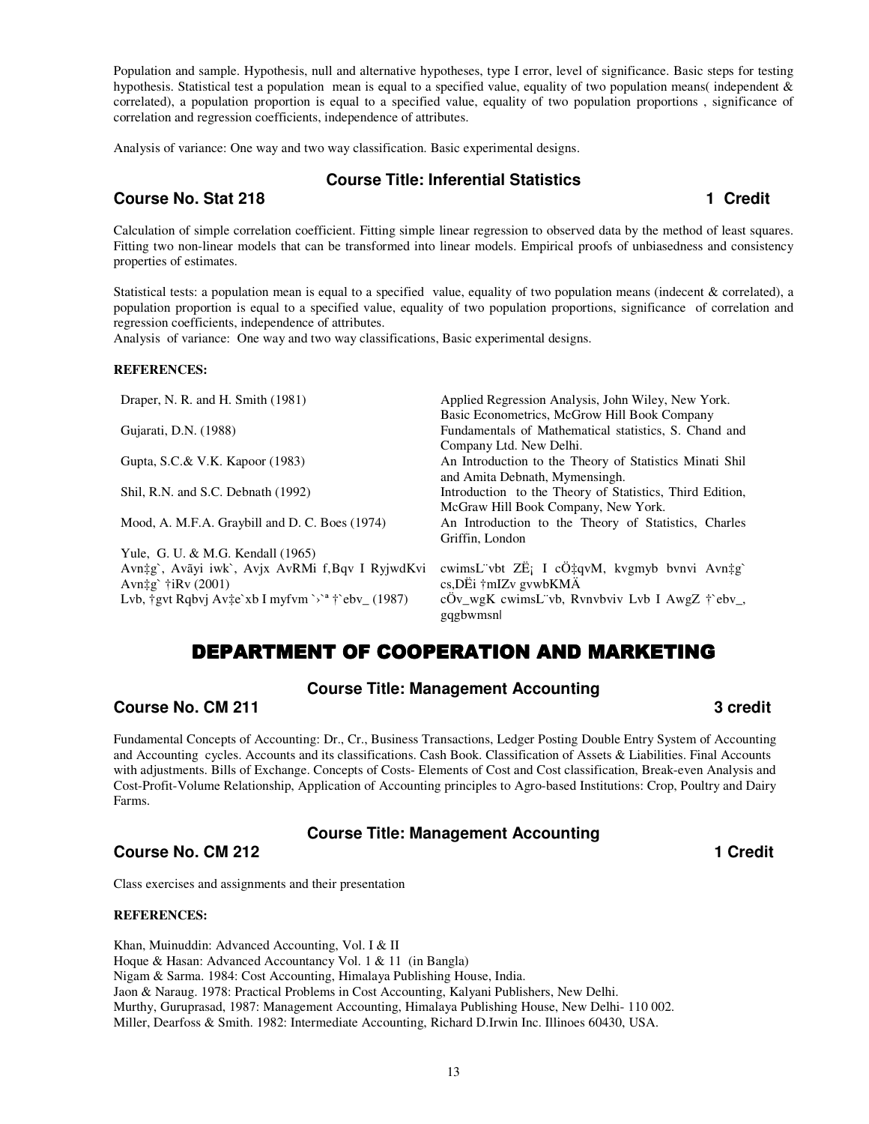Population and sample. Hypothesis, null and alternative hypotheses, type I error, level of significance. Basic steps for testing hypothesis. Statistical test a population mean is equal to a specified value, equality of two population means( independent  $\&$ correlated), a population proportion is equal to a specified value, equality of two population proportions , significance of correlation and regression coefficients, independence of attributes.

Analysis of variance: One way and two way classification. Basic experimental designs.

## **Course Title: Inferential Statistics**

## **Course No. Stat 218 1 Credit 2008**

Calculation of simple correlation coefficient. Fitting simple linear regression to observed data by the method of least squares. Fitting two non-linear models that can be transformed into linear models. Empirical proofs of unbiasedness and consistency properties of estimates.

Statistical tests: a population mean is equal to a specified value, equality of two population means (indecent & correlated), a population proportion is equal to a specified value, equality of two population proportions, significance of correlation and regression coefficients, independence of attributes.

Analysis of variance: One way and two way classifications, Basic experimental designs.

#### **REFERENCES:**

| Draper, N. R. and H. Smith (1981)                              | Applied Regression Analysis, John Wiley, New York.          |
|----------------------------------------------------------------|-------------------------------------------------------------|
|                                                                | Basic Econometrics, McGrow Hill Book Company                |
| Gujarati, D.N. (1988)                                          | Fundamentals of Mathematical statistics, S. Chand and       |
|                                                                | Company Ltd. New Delhi.                                     |
| Gupta, S.C.& V.K. Kapoor (1983)                                | An Introduction to the Theory of Statistics Minati Shil     |
|                                                                | and Amita Debnath, Mymensingh.                              |
| Shil, R.N. and S.C. Debnath (1992)                             | Introduction to the Theory of Statistics, Third Edition,    |
|                                                                | McGraw Hill Book Company, New York.                         |
| Mood, A. M.F.A. Graybill and D. C. Boes (1974)                 | An Introduction to the Theory of Statistics, Charles        |
|                                                                | Griffin, London                                             |
| Yule, G. U. & M.G. Kendall (1965)                              |                                                             |
| Avn‡g`, Avãyi iwk`, Avjx AvRMi f,Bqv I RyjwdKvi                | cwimsL vbt ZË; I cÖ‡qvM, kvgmyb bvnvi Avn‡g`                |
| Avn‡g` † $iRv(2001)$                                           | $cs$ , DËi †mIZv gvwbKM $\ddot{A}$                          |
| Lvb, †gvt Rqbvj Av‡e`xb I myfvm `>` <sup>a</sup> †`ebv_ (1987) | cÖv_wgK cwimsL vb, Rvnvbviv Lvb I AwgZ † ebv_,<br>gqgbwmsnl |
|                                                                |                                                             |

# DEPARTMENT OF COOPERATION AND MARKETING

## **Course Title: Management Accounting**

## **Course No. CM 211** 3 credit **3**

Fundamental Concepts of Accounting: Dr., Cr., Business Transactions, Ledger Posting Double Entry System of Accounting and Accounting cycles. Accounts and its classifications. Cash Book. Classification of Assets & Liabilities. Final Accounts with adjustments. Bills of Exchange. Concepts of Costs- Elements of Cost and Cost classification, Break-even Analysis and Cost-Profit-Volume Relationship, Application of Accounting principles to Agro-based Institutions: Crop, Poultry and Dairy Farms.

## **Course Title: Management Accounting**

# **Course No. CM 212 1 Credit 1** Credit **1 1** Credit **1 1 1 1 1 1 1 1**

Class exercises and assignments and their presentation

#### **REFERENCES:**

Khan, Muinuddin: Advanced Accounting, Vol. I & II Hoque & Hasan: Advanced Accountancy Vol. 1 & 11 (in Bangla) Nigam & Sarma. 1984: Cost Accounting, Himalaya Publishing House, India. Jaon & Naraug. 1978: Practical Problems in Cost Accounting, Kalyani Publishers, New Delhi. Murthy, Guruprasad, 1987: Management Accounting, Himalaya Publishing House, New Delhi- 110 002. Miller, Dearfoss & Smith. 1982: Intermediate Accounting, Richard D.Irwin Inc. Illinoes 60430, USA.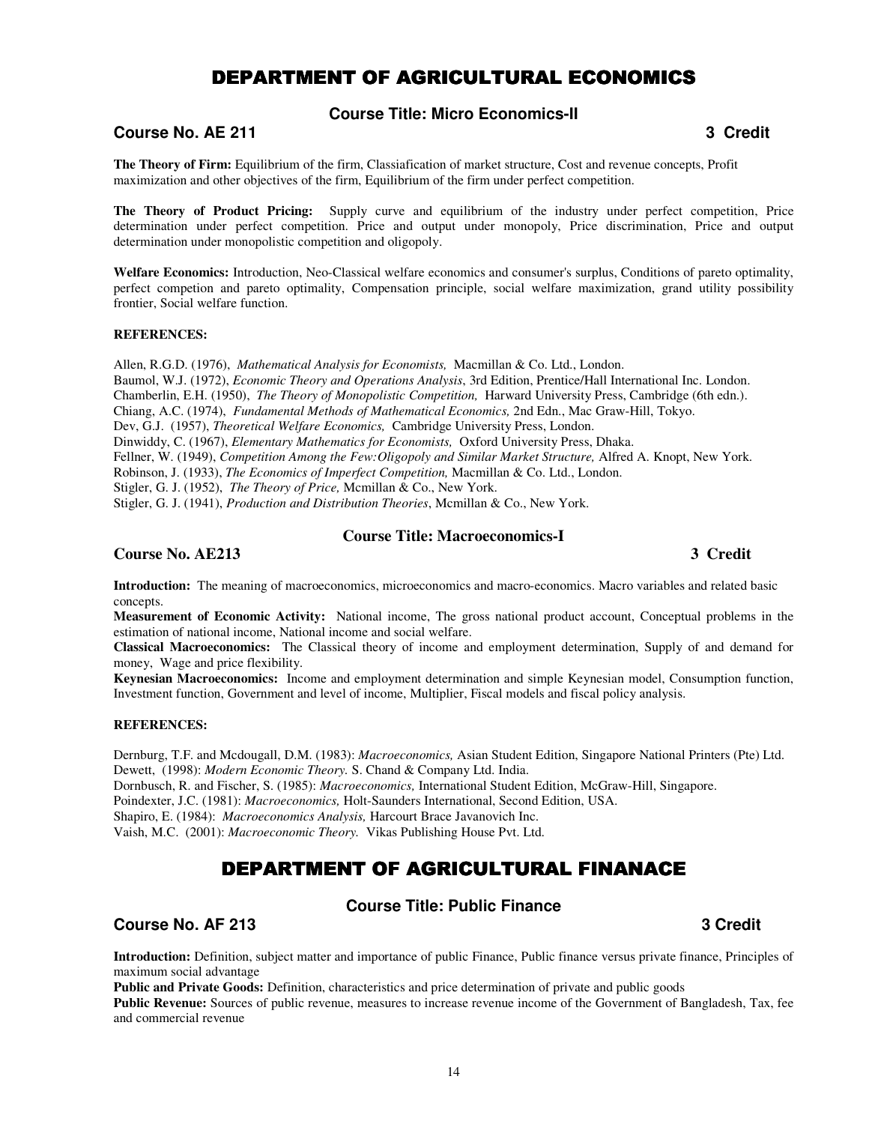# DEPARTMENT OF AGRICULTURAL ECONOMICS

## **Course Title: Micro Economics-II**

# **Course No. AE 211 Course No. AE 211**

**The Theory of Firm:** Equilibrium of the firm, Classiafication of market structure, Cost and revenue concepts, Profit maximization and other objectives of the firm, Equilibrium of the firm under perfect competition.

**The Theory of Product Pricing:** Supply curve and equilibrium of the industry under perfect competition, Price determination under perfect competition. Price and output under monopoly, Price discrimination, Price and output determination under monopolistic competition and oligopoly.

**Welfare Economics:** Introduction, Neo-Classical welfare economics and consumer's surplus, Conditions of pareto optimality, perfect competion and pareto optimality, Compensation principle, social welfare maximization, grand utility possibility frontier, Social welfare function.

#### **REFERENCES:**

Allen, R.G.D. (1976), *Mathematical Analysis for Economists,* Macmillan & Co. Ltd., London. Baumol, W.J. (1972), *Economic Theory and Operations Analysis*, 3rd Edition, Prentice/Hall International Inc. London. Chamberlin, E.H. (1950), *The Theory of Monopolistic Competition,* Harward University Press, Cambridge (6th edn.). Chiang, A.C. (1974), *Fundamental Methods of Mathematical Economics,* 2nd Edn., Mac Graw-Hill, Tokyo. Dev, G.J. (1957), *Theoretical Welfare Economics,* Cambridge University Press, London. Dinwiddy, C. (1967), *Elementary Mathematics for Economists,* Oxford University Press, Dhaka. Fellner, W. (1949), *Competition Among the Few:Oligopoly and Similar Market Structure,* Alfred A. Knopt, New York. Robinson, J. (1933), *The Economics of Imperfect Competition,* Macmillan & Co. Ltd., London. Stigler, G. J. (1952), *The Theory of Price,* Mcmillan & Co., New York. Stigler, G. J. (1941), *Production and Distribution Theories*, Mcmillan & Co., New York.

## **Course Title: Macroeconomics-I**

## **Course No. AE213** 3 Credit **3** Credit **3** 2 Credit **3** 3 Credit **3** 3 Credit **3** 3 Credit **3** 3 Credit **3** 3 Credit **3** 3 Credit **3** 3 Credit **3** 3 Credit **3** 3 Credit **3** 3 Credit **3** 3 Credit **3** 3 Credit **3** 3 Credit

**Introduction:** The meaning of macroeconomics, microeconomics and macro-economics. Macro variables and related basic concepts.

**Measurement of Economic Activity:** National income, The gross national product account, Conceptual problems in the estimation of national income, National income and social welfare.

**Classical Macroeconomics:** The Classical theory of income and employment determination, Supply of and demand for money, Wage and price flexibility.

**Keynesian Macroeconomics:** Income and employment determination and simple Keynesian model, Consumption function, Investment function, Government and level of income, Multiplier, Fiscal models and fiscal policy analysis.

#### **REFERENCES:**

Dernburg, T.F. and Mcdougall, D.M. (1983): *Macroeconomics,* Asian Student Edition, Singapore National Printers (Pte) Ltd. Dewett, (1998): *Modern Economic Theory.* S. Chand & Company Ltd. India.

Dornbusch, R. and Fischer, S. (1985): *Macroeconomics,* International Student Edition, McGraw-Hill, Singapore.

Poindexter, J.C. (1981): *Macroeconomics,* Holt-Saunders International, Second Edition, USA.

Shapiro, E. (1984): *Macroeconomics Analysis,* Harcourt Brace Javanovich Inc.

Vaish, M.C. (2001): *Macroeconomic Theory.* Vikas Publishing House Pvt. Ltd.

# DEPARTMENT OF AGRICULTURAL FINANACE

# **Course Title: Public Finance**

**Course No. AF 213 Credit Course No. AF 213** 

**Introduction:** Definition, subject matter and importance of public Finance, Public finance versus private finance, Principles of maximum social advantage

**Public and Private Goods:** Definition, characteristics and price determination of private and public goods

**Public Revenue:** Sources of public revenue, measures to increase revenue income of the Government of Bangladesh, Tax, fee and commercial revenue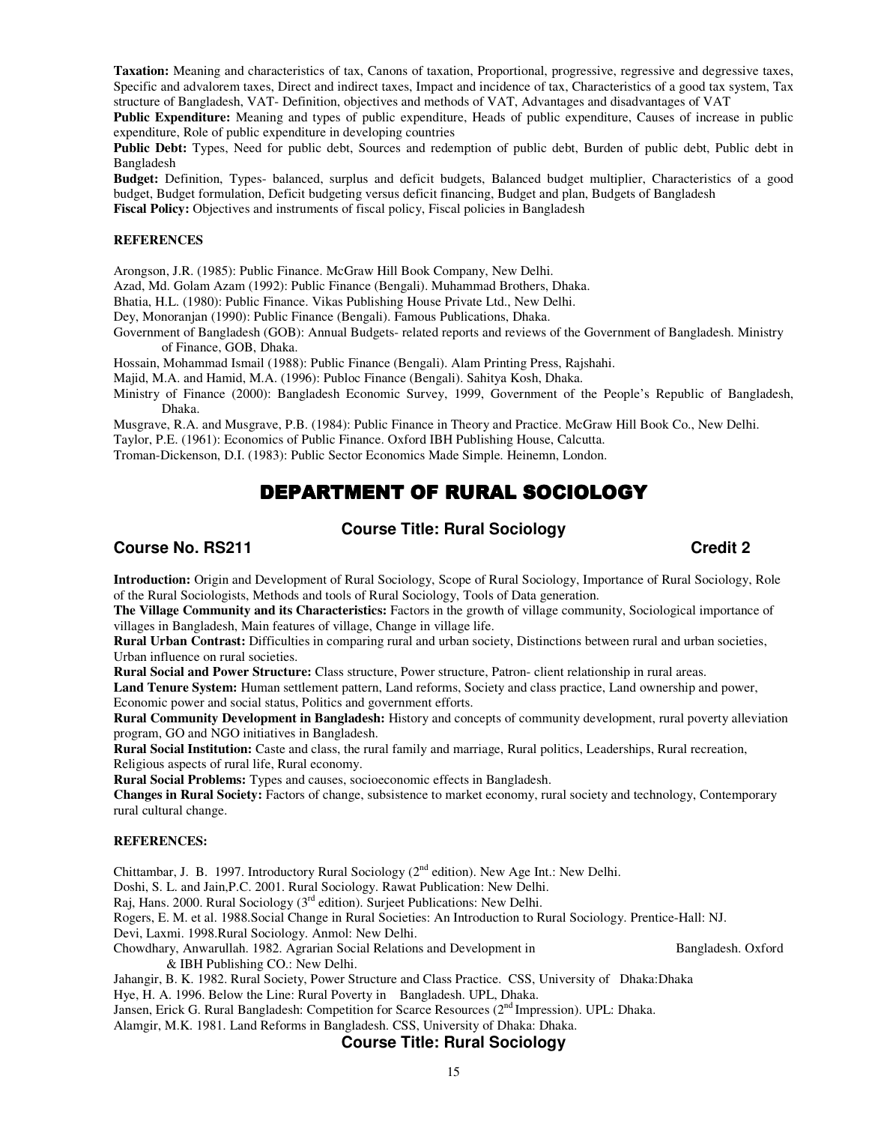**Taxation:** Meaning and characteristics of tax, Canons of taxation, Proportional, progressive, regressive and degressive taxes, Specific and advalorem taxes, Direct and indirect taxes, Impact and incidence of tax, Characteristics of a good tax system, Tax structure of Bangladesh, VAT- Definition, objectives and methods of VAT, Advantages and disadvantages of VAT

**Public Expenditure:** Meaning and types of public expenditure, Heads of public expenditure, Causes of increase in public expenditure, Role of public expenditure in developing countries

**Public Debt:** Types, Need for public debt, Sources and redemption of public debt, Burden of public debt, Public debt in Bangladesh

**Budget:** Definition, Types- balanced, surplus and deficit budgets, Balanced budget multiplier, Characteristics of a good budget, Budget formulation, Deficit budgeting versus deficit financing, Budget and plan, Budgets of Bangladesh **Fiscal Policy:** Objectives and instruments of fiscal policy, Fiscal policies in Bangladesh

#### **REFERENCES**

Arongson, J.R. (1985): Public Finance. McGraw Hill Book Company, New Delhi.

Azad, Md. Golam Azam (1992): Public Finance (Bengali). Muhammad Brothers, Dhaka.

Bhatia, H.L. (1980): Public Finance. Vikas Publishing House Private Ltd., New Delhi.

Dey, Monoranjan (1990): Public Finance (Bengali). Famous Publications, Dhaka.

Government of Bangladesh (GOB): Annual Budgets- related reports and reviews of the Government of Bangladesh. Ministry of Finance, GOB, Dhaka.

Hossain, Mohammad Ismail (1988): Public Finance (Bengali). Alam Printing Press, Rajshahi.

Majid, M.A. and Hamid, M.A. (1996): Publoc Finance (Bengali). Sahitya Kosh, Dhaka.

Ministry of Finance (2000): Bangladesh Economic Survey, 1999, Government of the People's Republic of Bangladesh, Dhaka.

Musgrave, R.A. and Musgrave, P.B. (1984): Public Finance in Theory and Practice. McGraw Hill Book Co., New Delhi.

Taylor, P.E. (1961): Economics of Public Finance. Oxford IBH Publishing House, Calcutta.

Troman-Dickenson, D.I. (1983): Public Sector Economics Made Simple. Heinemn, London.

# DEPARTMENT OF RURAL SOCIOLOGY

## **Course Title: Rural Sociology**

## **Course No. RS211** Credit 2 **Credit 2**

**Introduction:** Origin and Development of Rural Sociology, Scope of Rural Sociology, Importance of Rural Sociology, Role of the Rural Sociologists, Methods and tools of Rural Sociology, Tools of Data generation.

**The Village Community and its Characteristics:** Factors in the growth of village community, Sociological importance of villages in Bangladesh, Main features of village, Change in village life.

**Rural Urban Contrast:** Difficulties in comparing rural and urban society, Distinctions between rural and urban societies, Urban influence on rural societies.

**Rural Social and Power Structure:** Class structure, Power structure, Patron- client relationship in rural areas.

**Land Tenure System:** Human settlement pattern, Land reforms, Society and class practice, Land ownership and power, Economic power and social status, Politics and government efforts.

**Rural Community Development in Bangladesh:** History and concepts of community development, rural poverty alleviation program, GO and NGO initiatives in Bangladesh.

**Rural Social Institution:** Caste and class, the rural family and marriage, Rural politics, Leaderships, Rural recreation, Religious aspects of rural life, Rural economy.

**Rural Social Problems:** Types and causes, socioeconomic effects in Bangladesh.

**Changes in Rural Society:** Factors of change, subsistence to market economy, rural society and technology, Contemporary rural cultural change.

#### **REFERENCES:**

Chittambar, J. B. 1997. Introductory Rural Sociology (2nd edition). New Age Int.: New Delhi.

Doshi, S. L. and Jain,P.C. 2001. Rural Sociology. Rawat Publication: New Delhi.

Raj, Hans. 2000. Rural Sociology (3<sup>rd</sup> edition). Surjeet Publications: New Delhi.

Rogers, E. M. et al. 1988.Social Change in Rural Societies: An Introduction to Rural Sociology. Prentice-Hall: NJ.

Devi, Laxmi. 1998.Rural Sociology. Anmol: New Delhi.

Chowdhary, Anwarullah. 1982. Agrarian Social Relations and Development in Bangladesh. Oxford

& IBH Publishing CO.: New Delhi.

Jahangir, B. K. 1982. Rural Society, Power Structure and Class Practice. CSS, University of Dhaka:Dhaka Hye, H. A. 1996. Below the Line: Rural Poverty in Bangladesh. UPL, Dhaka. Jansen, Erick G. Rural Bangladesh: Competition for Scarce Resources (2<sup>nd</sup> Impression). UPL: Dhaka.

Alamgir, M.K. 1981. Land Reforms in Bangladesh. CSS, University of Dhaka: Dhaka.

#### **Course Title: Rural Sociology**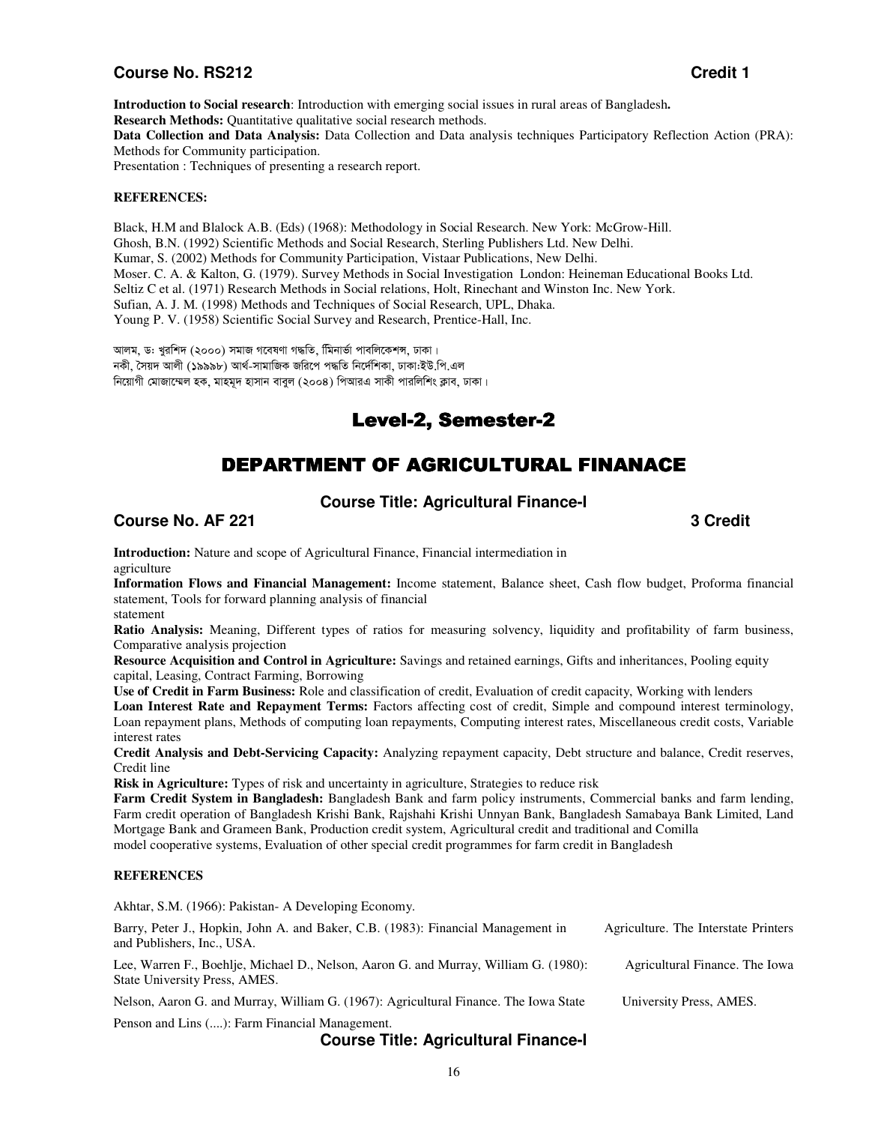## **Course No. RS212 Credit 1**

**Introduction to Social research**: Introduction with emerging social issues in rural areas of Bangladesh**. Research Methods:** Quantitative qualitative social research methods. **Data Collection and Data Analysis:** Data Collection and Data analysis techniques Participatory Reflection Action (PRA): Methods for Community participation.

Presentation : Techniques of presenting a research report.

#### **REFERENCES:**

Black, H.M and Blalock A.B. (Eds) (1968): Methodology in Social Research. New York: McGrow-Hill. Ghosh, B.N. (1992) Scientific Methods and Social Research, Sterling Publishers Ltd. New Delhi. Kumar, S. (2002) Methods for Community Participation, Vistaar Publications, New Delhi. Moser. C. A. & Kalton, G. (1979). Survey Methods in Social Investigation London: Heineman Educational Books Ltd. Seltiz C et al. (1971) Research Methods in Social relations, Holt, Rinechant and Winston Inc. New York. Sufian, A. J. M. (1998) Methods and Techniques of Social Research, UPL, Dhaka. Young P. V. (1958) Scientific Social Survey and Research, Prentice-Hall, Inc.

আলম, ড: খুরশিদ (২০০০) সমাজ গবেষণা গদ্ধতি, মিিনার্ভা পাবলিকেশস, ঢাকা। নকী, সৈয়দ আলী (১৯৯৯৮) আৰ্থ-সামাজিক জরিপে পদ্ধতি নির্দেশিকা, ঢাকা:ইউ.পি.এল নিয়োগী মোজাম্মেল হক, মাহমূদ হাসান বাবুল (২০০৪) পিআরএ সাকী পারলিশিং ক্লাব, ঢাকা।

# Level-2, Semester-2

# DEPARTMENT OF AGRICULTURAL FINANACE

# **Course Title: Agricultural Finance-I**

**Course No. AF 221 3 Credit 2018** 

**Introduction:** Nature and scope of Agricultural Finance, Financial intermediation in agriculture

**Information Flows and Financial Management:** Income statement, Balance sheet, Cash flow budget, Proforma financial statement, Tools for forward planning analysis of financial

statement

**Ratio Analysis:** Meaning, Different types of ratios for measuring solvency, liquidity and profitability of farm business, Comparative analysis projection

**Resource Acquisition and Control in Agriculture:** Savings and retained earnings, Gifts and inheritances, Pooling equity capital, Leasing, Contract Farming, Borrowing

**Use of Credit in Farm Business:** Role and classification of credit, Evaluation of credit capacity, Working with lenders

**Loan Interest Rate and Repayment Terms:** Factors affecting cost of credit, Simple and compound interest terminology, Loan repayment plans, Methods of computing loan repayments, Computing interest rates, Miscellaneous credit costs, Variable interest rates

**Credit Analysis and Debt-Servicing Capacity:** Analyzing repayment capacity, Debt structure and balance, Credit reserves, Credit line

**Risk in Agriculture:** Types of risk and uncertainty in agriculture, Strategies to reduce risk

**Farm Credit System in Bangladesh:** Bangladesh Bank and farm policy instruments, Commercial banks and farm lending, Farm credit operation of Bangladesh Krishi Bank, Rajshahi Krishi Unnyan Bank, Bangladesh Samabaya Bank Limited, Land Mortgage Bank and Grameen Bank, Production credit system, Agricultural credit and traditional and Comilla model cooperative systems, Evaluation of other special credit programmes for farm credit in Bangladesh

#### **REFERENCES**

Akhtar, S.M. (1966): Pakistan- A Developing Economy.

| Barry, Peter J., Hopkin, John A. and Baker, C.B. (1983): Financial Management in<br>and Publishers, Inc., USA.        | Agriculture. The Interstate Printers |
|-----------------------------------------------------------------------------------------------------------------------|--------------------------------------|
| Lee, Warren F., Boehlje, Michael D., Nelson, Aaron G. and Murray, William G. (1980):<br>State University Press, AMES. | Agricultural Finance. The Iowa       |
| Nelson, Aaron G. and Murray, William G. (1967): Agricultural Finance. The Iowa State                                  | University Press, AMES.              |
| Penson and Lins (): Farm Financial Management.                                                                        |                                      |

## **Course Title: Agricultural Finance-I**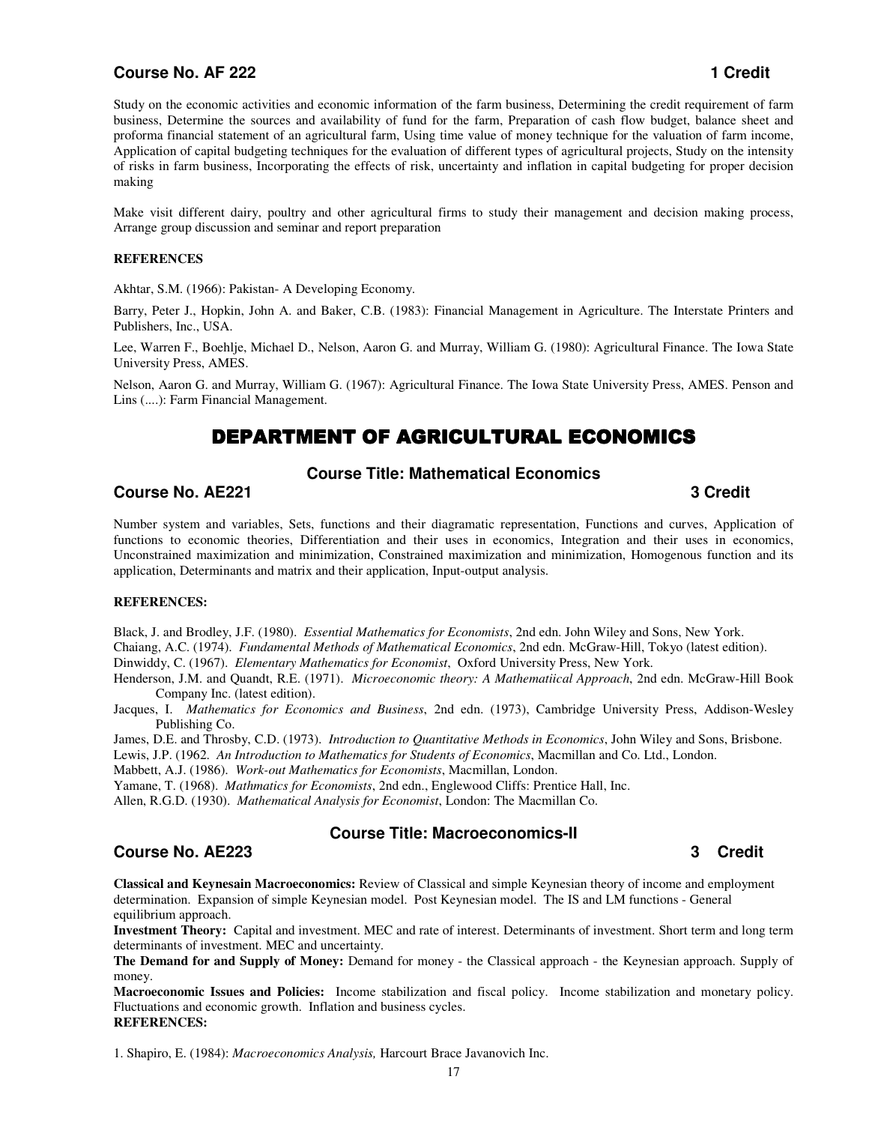## **Course No. AF 222 1 Credit**

Study on the economic activities and economic information of the farm business, Determining the credit requirement of farm business, Determine the sources and availability of fund for the farm, Preparation of cash flow budget, balance sheet and proforma financial statement of an agricultural farm, Using time value of money technique for the valuation of farm income, Application of capital budgeting techniques for the evaluation of different types of agricultural projects, Study on the intensity of risks in farm business, Incorporating the effects of risk, uncertainty and inflation in capital budgeting for proper decision making

Make visit different dairy, poultry and other agricultural firms to study their management and decision making process, Arrange group discussion and seminar and report preparation

#### **REFERENCES**

Akhtar, S.M. (1966): Pakistan- A Developing Economy.

Barry, Peter J., Hopkin, John A. and Baker, C.B. (1983): Financial Management in Agriculture. The Interstate Printers and Publishers, Inc., USA.

Lee, Warren F., Boehlje, Michael D., Nelson, Aaron G. and Murray, William G. (1980): Agricultural Finance. The Iowa State University Press, AMES.

Nelson, Aaron G. and Murray, William G. (1967): Agricultural Finance. The Iowa State University Press, AMES. Penson and Lins (....): Farm Financial Management.

# DEPARTMENT OF AGRICULTURAL ECONOMICS

## **Course Title: Mathematical Economics**

# **Course No. AE221 3 Credit**

Number system and variables, Sets, functions and their diagramatic representation, Functions and curves, Application of functions to economic theories, Differentiation and their uses in economics, Integration and their uses in economics, Unconstrained maximization and minimization, Constrained maximization and minimization, Homogenous function and its application, Determinants and matrix and their application, Input-output analysis.

#### **REFERENCES:**

Black, J. and Brodley, J.F. (1980). *Essential Mathematics for Economists*, 2nd edn. John Wiley and Sons, New York. Chaiang, A.C. (1974). *Fundamental Methods of Mathematical Economics*, 2nd edn. McGraw-Hill, Tokyo (latest edition). Dinwiddy, C. (1967). *Elementary Mathematics for Economist*, Oxford University Press, New York.

Henderson, J.M. and Quandt, R.E. (1971). *Microeconomic theory: A Mathematiical Approach*, 2nd edn. McGraw-Hill Book Company Inc. (latest edition).

Jacques, I. *Mathematics for Economics and Business*, 2nd edn. (1973), Cambridge University Press, Addison-Wesley Publishing Co.

James, D.E. and Throsby, C.D. (1973). *Introduction to Quantitative Methods in Economics*, John Wiley and Sons, Brisbone.

Lewis, J.P. (1962. *An Introduction to Mathematics for Students of Economics*, Macmillan and Co. Ltd., London.

Mabbett, A.J. (1986). *Work-out Mathematics for Economists*, Macmillan, London.

Yamane, T. (1968). *Mathmatics for Economists*, 2nd edn., Englewood Cliffs: Prentice Hall, Inc.

Allen, R.G.D. (1930). *Mathematical Analysis for Economist*, London: The Macmillan Co.

#### **Course No. AE223 3 Credit**

#### **Course Title: Macroeconomics-II**

**Classical and Keynesain Macroeconomics:** Review of Classical and simple Keynesian theory of income and employment determination. Expansion of simple Keynesian model. Post Keynesian model. The IS and LM functions - General equilibrium approach.

**Investment Theory:** Capital and investment. MEC and rate of interest. Determinants of investment. Short term and long term determinants of investment. MEC and uncertainty.

**The Demand for and Supply of Money:** Demand for money - the Classical approach - the Keynesian approach. Supply of money.

**Macroeconomic Issues and Policies:** Income stabilization and fiscal policy. Income stabilization and monetary policy. Fluctuations and economic growth. Inflation and business cycles. **REFERENCES:** 

1. Shapiro, E. (1984): *Macroeconomics Analysis,* Harcourt Brace Javanovich Inc.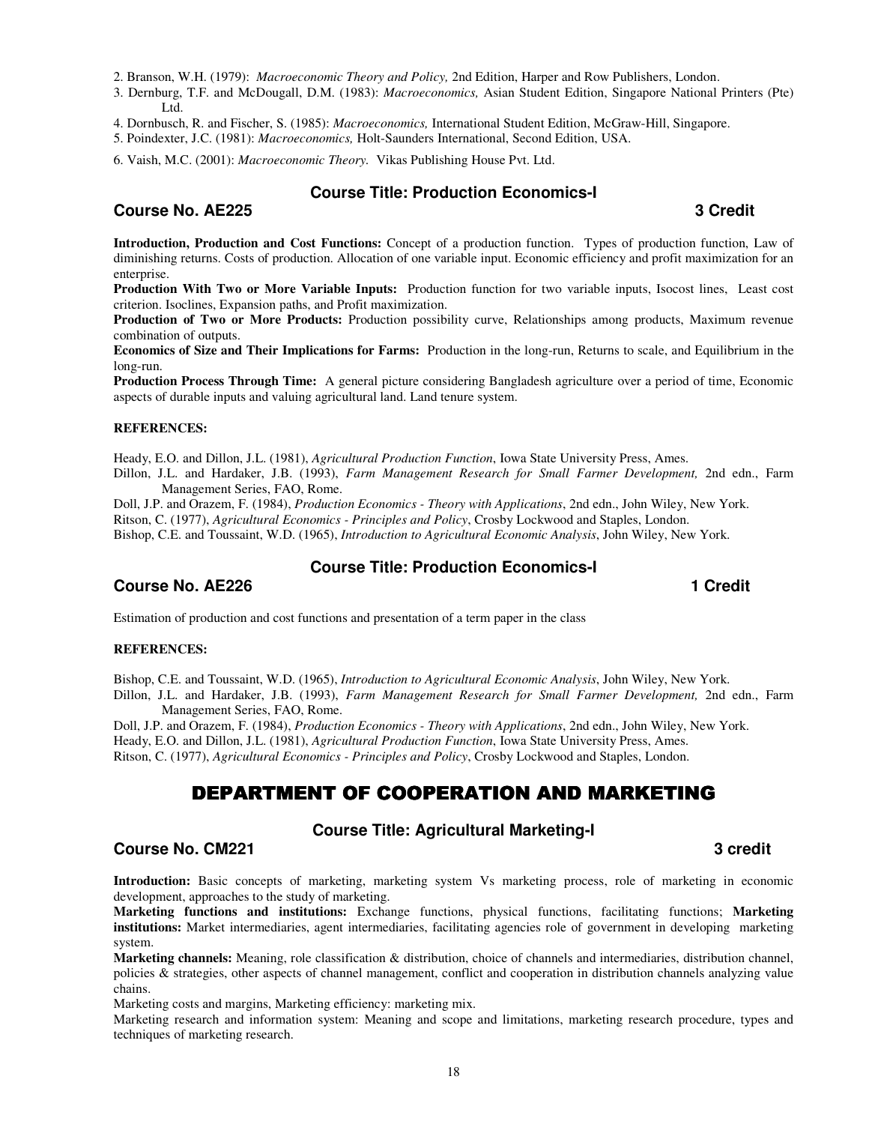2. Branson, W.H. (1979): *Macroeconomic Theory and Policy,* 2nd Edition, Harper and Row Publishers, London.

- 3. Dernburg, T.F. and McDougall, D.M. (1983): *Macroeconomics,* Asian Student Edition, Singapore National Printers (Pte) Ltd.
- 4. Dornbusch, R. and Fischer, S. (1985): *Macroeconomics,* International Student Edition, McGraw-Hill, Singapore.
- 5. Poindexter, J.C. (1981): *Macroeconomics,* Holt-Saunders International, Second Edition, USA.

6. Vaish, M.C. (2001): *Macroeconomic Theory.* Vikas Publishing House Pvt. Ltd.

#### **Course No. AE225 3 Credit**

## **Course Title: Production Economics-I**

**Introduction, Production and Cost Functions:** Concept of a production function. Types of production function, Law of diminishing returns. Costs of production. Allocation of one variable input. Economic efficiency and profit maximization for an enterprise.

**Production With Two or More Variable Inputs:** Production function for two variable inputs, Isocost lines, Least cost criterion. Isoclines, Expansion paths, and Profit maximization.

**Production of Two or More Products:** Production possibility curve, Relationships among products, Maximum revenue combination of outputs.

**Economics of Size and Their Implications for Farms:** Production in the long-run, Returns to scale, and Equilibrium in the long-run.

**Production Process Through Time:** A general picture considering Bangladesh agriculture over a period of time, Economic aspects of durable inputs and valuing agricultural land. Land tenure system.

#### **REFERENCES:**

Heady, E.O. and Dillon, J.L. (1981), *Agricultural Production Function*, Iowa State University Press, Ames.

Dillon, J.L. and Hardaker, J.B. (1993), *Farm Management Research for Small Farmer Development,* 2nd edn., Farm Management Series, FAO, Rome.

Doll, J.P. and Orazem, F. (1984), *Production Economics - Theory with Applications*, 2nd edn., John Wiley, New York.

Ritson, C. (1977), *Agricultural Economics - Principles and Policy*, Crosby Lockwood and Staples, London.

Bishop, C.E. and Toussaint, W.D. (1965), *Introduction to Agricultural Economic Analysis*, John Wiley, New York.

#### **Course No. AE226 1 Credit 2008 1 Credit 2008 1 Credit 2008 1 Credit 2008 1 Credit**

# **Course Title: Production Economics-I**

Estimation of production and cost functions and presentation of a term paper in the class

#### **REFERENCES:**

Bishop, C.E. and Toussaint, W.D. (1965), *Introduction to Agricultural Economic Analysis*, John Wiley, New York.

Dillon, J.L. and Hardaker, J.B. (1993), *Farm Management Research for Small Farmer Development,* 2nd edn., Farm Management Series, FAO, Rome.

Doll, J.P. and Orazem, F. (1984), *Production Economics - Theory with Applications*, 2nd edn., John Wiley, New York. Heady, E.O. and Dillon, J.L. (1981), *Agricultural Production Function*, Iowa State University Press, Ames. Ritson, C. (1977), *Agricultural Economics - Principles and Policy*, Crosby Lockwood and Staples, London.

# DEPARTMENT OF COOPERATION AND MARKETING

## **Course Title: Agricultural Marketing-I**

## **Course No. CM221** 3 credit

**Introduction:** Basic concepts of marketing, marketing system Vs marketing process, role of marketing in economic development, approaches to the study of marketing.

**Marketing functions and institutions:** Exchange functions, physical functions, facilitating functions; **Marketing institutions:** Market intermediaries, agent intermediaries, facilitating agencies role of government in developing marketing system.

**Marketing channels:** Meaning, role classification & distribution, choice of channels and intermediaries, distribution channel, policies & strategies, other aspects of channel management, conflict and cooperation in distribution channels analyzing value chains.

Marketing costs and margins, Marketing efficiency: marketing mix.

Marketing research and information system: Meaning and scope and limitations, marketing research procedure, types and techniques of marketing research.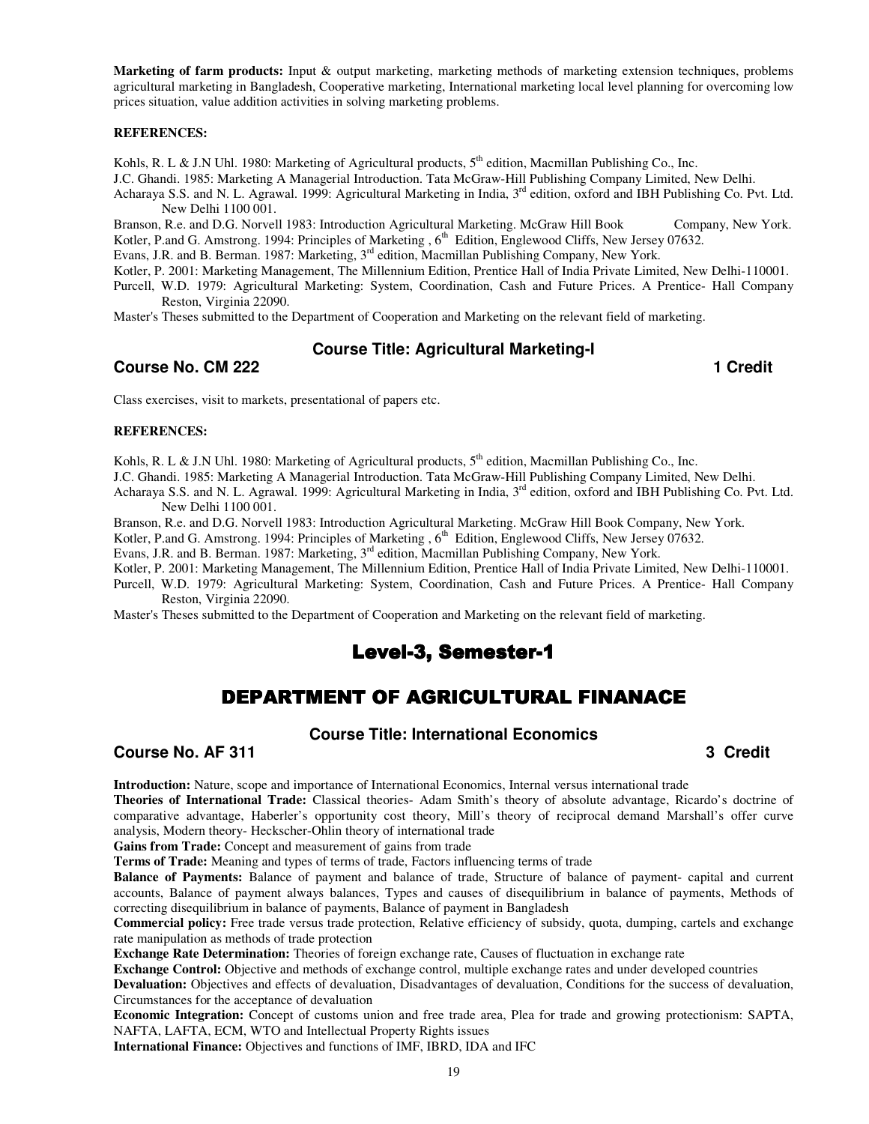**Marketing of farm products:** Input & output marketing, marketing methods of marketing extension techniques, problems agricultural marketing in Bangladesh, Cooperative marketing, International marketing local level planning for overcoming low prices situation, value addition activities in solving marketing problems.

#### **REFERENCES:**

Kohls, R. L & J.N Uhl. 1980: Marketing of Agricultural products,  $5<sup>th</sup>$  edition, Macmillan Publishing Co., Inc.

J.C. Ghandi. 1985: Marketing A Managerial Introduction. Tata McGraw-Hill Publishing Company Limited, New Delhi.

Acharaya S.S. and N. L. Agrawal. 1999: Agricultural Marketing in India, 3<sup>rd</sup> edition, oxford and IBH Publishing Co. Pvt. Ltd. New Delhi 1100 001.

Branson, R.e. and D.G. Norvell 1983: Introduction Agricultural Marketing. McGraw Hill Book Company, New York. Kotler, P.and G. Amstrong. 1994: Principles of Marketing , 6<sup>th</sup> Edition, Englewood Cliffs, New Jersey 07632.

Evans, J.R. and B. Berman. 1987: Marketing, 3rd edition, Macmillan Publishing Company, New York.

Kotler, P. 2001: Marketing Management, The Millennium Edition, Prentice Hall of India Private Limited, New Delhi-110001.

Purcell, W.D. 1979: Agricultural Marketing: System, Coordination, Cash and Future Prices. A Prentice- Hall Company Reston, Virginia 22090.

Master's Theses submitted to the Department of Cooperation and Marketing on the relevant field of marketing.

## **Course Title: Agricultural Marketing-I**

**Course No. CM 222 1 Credit 2008** 

Class exercises, visit to markets, presentational of papers etc.

#### **REFERENCES:**

Kohls, R. L & J.N Uhl. 1980: Marketing of Agricultural products, 5<sup>th</sup> edition, Macmillan Publishing Co., Inc.

J.C. Ghandi. 1985: Marketing A Managerial Introduction. Tata McGraw-Hill Publishing Company Limited, New Delhi.

Acharaya S.S. and N. L. Agrawal. 1999: Agricultural Marketing in India, 3<sup>rd</sup> edition, oxford and IBH Publishing Co. Pvt. Ltd. New Delhi 1100 001.

Branson, R.e. and D.G. Norvell 1983: Introduction Agricultural Marketing. McGraw Hill Book Company, New York.

Kotler, P.and G. Amstrong. 1994: Principles of Marketing , 6<sup>th</sup> Edition, Englewood Cliffs, New Jersey 07632.

Evans, J.R. and B. Berman. 1987: Marketing, 3rd edition, Macmillan Publishing Company, New York.

Kotler, P. 2001: Marketing Management, The Millennium Edition, Prentice Hall of India Private Limited, New Delhi-110001.

Purcell, W.D. 1979: Agricultural Marketing: System, Coordination, Cash and Future Prices. A Prentice- Hall Company Reston, Virginia 22090.

Master's Theses submitted to the Department of Cooperation and Marketing on the relevant field of marketing.

# Level-3, Semester-1

# DEPARTMENT OF AGRICULTURAL FINANACE

#### **Course Title: International Economics**

**Course No. AF 311 3 Credit 2 Course No. AF 311 3 Credit 2 Credit 2 Credit 2 Credit 2 Credit 2 Credit 2 Credit 2 Credit 2 Credit 2 Credit 2 Credit 2 Credit 2 Credit 2 Credit 2 Credit 2 Credit 2 Credit 2 Credit 2 Credit 2 C** 

**Introduction:** Nature, scope and importance of International Economics, Internal versus international trade

**Theories of International Trade:** Classical theories- Adam Smith's theory of absolute advantage, Ricardo's doctrine of comparative advantage, Haberler's opportunity cost theory, Mill's theory of reciprocal demand Marshall's offer curve analysis, Modern theory- Heckscher-Ohlin theory of international trade

**Gains from Trade:** Concept and measurement of gains from trade

**Terms of Trade:** Meaning and types of terms of trade, Factors influencing terms of trade

**Balance of Payments:** Balance of payment and balance of trade, Structure of balance of payment- capital and current accounts, Balance of payment always balances, Types and causes of disequilibrium in balance of payments, Methods of correcting disequilibrium in balance of payments, Balance of payment in Bangladesh

**Commercial policy:** Free trade versus trade protection, Relative efficiency of subsidy, quota, dumping, cartels and exchange rate manipulation as methods of trade protection

**Exchange Rate Determination:** Theories of foreign exchange rate, Causes of fluctuation in exchange rate

**Exchange Control:** Objective and methods of exchange control, multiple exchange rates and under developed countries

**Devaluation:** Objectives and effects of devaluation, Disadvantages of devaluation, Conditions for the success of devaluation, Circumstances for the acceptance of devaluation

**Economic Integration:** Concept of customs union and free trade area, Plea for trade and growing protectionism: SAPTA, NAFTA, LAFTA, ECM, WTO and Intellectual Property Rights issues

**International Finance:** Objectives and functions of IMF, IBRD, IDA and IFC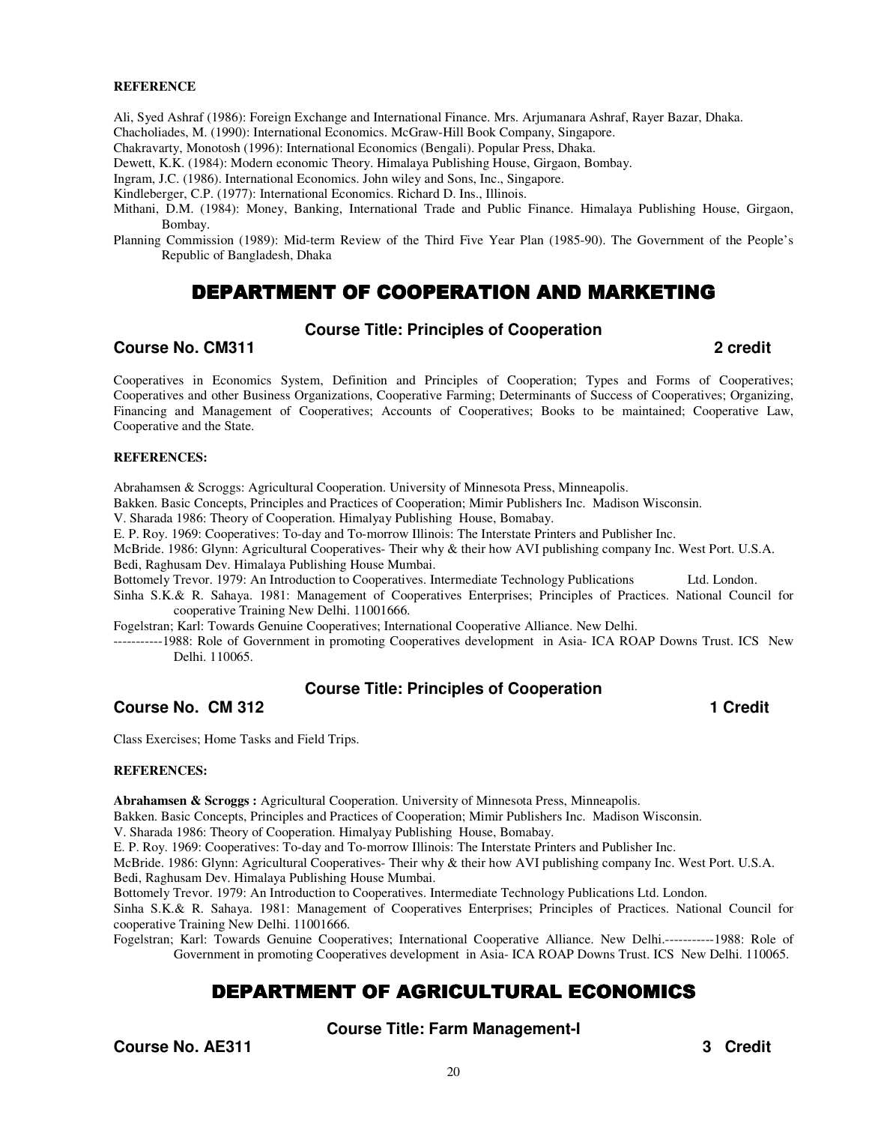#### **REFERENCE**

Ali, Syed Ashraf (1986): Foreign Exchange and International Finance. Mrs. Arjumanara Ashraf, Rayer Bazar, Dhaka. Chacholiades, M. (1990): International Economics. McGraw-Hill Book Company, Singapore.

Chakravarty, Monotosh (1996): International Economics (Bengali). Popular Press, Dhaka.

Dewett, K.K. (1984): Modern economic Theory. Himalaya Publishing House, Girgaon, Bombay.

Ingram, J.C. (1986). International Economics. John wiley and Sons, Inc., Singapore.

Kindleberger, C.P. (1977): International Economics. Richard D. Ins., Illinois.

Mithani, D.M. (1984): Money, Banking, International Trade and Public Finance. Himalaya Publishing House, Girgaon, Bombay.

Planning Commission (1989): Mid-term Review of the Third Five Year Plan (1985-90). The Government of the People's Republic of Bangladesh, Dhaka

# DEPARTMENT OF COOPERATION AND MARKETING

#### **Course Title: Principles of Cooperation**

#### **Course No. CM311 2 credit**

Cooperatives in Economics System, Definition and Principles of Cooperation; Types and Forms of Cooperatives; Cooperatives and other Business Organizations, Cooperative Farming; Determinants of Success of Cooperatives; Organizing, Financing and Management of Cooperatives; Accounts of Cooperatives; Books to be maintained; Cooperative Law, Cooperative and the State.

#### **REFERENCES:**

Abrahamsen & Scroggs: Agricultural Cooperation. University of Minnesota Press, Minneapolis.

Bakken. Basic Concepts, Principles and Practices of Cooperation; Mimir Publishers Inc. Madison Wisconsin.

V. Sharada 1986: Theory of Cooperation. Himalyay Publishing House, Bomabay.

E. P. Roy. 1969: Cooperatives: To-day and To-morrow Illinois: The Interstate Printers and Publisher Inc.

McBride. 1986: Glynn: Agricultural Cooperatives- Their why & their how AVI publishing company Inc. West Port. U.S.A. Bedi, Raghusam Dev. Himalaya Publishing House Mumbai.

Bottomely Trevor. 1979: An Introduction to Cooperatives. Intermediate Technology Publications Ltd. London.

Sinha S.K.& R. Sahaya. 1981: Management of Cooperatives Enterprises; Principles of Practices. National Council for cooperative Training New Delhi. 11001666.

Fogelstran; Karl: Towards Genuine Cooperatives; International Cooperative Alliance. New Delhi.

-----------1988: Role of Government in promoting Cooperatives development in Asia- ICA ROAP Downs Trust. ICS New Delhi. 110065.

#### **Course Title: Principles of Cooperation**

**Course No. CM 312 1** Credit **1** 

Class Exercises; Home Tasks and Field Trips.

#### **REFERENCES:**

**Abrahamsen & Scroggs :** Agricultural Cooperation. University of Minnesota Press, Minneapolis.

Bakken. Basic Concepts, Principles and Practices of Cooperation; Mimir Publishers Inc. Madison Wisconsin.

V. Sharada 1986: Theory of Cooperation. Himalyay Publishing House, Bomabay.

E. P. Roy. 1969: Cooperatives: To-day and To-morrow Illinois: The Interstate Printers and Publisher Inc.

McBride. 1986: Glynn: Agricultural Cooperatives- Their why & their how AVI publishing company Inc. West Port. U.S.A. Bedi, Raghusam Dev. Himalaya Publishing House Mumbai.

Bottomely Trevor. 1979: An Introduction to Cooperatives. Intermediate Technology Publications Ltd. London.

Sinha S.K.& R. Sahaya. 1981: Management of Cooperatives Enterprises; Principles of Practices. National Council for cooperative Training New Delhi. 11001666.

Fogelstran; Karl: Towards Genuine Cooperatives; International Cooperative Alliance. New Delhi.-----------1988: Role of Government in promoting Cooperatives development in Asia- ICA ROAP Downs Trust. ICS New Delhi. 110065.

# DEPARTMENT OF AGRICULTURAL ECONOMICS

**Course Title: Farm Management-I** 

**Course No. AE311** 3 Credit **3** Credit **1**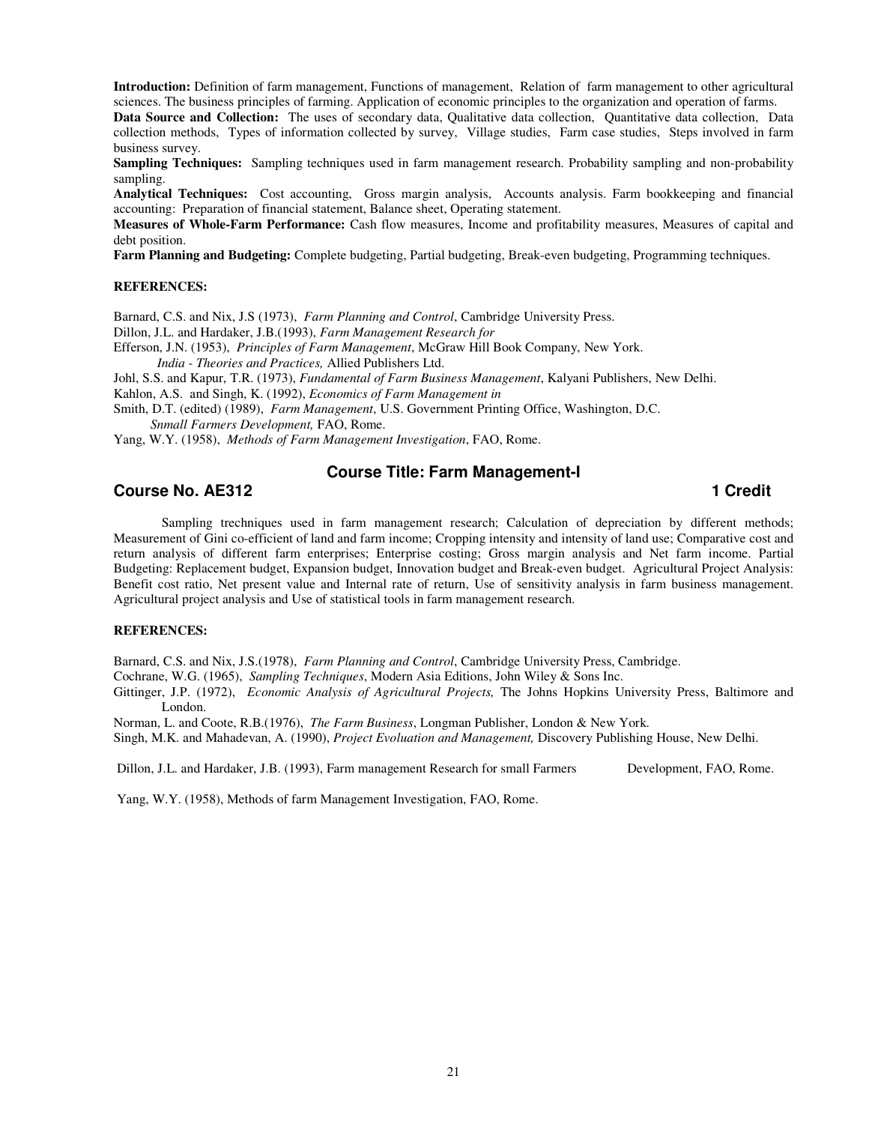**Introduction:** Definition of farm management, Functions of management, Relation of farm management to other agricultural sciences. The business principles of farming. Application of economic principles to the organization and operation of farms.

**Data Source and Collection:** The uses of secondary data, Qualitative data collection, Quantitative data collection, Data collection methods, Types of information collected by survey, Village studies, Farm case studies, Steps involved in farm business survey.

**Sampling Techniques:** Sampling techniques used in farm management research. Probability sampling and non-probability sampling.

**Analytical Techniques:** Cost accounting, Gross margin analysis, Accounts analysis. Farm bookkeeping and financial accounting: Preparation of financial statement, Balance sheet, Operating statement.

**Measures of Whole-Farm Performance:** Cash flow measures, Income and profitability measures, Measures of capital and debt position.

**Farm Planning and Budgeting:** Complete budgeting, Partial budgeting, Break-even budgeting, Programming techniques.

#### **REFERENCES:**

Barnard, C.S. and Nix, J.S (1973), *Farm Planning and Control*, Cambridge University Press.

Dillon, J.L. and Hardaker, J.B.(1993), *Farm Management Research for* 

Efferson, J.N. (1953), *Principles of Farm Management*, McGraw Hill Book Company, New York.

 *India - Theories and Practices,* Allied Publishers Ltd.

Johl, S.S. and Kapur, T.R. (1973), *Fundamental of Farm Business Management*, Kalyani Publishers, New Delhi.

Kahlon, A.S. and Singh, K. (1992), *Economics of Farm Management in* 

Smith, D.T. (edited) (1989), *Farm Management*, U.S. Government Printing Office, Washington, D.C.

 *Snmall Farmers Development,* FAO, Rome.

Yang, W.Y. (1958), *Methods of Farm Management Investigation*, FAO, Rome.

#### **Course Title: Farm Management-I**

#### **Course No. AE312 1** Credit **1**

 Sampling trechniques used in farm management research; Calculation of depreciation by different methods; Measurement of Gini co-efficient of land and farm income; Cropping intensity and intensity of land use; Comparative cost and return analysis of different farm enterprises; Enterprise costing; Gross margin analysis and Net farm income. Partial Budgeting: Replacement budget, Expansion budget, Innovation budget and Break-even budget. Agricultural Project Analysis: Benefit cost ratio, Net present value and Internal rate of return, Use of sensitivity analysis in farm business management. Agricultural project analysis and Use of statistical tools in farm management research.

#### **REFERENCES:**

Barnard, C.S. and Nix, J.S.(1978), *Farm Planning and Control*, Cambridge University Press, Cambridge.

Cochrane, W.G. (1965), *Sampling Techniques*, Modern Asia Editions, John Wiley & Sons Inc.

Gittinger, J.P. (1972), *Economic Analysis of Agricultural Projects,* The Johns Hopkins University Press, Baltimore and London.

Norman, L. and Coote, R.B.(1976), *The Farm Business*, Longman Publisher, London & New York.

Singh, M.K. and Mahadevan, A. (1990), *Project Evoluation and Management,* Discovery Publishing House, New Delhi.

Dillon, J.L. and Hardaker, J.B. (1993), Farm management Research for small Farmers Development, FAO, Rome.

Yang, W.Y. (1958), Methods of farm Management Investigation, FAO, Rome.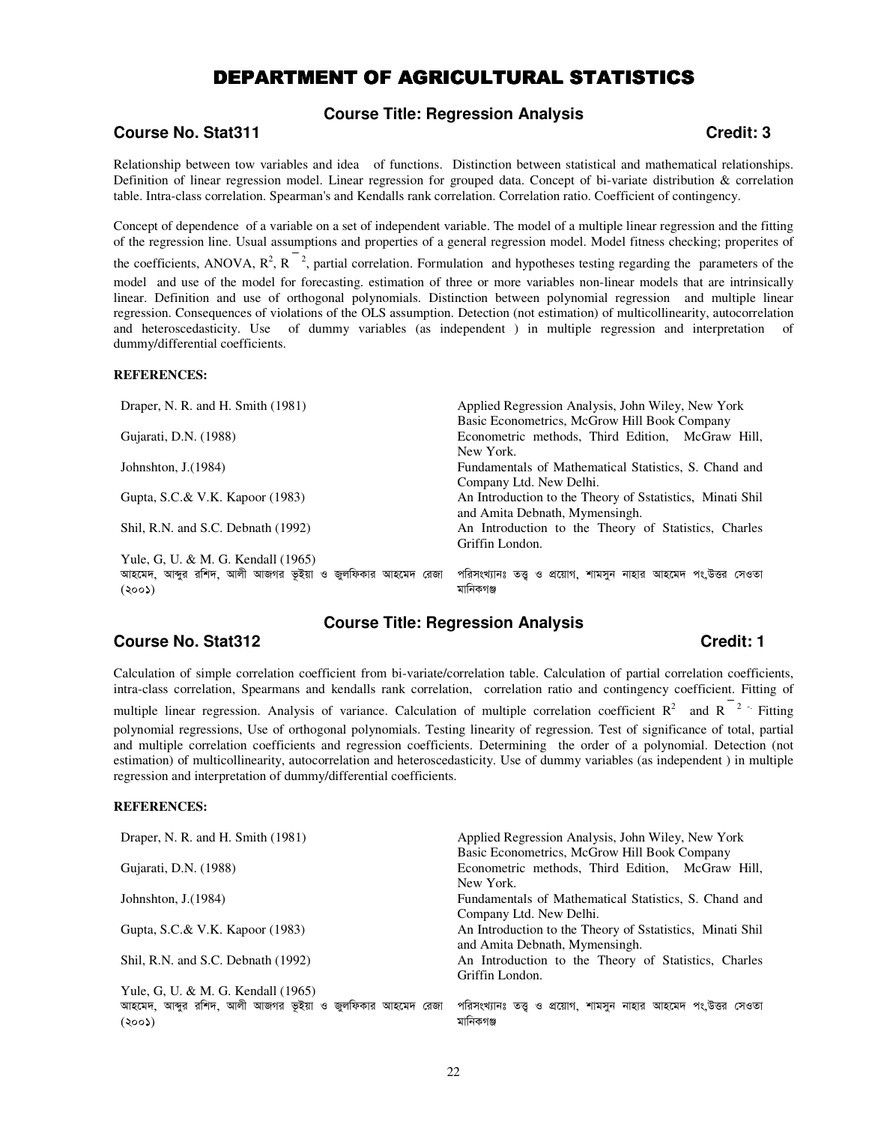# DEPARTMENT OF AGRICULTURAL STATISTICS

**Course Title: Regression Analysis** 

# **Course No. Stat311 Credit: 3**

Relationship between tow variables and idea of functions. Distinction between statistical and mathematical relationships. Definition of linear regression model. Linear regression for grouped data. Concept of bi-variate distribution & correlation table. Intra-class correlation. Spearman's and Kendalls rank correlation. Correlation ratio. Coefficient of contingency.

Concept of dependence of a variable on a set of independent variable. The model of a multiple linear regression and the fitting of the regression line. Usual assumptions and properties of a general regression model. Model fitness checking; properites of

the coefficients, ANOVA,  $R^2$ ,  $R^2$ , partial correlation. Formulation and hypotheses testing regarding the parameters of the model and use of the model for forecasting. estimation of three or more variables non-linear models that are intrinsically linear. Definition and use of orthogonal polynomials. Distinction between polynomial regression and multiple linear regression. Consequences of violations of the OLS assumption. Detection (not estimation) of multicollinearity, autocorrelation and heteroscedasticity. Use of dummy variables (as independent ) in multiple regression and interpretation of dummy/differential coefficients.

#### **REFERENCES:**

| Draper, N. R. and H. Smith (1981)                         | Applied Regression Analysis, John Wiley, New York            |
|-----------------------------------------------------------|--------------------------------------------------------------|
|                                                           | Basic Econometrics, McGrow Hill Book Company                 |
| Gujarati, D.N. (1988)                                     | Econometric methods, Third Edition, McGraw Hill,             |
|                                                           | New York.                                                    |
| Johnshton, $J(1984)$                                      | Fundamentals of Mathematical Statistics, S. Chand and        |
|                                                           | Company Ltd. New Delhi.                                      |
| Gupta, S.C.& V.K. Kapoor (1983)                           | An Introduction to the Theory of Sstatistics, Minati Shil    |
|                                                           | and Amita Debnath, Mymensingh.                               |
| Shil, R.N. and S.C. Debnath (1992)                        | An Introduction to the Theory of Statistics, Charles         |
|                                                           | Griffin London.                                              |
| Yule, G, U. & M. G. Kendall (1965)                        |                                                              |
| আহমেদ, আব্দুর রশিদ, আলী আজগর ভূইয়া ও জুলফিকার আহমেদ রেজা | পরিসংখ্যানঃ তত্ত ও প্রয়োগ, শামসন নাহার আহমেদ পং.উত্তর সেওতা |
| (২০০১)                                                    | মানিকগঞ্জ                                                    |

#### **Course Title: Regression Analysis**

## **Course No. Stat312 Credit: 1**

Calculation of simple correlation coefficient from bi-variate/correlation table. Calculation of partial correlation coefficients, intra-class correlation, Spearmans and kendalls rank correlation, correlation ratio and contingency coefficient. Fitting of

multiple linear regression. Analysis of variance. Calculation of multiple correlation coefficient  $R^2$  and  $R^{-2}$ . Fitting polynomial regressions, Use of orthogonal polynomials. Testing linearity of regression. Test of significance of total, partial and multiple correlation coefficients and regression coefficients. Determining the order of a polynomial. Detection (not estimation) of multicollinearity, autocorrelation and heteroscedasticity. Use of dummy variables (as independent ) in multiple regression and interpretation of dummy/differential coefficients.

#### **REFERENCES:**

| Draper, N. R. and H. Smith (1981)                         | Applied Regression Analysis, John Wiley, New York<br>Basic Econometrics, McGrow Hill Book Company |
|-----------------------------------------------------------|---------------------------------------------------------------------------------------------------|
| Gujarati, D.N. (1988)                                     | Econometric methods, Third Edition, McGraw Hill,                                                  |
|                                                           | New York.                                                                                         |
| Johnshton, $J(1984)$                                      | Fundamentals of Mathematical Statistics, S. Chand and                                             |
|                                                           | Company Ltd. New Delhi.                                                                           |
| Gupta, S.C.& V.K. Kapoor (1983)                           | An Introduction to the Theory of Sstatistics, Minati Shil                                         |
|                                                           | and Amita Debnath, Mymensingh.                                                                    |
| Shil, R.N. and S.C. Debnath (1992)                        | An Introduction to the Theory of Statistics, Charles                                              |
|                                                           | Griffin London.                                                                                   |
| Yule, G, U. & M. G. Kendall (1965)                        |                                                                                                   |
| আহমেদ, আব্দুর রশিদ, আলী আজগর ভূইয়া ও জুলফিকার আহমেদ রেজা | পরিসংখ্যানঃ তত্ত ও প্রয়োগ, শামসন নাহার আহমেদ পং.উত্তর সেওতা                                      |
| (500)                                                     | মানিকগঞ্জ                                                                                         |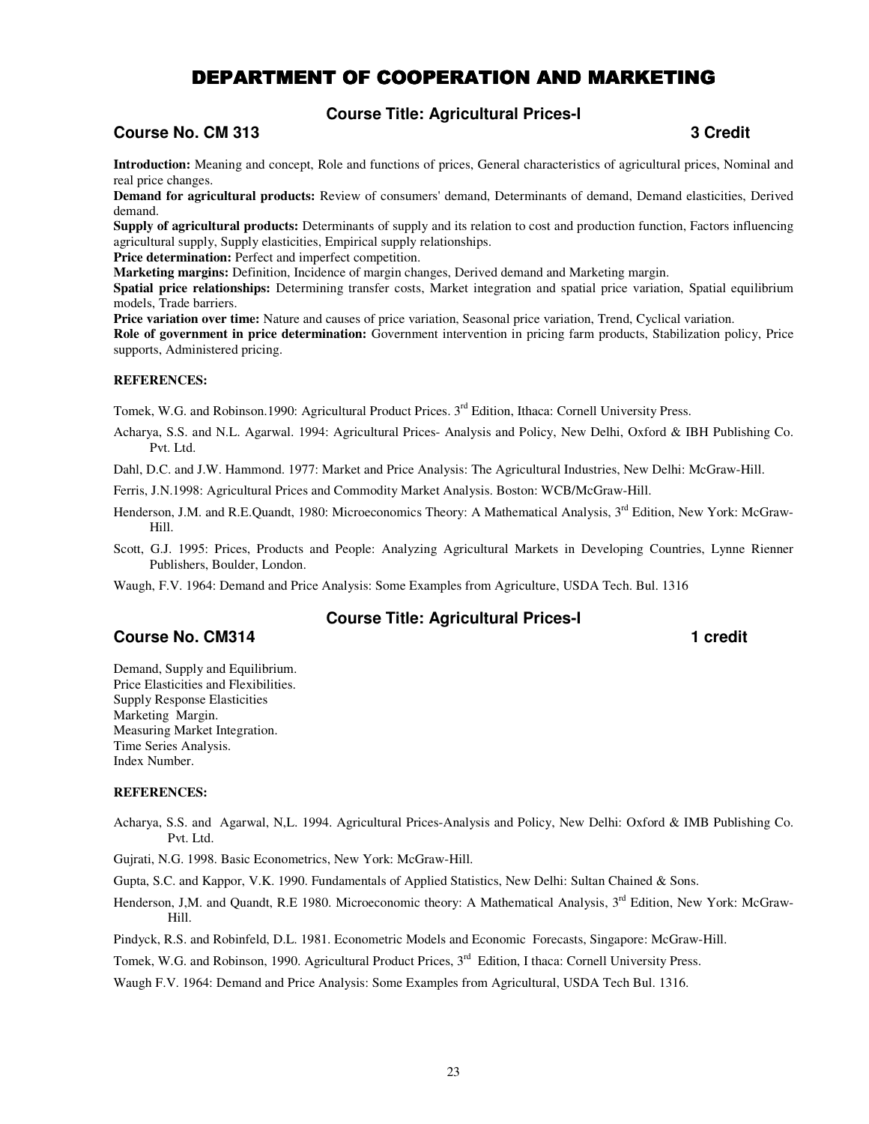# DEPARTMENT OF COOPERATION AND MARKETING

**Course Title: Agricultural Prices-I** 

## **Course No. CM 313** 3 Credit **1**

**Introduction:** Meaning and concept, Role and functions of prices, General characteristics of agricultural prices, Nominal and real price changes.

**Demand for agricultural products:** Review of consumers' demand, Determinants of demand, Demand elasticities, Derived demand.

**Supply of agricultural products:** Determinants of supply and its relation to cost and production function, Factors influencing agricultural supply, Supply elasticities, Empirical supply relationships.

**Price determination:** Perfect and imperfect competition.

**Marketing margins:** Definition, Incidence of margin changes, Derived demand and Marketing margin.

**Spatial price relationships:** Determining transfer costs, Market integration and spatial price variation, Spatial equilibrium models, Trade barriers.

**Price variation over time:** Nature and causes of price variation, Seasonal price variation, Trend, Cyclical variation. **Role of government in price determination:** Government intervention in pricing farm products, Stabilization policy, Price supports, Administered pricing.

#### **REFERENCES:**

Tomek, W.G. and Robinson.1990: Agricultural Product Prices. 3<sup>rd</sup> Edition, Ithaca: Cornell University Press.

Acharya, S.S. and N.L. Agarwal. 1994: Agricultural Prices- Analysis and Policy, New Delhi, Oxford & IBH Publishing Co. Pvt. Ltd.

Dahl, D.C. and J.W. Hammond. 1977: Market and Price Analysis: The Agricultural Industries, New Delhi: McGraw-Hill.

Ferris, J.N.1998: Agricultural Prices and Commodity Market Analysis. Boston: WCB/McGraw-Hill.

Henderson, J.M. and R.E.Quandt, 1980: Microeconomics Theory: A Mathematical Analysis, 3<sup>rd</sup> Edition, New York: McGraw-Hill.

Scott, G.J. 1995: Prices, Products and People: Analyzing Agricultural Markets in Developing Countries, Lynne Rienner Publishers, Boulder, London.

Waugh, F.V. 1964: Demand and Price Analysis: Some Examples from Agriculture, USDA Tech. Bul. 1316

## **Course No. CM314 1 CM314 1 COULD**

#### **Course Title: Agricultural Prices-I**

Demand, Supply and Equilibrium. Price Elasticities and Flexibilities. Supply Response Elasticities Marketing Margin. Measuring Market Integration. Time Series Analysis. Index Number.

#### **REFERENCES:**

Acharya, S.S. and Agarwal, N,L. 1994. Agricultural Prices-Analysis and Policy, New Delhi: Oxford & IMB Publishing Co. Pvt. Ltd.

Gujrati, N.G. 1998. Basic Econometrics, New York: McGraw-Hill.

Gupta, S.C. and Kappor, V.K. 1990. Fundamentals of Applied Statistics, New Delhi: Sultan Chained & Sons.

Henderson, J,M. and Quandt, R.E 1980. Microeconomic theory: A Mathematical Analysis, 3<sup>rd</sup> Edition, New York: McGraw-Hill.

Pindyck, R.S. and Robinfeld, D.L. 1981. Econometric Models and Economic Forecasts, Singapore: McGraw-Hill.

Tomek, W.G. and Robinson, 1990. Agricultural Product Prices, 3<sup>rd</sup> Edition, I thaca: Cornell University Press.

Waugh F.V. 1964: Demand and Price Analysis: Some Examples from Agricultural, USDA Tech Bul. 1316.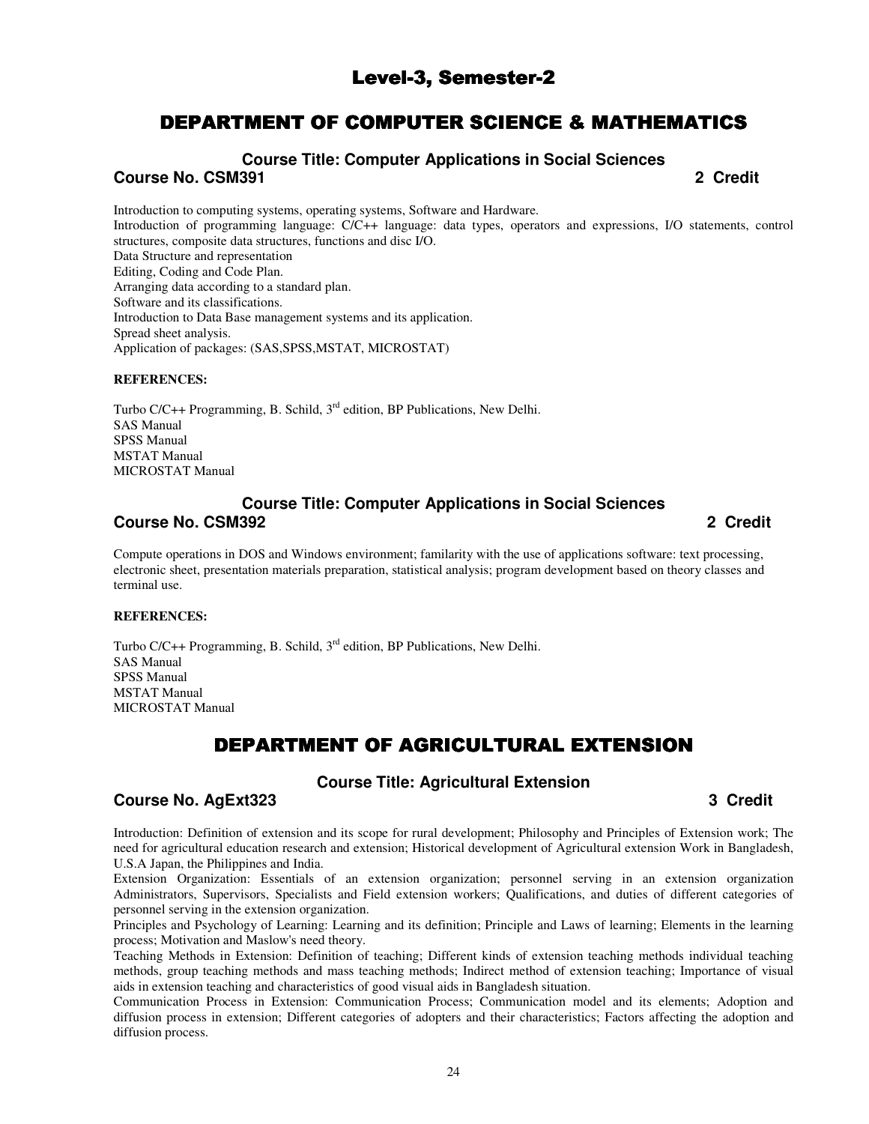# Level-3, Semester-2

# DEPARTMENT OF COMPUTER SCIENCE & MATHEMATICS

**Course Title: Computer Applications in Social Sciences Course No. CSM391 2 Credit** 

Introduction to computing systems, operating systems, Software and Hardware. Introduction of programming language: C/C++ language: data types, operators and expressions, I/O statements, control structures, composite data structures, functions and disc I/O. Data Structure and representation Editing, Coding and Code Plan. Arranging data according to a standard plan. Software and its classifications. Introduction to Data Base management systems and its application. Spread sheet analysis. Application of packages: (SAS,SPSS,MSTAT, MICROSTAT)

#### **REFERENCES:**

Turbo  $C/C++$  Programming, B. Schild,  $3<sup>rd</sup>$  edition, BP Publications, New Delhi. SAS Manual SPSS Manual MSTAT Manual MICROSTAT Manual

## **Course Title: Computer Applications in Social Sciences Course No. CSM392 2 Credit**

Compute operations in DOS and Windows environment; familarity with the use of applications software: text processing, electronic sheet, presentation materials preparation, statistical analysis; program development based on theory classes and terminal use.

#### **REFERENCES:**

Turbo C/C++ Programming, B. Schild, 3<sup>rd</sup> edition, BP Publications, New Delhi. SAS Manual SPSS Manual MSTAT Manual MICROSTAT Manual

# DEPARTMENT OF AGRICULTURAL EXTENSION

# **Course Title: Agricultural Extension**

## **Course No. AgExt323 3 Credit**

Introduction: Definition of extension and its scope for rural development; Philosophy and Principles of Extension work; The need for agricultural education research and extension; Historical development of Agricultural extension Work in Bangladesh, U.S.A Japan, the Philippines and India.

Extension Organization: Essentials of an extension organization; personnel serving in an extension organization Administrators, Supervisors, Specialists and Field extension workers; Qualifications, and duties of different categories of personnel serving in the extension organization.

Principles and Psychology of Learning: Learning and its definition; Principle and Laws of learning; Elements in the learning process; Motivation and Maslow's need theory.

Teaching Methods in Extension: Definition of teaching; Different kinds of extension teaching methods individual teaching methods, group teaching methods and mass teaching methods; Indirect method of extension teaching; Importance of visual aids in extension teaching and characteristics of good visual aids in Bangladesh situation.

Communication Process in Extension: Communication Process; Communication model and its elements; Adoption and diffusion process in extension; Different categories of adopters and their characteristics; Factors affecting the adoption and diffusion process.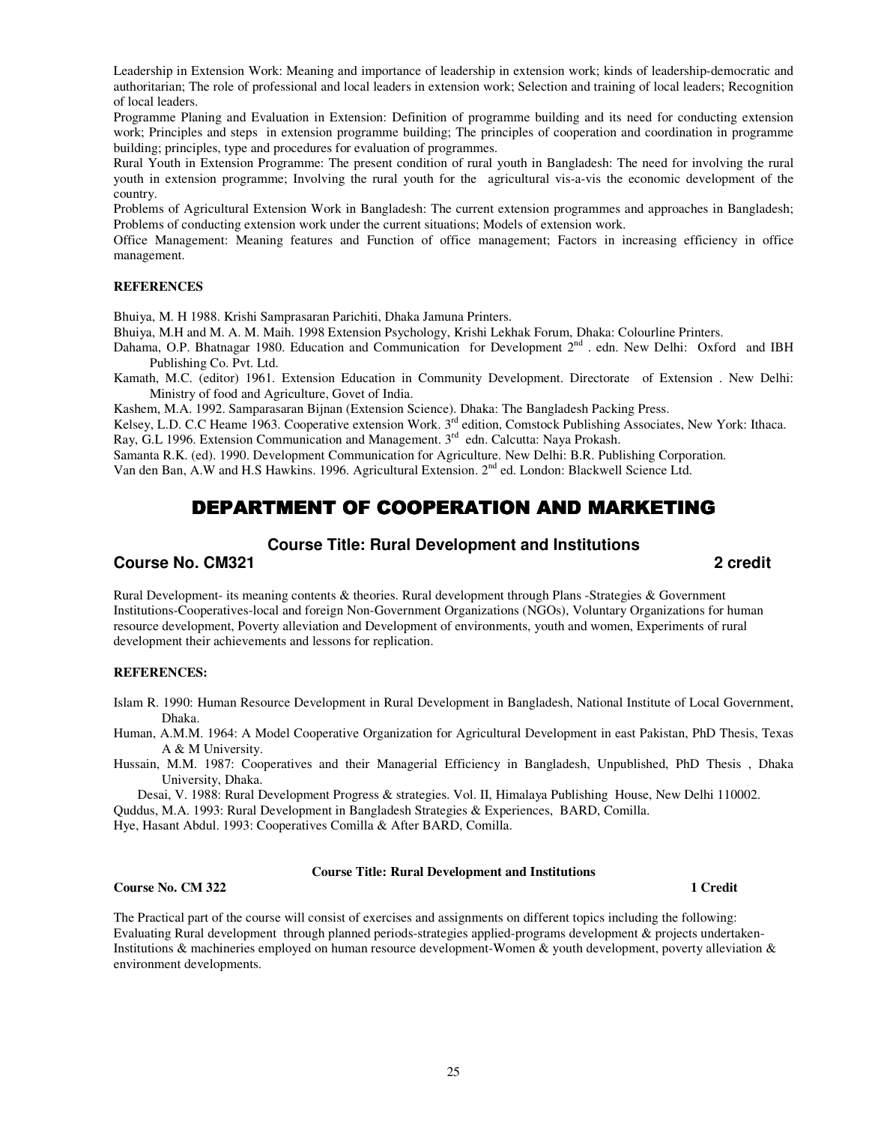Leadership in Extension Work: Meaning and importance of leadership in extension work; kinds of leadership-democratic and authoritarian; The role of professional and local leaders in extension work; Selection and training of local leaders; Recognition of local leaders.

Programme Planing and Evaluation in Extension: Definition of programme building and its need for conducting extension work; Principles and steps in extension programme building; The principles of cooperation and coordination in programme building; principles, type and procedures for evaluation of programmes.

Rural Youth in Extension Programme: The present condition of rural youth in Bangladesh: The need for involving the rural youth in extension programme; Involving the rural youth for the agricultural vis-a-vis the economic development of the country.

Problems of Agricultural Extension Work in Bangladesh: The current extension programmes and approaches in Bangladesh; Problems of conducting extension work under the current situations; Models of extension work.

Office Management: Meaning features and Function of office management; Factors in increasing efficiency in office management.

#### **REFERENCES**

Bhuiya, M. H 1988. Krishi Samprasaran Parichiti, Dhaka Jamuna Printers.

Bhuiya, M.H and M. A. M. Maih. 1998 Extension Psychology, Krishi Lekhak Forum, Dhaka: Colourline Printers.

Dahama, O.P. Bhatnagar 1980. Education and Communication for Development 2<sup>nd</sup> . edn. New Delhi: Oxford and IBH Publishing Co. Pvt. Ltd.

Kamath, M.C. (editor) 1961. Extension Education in Community Development. Directorate of Extension . New Delhi: Ministry of food and Agriculture, Govet of India.

Kashem, M.A. 1992. Samparasaran Bijnan (Extension Science). Dhaka: The Bangladesh Packing Press.

Kelsey, L.D. C.C Heame 1963. Cooperative extension Work. 3<sup>rd</sup> edition, Comstock Publishing Associates, New York: Ithaca. Ray, G.L 1996. Extension Communication and Management. 3<sup>rd</sup> edn. Calcutta: Naya Prokash.

Samanta R.K. (ed). 1990. Development Communication for Agriculture. New Delhi: B.R. Publishing Corporation.

Van den Ban, A.W and H.S Hawkins. 1996. Agricultural Extension. 2<sup>nd</sup> ed. London: Blackwell Science Ltd.

# DEPARTMENT OF COOPERATION AND MARKETING

#### **Course Title: Rural Development and Institutions**

#### **Course No. CM321 2 credit**

Rural Development- its meaning contents & theories. Rural development through Plans -Strategies & Government Institutions-Cooperatives-local and foreign Non-Government Organizations (NGOs), Voluntary Organizations for human resource development, Poverty alleviation and Development of environments, youth and women, Experiments of rural development their achievements and lessons for replication.

#### **REFERENCES:**

Islam R. 1990: Human Resource Development in Rural Development in Bangladesh, National Institute of Local Government, Dhaka.

Human, A.M.M. 1964: A Model Cooperative Organization for Agricultural Development in east Pakistan, PhD Thesis, Texas A & M University.

Hussain, M.M. 1987: Cooperatives and their Managerial Efficiency in Bangladesh, Unpublished, PhD Thesis , Dhaka University, Dhaka.

Desai, V. 1988: Rural Development Progress & strategies. Vol. II, Himalaya Publishing House, New Delhi 110002. Quddus, M.A. 1993: Rural Development in Bangladesh Strategies & Experiences, BARD, Comilla.

Hye, Hasant Abdul. 1993: Cooperatives Comilla & After BARD, Comilla.

**Course Title: Rural Development and Institutions**

#### **Course No. CM 322** 1 Credit **1**

The Practical part of the course will consist of exercises and assignments on different topics including the following: Evaluating Rural development through planned periods-strategies applied-programs development & projects undertaken-Institutions & machineries employed on human resource development-Women & youth development, poverty alleviation & environment developments.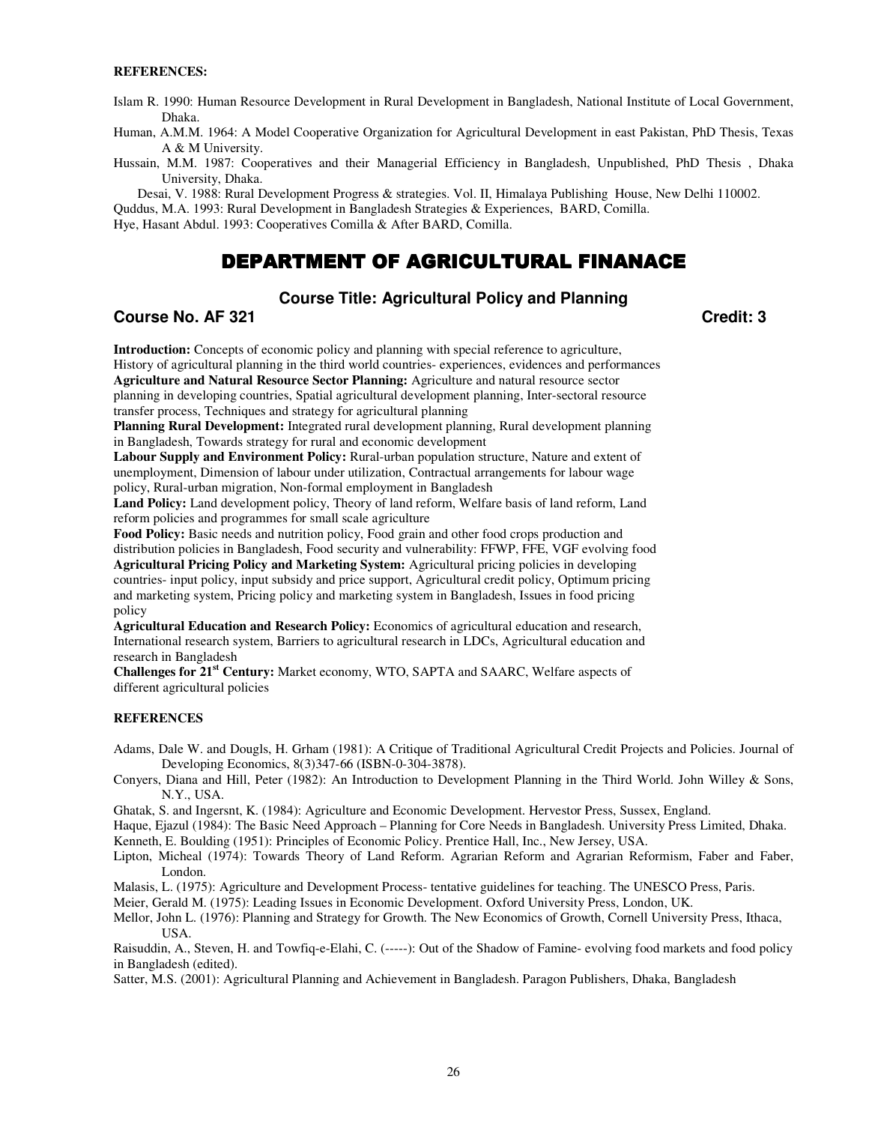#### **REFERENCES:**

Islam R. 1990: Human Resource Development in Rural Development in Bangladesh, National Institute of Local Government, Dhaka.

Human, A.M.M. 1964: A Model Cooperative Organization for Agricultural Development in east Pakistan, PhD Thesis, Texas A & M University.

Hussain, M.M. 1987: Cooperatives and their Managerial Efficiency in Bangladesh, Unpublished, PhD Thesis , Dhaka University, Dhaka.

Desai, V. 1988: Rural Development Progress & strategies. Vol. II, Himalaya Publishing House, New Delhi 110002. Quddus, M.A. 1993: Rural Development in Bangladesh Strategies & Experiences, BARD, Comilla.

Hye, Hasant Abdul. 1993: Cooperatives Comilla & After BARD, Comilla.

# DEPARTMENT OF AGRICULTURAL FINANACE

## **Course Title: Agricultural Policy and Planning**

#### **Course No. AF 321 Credit: 3**

**Introduction:** Concepts of economic policy and planning with special reference to agriculture, History of agricultural planning in the third world countries- experiences, evidences and performances **Agriculture and Natural Resource Sector Planning:** Agriculture and natural resource sector planning in developing countries, Spatial agricultural development planning, Inter-sectoral resource transfer process, Techniques and strategy for agricultural planning

**Planning Rural Development:** Integrated rural development planning, Rural development planning in Bangladesh, Towards strategy for rural and economic development

**Labour Supply and Environment Policy:** Rural-urban population structure, Nature and extent of unemployment, Dimension of labour under utilization, Contractual arrangements for labour wage policy, Rural-urban migration, Non-formal employment in Bangladesh

**Land Policy:** Land development policy, Theory of land reform, Welfare basis of land reform, Land reform policies and programmes for small scale agriculture

**Food Policy:** Basic needs and nutrition policy, Food grain and other food crops production and distribution policies in Bangladesh, Food security and vulnerability: FFWP, FFE, VGF evolving food **Agricultural Pricing Policy and Marketing System:** Agricultural pricing policies in developing countries- input policy, input subsidy and price support, Agricultural credit policy, Optimum pricing and marketing system, Pricing policy and marketing system in Bangladesh, Issues in food pricing policy

**Agricultural Education and Research Policy:** Economics of agricultural education and research, International research system, Barriers to agricultural research in LDCs, Agricultural education and research in Bangladesh

**Challenges for 21st Century:** Market economy, WTO, SAPTA and SAARC, Welfare aspects of different agricultural policies

#### **REFERENCES**

Adams, Dale W. and Dougls, H. Grham (1981): A Critique of Traditional Agricultural Credit Projects and Policies. Journal of Developing Economics, 8(3)347-66 (ISBN-0-304-3878).

Conyers, Diana and Hill, Peter (1982): An Introduction to Development Planning in the Third World. John Willey & Sons, N.Y., USA.

Ghatak, S. and Ingersnt, K. (1984): Agriculture and Economic Development. Hervestor Press, Sussex, England.

Haque, Ejazul (1984): The Basic Need Approach – Planning for Core Needs in Bangladesh. University Press Limited, Dhaka. Kenneth, E. Boulding (1951): Principles of Economic Policy. Prentice Hall, Inc., New Jersey, USA.

Lipton, Micheal (1974): Towards Theory of Land Reform. Agrarian Reform and Agrarian Reformism, Faber and Faber, London.

Malasis, L. (1975): Agriculture and Development Process- tentative guidelines for teaching. The UNESCO Press, Paris.

Meier, Gerald M. (1975): Leading Issues in Economic Development. Oxford University Press, London, UK.

Mellor, John L. (1976): Planning and Strategy for Growth. The New Economics of Growth, Cornell University Press, Ithaca, USA.

Raisuddin, A., Steven, H. and Towfiq-e-Elahi, C. (-----): Out of the Shadow of Famine- evolving food markets and food policy in Bangladesh (edited).

Satter, M.S. (2001): Agricultural Planning and Achievement in Bangladesh. Paragon Publishers, Dhaka, Bangladesh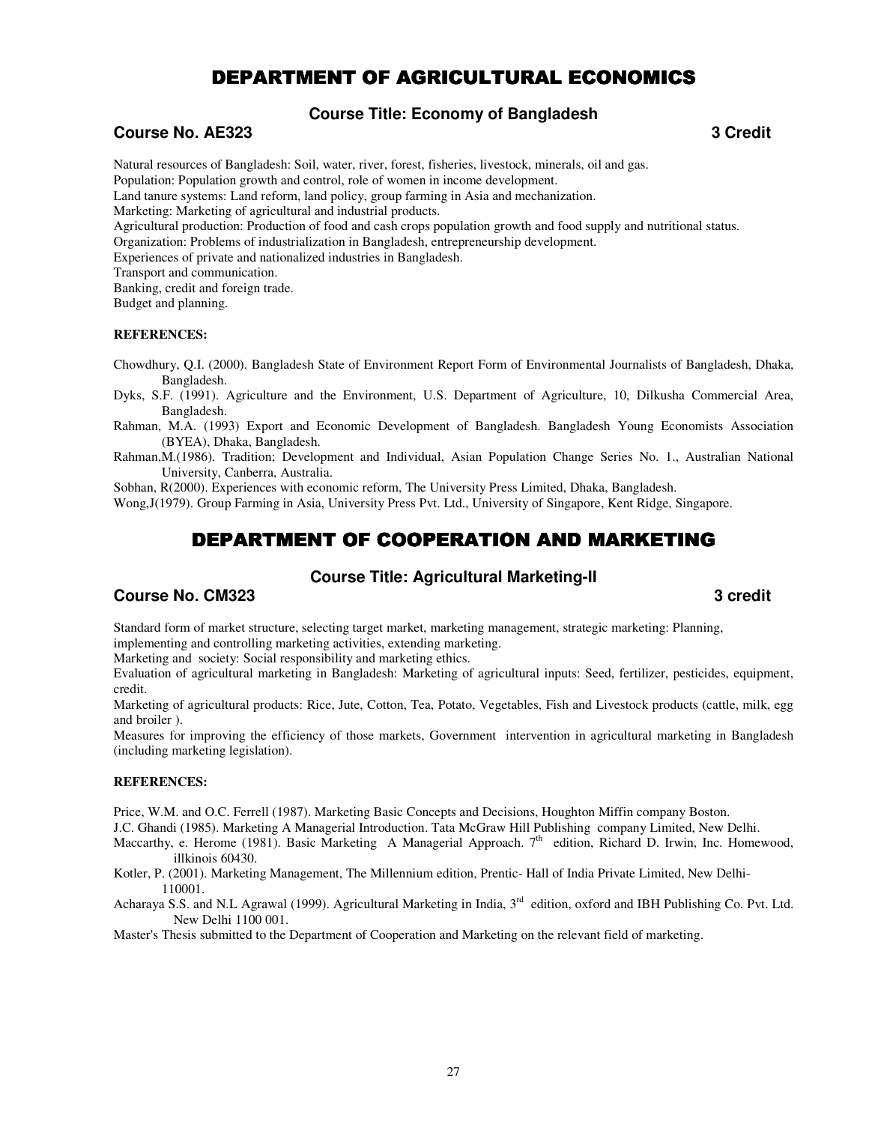# DEPARTMENT OF AGRICULTURAL ECONOMICS

# **Course Title: Economy of Bangladesh**

## **Course No. AE323 3 Credit**

Natural resources of Bangladesh: Soil, water, river, forest, fisheries, livestock, minerals, oil and gas. Population: Population growth and control, role of women in income development. Land tanure systems: Land reform, land policy, group farming in Asia and mechanization. Marketing: Marketing of agricultural and industrial products. Agricultural production: Production of food and cash crops population growth and food supply and nutritional status. Organization: Problems of industrialization in Bangladesh, entrepreneurship development. Experiences of private and nationalized industries in Bangladesh. Transport and communication. Banking, credit and foreign trade. Budget and planning.

#### **REFERENCES:**

Chowdhury, Q.I. (2000). Bangladesh State of Environment Report Form of Environmental Journalists of Bangladesh, Dhaka, Bangladesh.

Dyks, S.F. (1991). Agriculture and the Environment, U.S. Department of Agriculture, 10, Dilkusha Commercial Area, Bangladesh.

- Rahman, M.A. (1993) Export and Economic Development of Bangladesh. Bangladesh Young Economists Association (BYEA), Dhaka, Bangladesh.
- Rahman,M.(1986). Tradition; Development and Individual, Asian Population Change Series No. 1., Australian National University, Canberra, Australia.

Sobhan, R(2000). Experiences with economic reform, The University Press Limited, Dhaka, Bangladesh.

Wong,J(1979). Group Farming in Asia, University Press Pvt. Ltd., University of Singapore, Kent Ridge, Singapore.

# DEPARTMENT OF COOPERATION AND MARKETING

## **Course Title: Agricultural Marketing-II**

## **Course No. CM323 3 credit**

Standard form of market structure, selecting target market, marketing management, strategic marketing: Planning, implementing and controlling marketing activities, extending marketing.

Marketing and society: Social responsibility and marketing ethics.

Evaluation of agricultural marketing in Bangladesh: Marketing of agricultural inputs: Seed, fertilizer, pesticides, equipment, credit.

Marketing of agricultural products: Rice, Jute, Cotton, Tea, Potato, Vegetables, Fish and Livestock products (cattle, milk, egg and broiler ).

Measures for improving the efficiency of those markets, Government intervention in agricultural marketing in Bangladesh (including marketing legislation).

#### **REFERENCES:**

Price, W.M. and O.C. Ferrell (1987). Marketing Basic Concepts and Decisions, Houghton Miffin company Boston.

J.C. Ghandi (1985). Marketing A Managerial Introduction. Tata McGraw Hill Publishing company Limited, New Delhi.

Maccarthy, e. Herome (1981). Basic Marketing A Managerial Approach.  $7<sup>th</sup>$  edition, Richard D. Irwin, Inc. Homewood, illkinois 60430.

Kotler, P. (2001). Marketing Management, The Millennium edition, Prentic- Hall of India Private Limited, New Delhi-110001.

Acharaya S.S. and N.L Agrawal (1999). Agricultural Marketing in India, 3<sup>rd</sup> edition, oxford and IBH Publishing Co. Pvt. Ltd. New Delhi 1100 001.

Master's Thesis submitted to the Department of Cooperation and Marketing on the relevant field of marketing.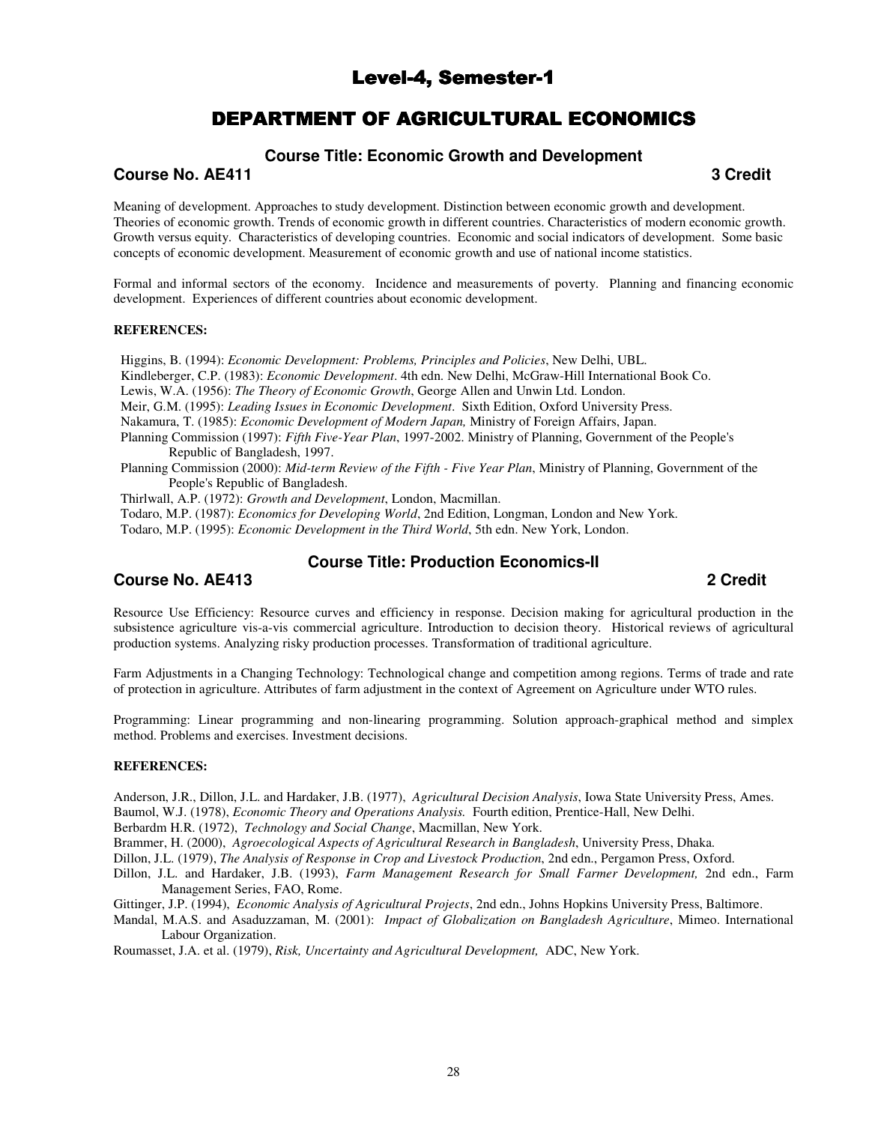# Level-4, Semester-1

# DEPARTMENT OF AGRICULTURAL ECONOMICS

#### **Course Title: Economic Growth and Development**

#### **Course No. AE411** 3 Credit **3**

Meaning of development. Approaches to study development. Distinction between economic growth and development. Theories of economic growth. Trends of economic growth in different countries. Characteristics of modern economic growth. Growth versus equity. Characteristics of developing countries. Economic and social indicators of development. Some basic concepts of economic development. Measurement of economic growth and use of national income statistics.

Formal and informal sectors of the economy. Incidence and measurements of poverty. Planning and financing economic development. Experiences of different countries about economic development.

#### **REFERENCES:**

Higgins, B. (1994): *Economic Development: Problems, Principles and Policies*, New Delhi, UBL.

Kindleberger, C.P. (1983): *Economic Development*. 4th edn. New Delhi, McGraw-Hill International Book Co.

Lewis, W.A. (1956): *The Theory of Economic Growth*, George Allen and Unwin Ltd. London.

Meir, G.M. (1995): *Leading Issues in Economic Development*. Sixth Edition, Oxford University Press.

Nakamura, T. (1985): *Economic Development of Modern Japan,* Ministry of Foreign Affairs, Japan.

Planning Commission (1997): *Fifth Five-Year Plan*, 1997-2002. Ministry of Planning, Government of the People's Republic of Bangladesh, 1997.

Planning Commission (2000): *Mid-term Review of the Fifth - Five Year Plan*, Ministry of Planning, Government of the People's Republic of Bangladesh.

Thirlwall, A.P. (1972): *Growth and Development*, London, Macmillan.

Todaro, M.P. (1987): *Economics for Developing World*, 2nd Edition, Longman, London and New York.

Todaro, M.P. (1995): *Economic Development in the Third World*, 5th edn. New York, London.

# **Course Title: Production Economics-II**

**Course No. AE413 2 Credit** 

Resource Use Efficiency: Resource curves and efficiency in response. Decision making for agricultural production in the subsistence agriculture vis-a-vis commercial agriculture. Introduction to decision theory. Historical reviews of agricultural production systems. Analyzing risky production processes. Transformation of traditional agriculture.

Farm Adjustments in a Changing Technology: Technological change and competition among regions. Terms of trade and rate of protection in agriculture. Attributes of farm adjustment in the context of Agreement on Agriculture under WTO rules.

Programming: Linear programming and non-linearing programming. Solution approach-graphical method and simplex method. Problems and exercises. Investment decisions.

#### **REFERENCES:**

Anderson, J.R., Dillon, J.L. and Hardaker, J.B. (1977), *Agricultural Decision Analysis*, Iowa State University Press, Ames. Baumol, W.J. (1978), *Economic Theory and Operations Analysis.* Fourth edition, Prentice-Hall, New Delhi.

Berbardm H.R. (1972), *Technology and Social Change*, Macmillan, New York.

Brammer, H. (2000), *Agroecological Aspects of Agricultural Research in Bangladesh*, University Press, Dhaka.

Dillon, J.L. (1979), *The Analysis of Response in Crop and Livestock Production*, 2nd edn., Pergamon Press, Oxford.

Dillon, J.L. and Hardaker, J.B. (1993), *Farm Management Research for Small Farmer Development,* 2nd edn., Farm Management Series, FAO, Rome.

Gittinger, J.P. (1994), *Economic Analysis of Agricultural Projects*, 2nd edn., Johns Hopkins University Press, Baltimore.

Mandal, M.A.S. and Asaduzzaman, M. (2001): *Impact of Globalization on Bangladesh Agriculture*, Mimeo. International Labour Organization.

Roumasset, J.A. et al. (1979), *Risk, Uncertainty and Agricultural Development,* ADC, New York.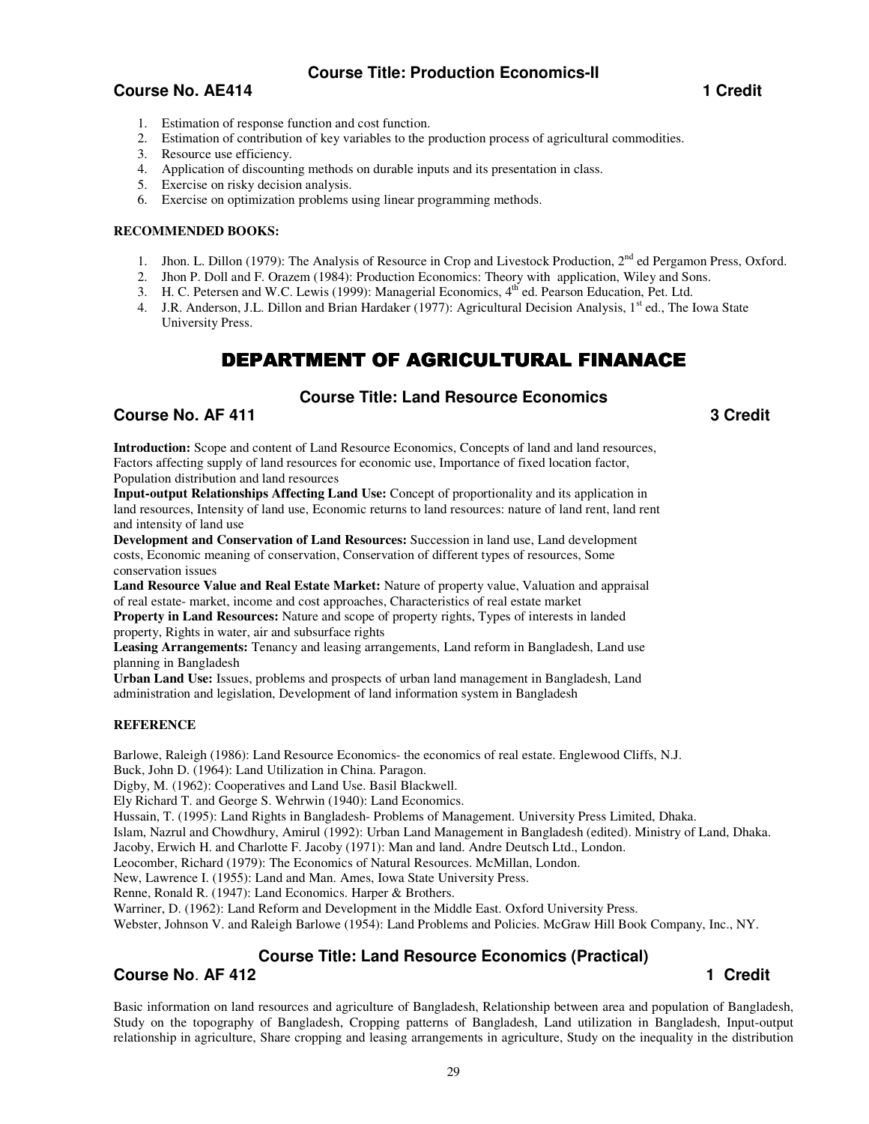# **Course Title: Production Economics-II**

## **Course No. AE414 1** Credit **1** Credit **1** Credit **1** Credit **1** Credit **1** Credit **1**

- 1. Estimation of response function and cost function.
- 2. Estimation of contribution of key variables to the production process of agricultural commodities.
- 3. Resource use efficiency.
- 4. Application of discounting methods on durable inputs and its presentation in class.
- 5. Exercise on risky decision analysis.
- 6. Exercise on optimization problems using linear programming methods.

#### **RECOMMENDED BOOKS:**

- 1. Jhon. L. Dillon (1979): The Analysis of Resource in Crop and Livestock Production, 2<sup>nd</sup> ed Pergamon Press, Oxford.
- 2. Jhon P. Doll and F. Orazem (1984): Production Economics: Theory with application, Wiley and Sons.
- 3. H. C. Petersen and W.C. Lewis (1999): Managerial Economics, 4<sup>th</sup> ed. Pearson Education, Pet. Ltd.
- 4. J.R. Anderson, J.L. Dillon and Brian Hardaker (1977): Agricultural Decision Analysis, 1<sup>st</sup> ed., The Iowa State University Press.

# DEPARTMENT OF AGRICULTURAL FINANACE

## **Course Title: Land Resource Economics**

## **Course No. AF 411** 3 Credit **3**

**Introduction:** Scope and content of Land Resource Economics, Concepts of land and land resources, Factors affecting supply of land resources for economic use, Importance of fixed location factor, Population distribution and land resources

**Input-output Relationships Affecting Land Use:** Concept of proportionality and its application in land resources, Intensity of land use, Economic returns to land resources: nature of land rent, land rent and intensity of land use

**Development and Conservation of Land Resources:** Succession in land use, Land development costs, Economic meaning of conservation, Conservation of different types of resources, Some conservation issues

**Land Resource Value and Real Estate Market:** Nature of property value, Valuation and appraisal of real estate- market, income and cost approaches, Characteristics of real estate market

**Property in Land Resources:** Nature and scope of property rights, Types of interests in landed property, Rights in water, air and subsurface rights

**Leasing Arrangements:** Tenancy and leasing arrangements, Land reform in Bangladesh, Land use planning in Bangladesh

**Urban Land Use:** Issues, problems and prospects of urban land management in Bangladesh, Land administration and legislation, Development of land information system in Bangladesh

#### **REFERENCE**

Barlowe, Raleigh (1986): Land Resource Economics- the economics of real estate. Englewood Cliffs, N.J. Buck, John D. (1964): Land Utilization in China. Paragon.

Digby, M. (1962): Cooperatives and Land Use. Basil Blackwell.

Ely Richard T. and George S. Wehrwin (1940): Land Economics.

Hussain, T. (1995): Land Rights in Bangladesh- Problems of Management. University Press Limited, Dhaka.

Islam, Nazrul and Chowdhury, Amirul (1992): Urban Land Management in Bangladesh (edited). Ministry of Land, Dhaka.

Jacoby, Erwich H. and Charlotte F. Jacoby (1971): Man and land. Andre Deutsch Ltd., London.

Leocomber, Richard (1979): The Economics of Natural Resources. McMillan, London.

New, Lawrence I. (1955): Land and Man. Ames, Iowa State University Press.

Renne, Ronald R. (1947): Land Economics. Harper & Brothers.

Warriner, D. (1962): Land Reform and Development in the Middle East. Oxford University Press.

Webster, Johnson V. and Raleigh Barlowe (1954): Land Problems and Policies. McGraw Hill Book Company, Inc., NY.

# **Course Title: Land Resource Economics (Practical)**

## **Course No. AF 412 1 Credit**

Basic information on land resources and agriculture of Bangladesh, Relationship between area and population of Bangladesh, Study on the topography of Bangladesh, Cropping patterns of Bangladesh, Land utilization in Bangladesh, Input-output relationship in agriculture, Share cropping and leasing arrangements in agriculture, Study on the inequality in the distribution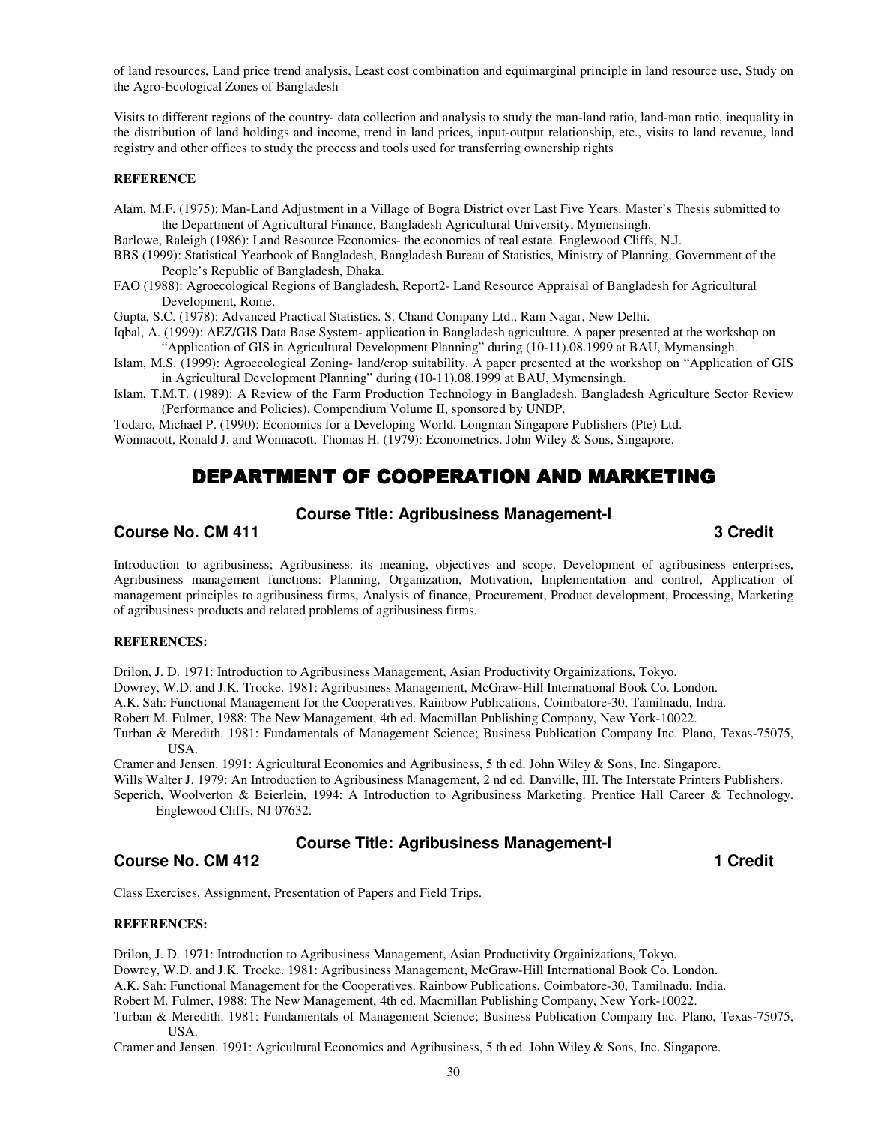of land resources, Land price trend analysis, Least cost combination and equimarginal principle in land resource use, Study on the Agro-Ecological Zones of Bangladesh

Visits to different regions of the country- data collection and analysis to study the man-land ratio, land-man ratio, inequality in the distribution of land holdings and income, trend in land prices, input-output relationship, etc., visits to land revenue, land registry and other offices to study the process and tools used for transferring ownership rights

#### **REFERENCE**

Alam, M.F. (1975): Man-Land Adjustment in a Village of Bogra District over Last Five Years. Master's Thesis submitted to the Department of Agricultural Finance, Bangladesh Agricultural University, Mymensingh.

Barlowe, Raleigh (1986): Land Resource Economics- the economics of real estate. Englewood Cliffs, N.J.

- BBS (1999): Statistical Yearbook of Bangladesh, Bangladesh Bureau of Statistics, Ministry of Planning, Government of the People's Republic of Bangladesh, Dhaka.
- FAO (1988): Agroecological Regions of Bangladesh, Report2- Land Resource Appraisal of Bangladesh for Agricultural Development, Rome.

Gupta, S.C. (1978): Advanced Practical Statistics. S. Chand Company Ltd., Ram Nagar, New Delhi.

Iqbal, A. (1999): AEZ/GIS Data Base System- application in Bangladesh agriculture. A paper presented at the workshop on "Application of GIS in Agricultural Development Planning" during (10-11).08.1999 at BAU, Mymensingh.

- Islam, M.S. (1999): Agroecological Zoning- land/crop suitability. A paper presented at the workshop on "Application of GIS in Agricultural Development Planning" during (10-11).08.1999 at BAU, Mymensingh.
- Islam, T.M.T. (1989): A Review of the Farm Production Technology in Bangladesh. Bangladesh Agriculture Sector Review (Performance and Policies), Compendium Volume II, sponsored by UNDP.

Todaro, Michael P. (1990): Economics for a Developing World. Longman Singapore Publishers (Pte) Ltd. Wonnacott, Ronald J. and Wonnacott, Thomas H. (1979): Econometrics. John Wiley & Sons, Singapore.

# DEPARTMENT OF COOPERATION AND MARKETING

## **Course Title: Agribusiness Management-I**

#### **Course No. CM 411** 3 Credit **3**

Introduction to agribusiness; Agribusiness: its meaning, objectives and scope. Development of agribusiness enterprises, Agribusiness management functions: Planning, Organization, Motivation, Implementation and control, Application of management principles to agribusiness firms, Analysis of finance, Procurement, Product development, Processing, Marketing of agribusiness products and related problems of agribusiness firms.

#### **REFERENCES:**

Drilon, J. D. 1971: Introduction to Agribusiness Management, Asian Productivity Orgainizations, Tokyo.

Dowrey, W.D. and J.K. Trocke. 1981: Agribusiness Management, McGraw-Hill International Book Co. London.

A.K. Sah: Functional Management for the Cooperatives. Rainbow Publications, Coimbatore-30, Tamilnadu, India.

Robert M. Fulmer, 1988: The New Management, 4th ed. Macmillan Publishing Company, New York-10022.

Turban & Meredith. 1981: Fundamentals of Management Science; Business Publication Company Inc. Plano, Texas-75075, USA.

Cramer and Jensen. 1991: Agricultural Economics and Agribusiness, 5 th ed. John Wiley & Sons, Inc. Singapore.

Wills Walter J. 1979: An Introduction to Agribusiness Management, 2 nd ed. Danville, III. The Interstate Printers Publishers.

Seperich, Woolverton & Beierlein, 1994: A Introduction to Agribusiness Marketing. Prentice Hall Career & Technology. Englewood Cliffs, NJ 07632.

## **Course Title: Agribusiness Management-I**

**Course No. CM 412 1** Credit **1** 

Class Exercises, Assignment, Presentation of Papers and Field Trips.

#### **REFERENCES:**

Drilon, J. D. 1971: Introduction to Agribusiness Management, Asian Productivity Orgainizations, Tokyo.

Dowrey, W.D. and J.K. Trocke. 1981: Agribusiness Management, McGraw-Hill International Book Co. London.

A.K. Sah: Functional Management for the Cooperatives. Rainbow Publications, Coimbatore-30, Tamilnadu, India.

Robert M. Fulmer, 1988: The New Management, 4th ed. Macmillan Publishing Company, New York-10022.

Turban & Meredith. 1981: Fundamentals of Management Science; Business Publication Company Inc. Plano, Texas-75075, **I**ISA.

Cramer and Jensen. 1991: Agricultural Economics and Agribusiness, 5 th ed. John Wiley & Sons, Inc. Singapore.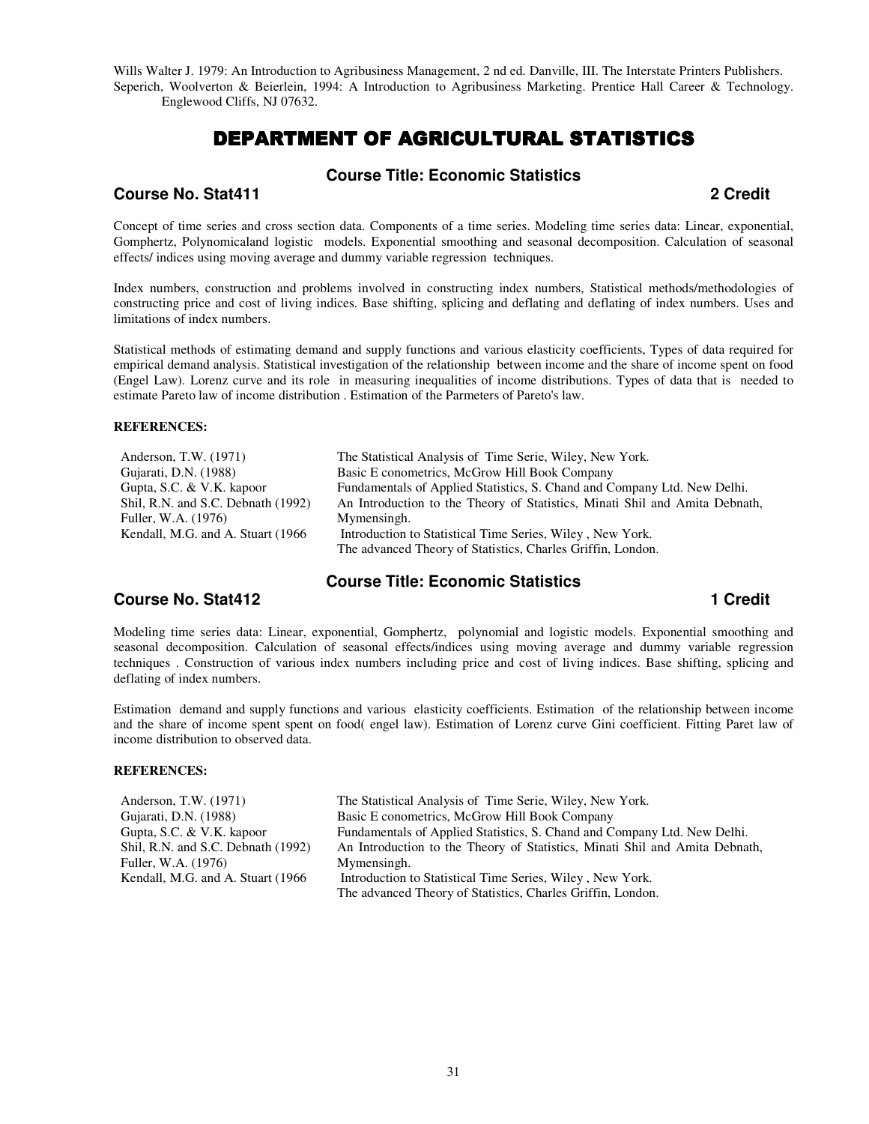Wills Walter J. 1979: An Introduction to Agribusiness Management, 2 nd ed. Danville, III. The Interstate Printers Publishers. Seperich, Woolverton & Beierlein, 1994: A Introduction to Agribusiness Marketing. Prentice Hall Career & Technology. Englewood Cliffs, NJ 07632.

# DEPARTMENT OF AGRICULTURAL STATISTICS

## **Course Title: Economic Statistics**

**Course No. Stat411 2 Credit** 

Concept of time series and cross section data. Components of a time series. Modeling time series data: Linear, exponential, Gomphertz, Polynomicaland logistic models. Exponential smoothing and seasonal decomposition. Calculation of seasonal effects/ indices using moving average and dummy variable regression techniques.

Index numbers, construction and problems involved in constructing index numbers, Statistical methods/methodologies of constructing price and cost of living indices. Base shifting, splicing and deflating and deflating of index numbers. Uses and limitations of index numbers.

Statistical methods of estimating demand and supply functions and various elasticity coefficients, Types of data required for empirical demand analysis. Statistical investigation of the relationship between income and the share of income spent on food (Engel Law). Lorenz curve and its role in measuring inequalities of income distributions. Types of data that is needed to estimate Pareto law of income distribution . Estimation of the Parmeters of Pareto's law.

#### **REFERENCES:**

Anderson, T.W. (1971) Gujarati, D.N. (1988) Gupta, S.C. & V.K. kapoor Shil, R.N. and S.C. Debnath (1992) Fuller, W.A. (1976) Kendall, M.G. and A. Stuart (1966 The Statistical Analysis of Time Serie, Wiley, New York. Basic E conometrics, McGrow Hill Book Company Fundamentals of Applied Statistics, S. Chand and Company Ltd. New Delhi. An Introduction to the Theory of Statistics, Minati Shil and Amita Debnath, Mymensingh. Introduction to Statistical Time Series, Wiley , New York. The advanced Theory of Statistics, Charles Griffin, London.

## **Course Title: Economic Statistics**

**Course No. Stat412 1 Credit 1** Credit **1** Credit **1 1** Credit **1 1** Credit **1** 

Modeling time series data: Linear, exponential, Gomphertz, polynomial and logistic models. Exponential smoothing and seasonal decomposition. Calculation of seasonal effects/indices using moving average and dummy variable regression techniques . Construction of various index numbers including price and cost of living indices. Base shifting, splicing and deflating of index numbers.

Estimation demand and supply functions and various elasticity coefficients. Estimation of the relationship between income and the share of income spent spent on food( engel law). Estimation of Lorenz curve Gini coefficient. Fitting Paret law of income distribution to observed data.

#### **REFERENCES:**

| Anderson, T.W. (1971)              | The Statistical Analysis of Time Serie, Wiley, New York.                    |
|------------------------------------|-----------------------------------------------------------------------------|
| Gujarati, D.N. (1988)              | Basic E conometrics, McGrow Hill Book Company                               |
| Gupta, S.C. & V.K. kapoor          | Fundamentals of Applied Statistics, S. Chand and Company Ltd. New Delhi.    |
| Shil, R.N. and S.C. Debnath (1992) | An Introduction to the Theory of Statistics, Minati Shil and Amita Debnath, |
| Fuller, W.A. (1976)                | Mymensingh.                                                                 |
| Kendall, M.G. and A. Stuart (1966) | Introduction to Statistical Time Series, Wiley, New York.                   |
|                                    | The advanced Theory of Statistics, Charles Griffin, London.                 |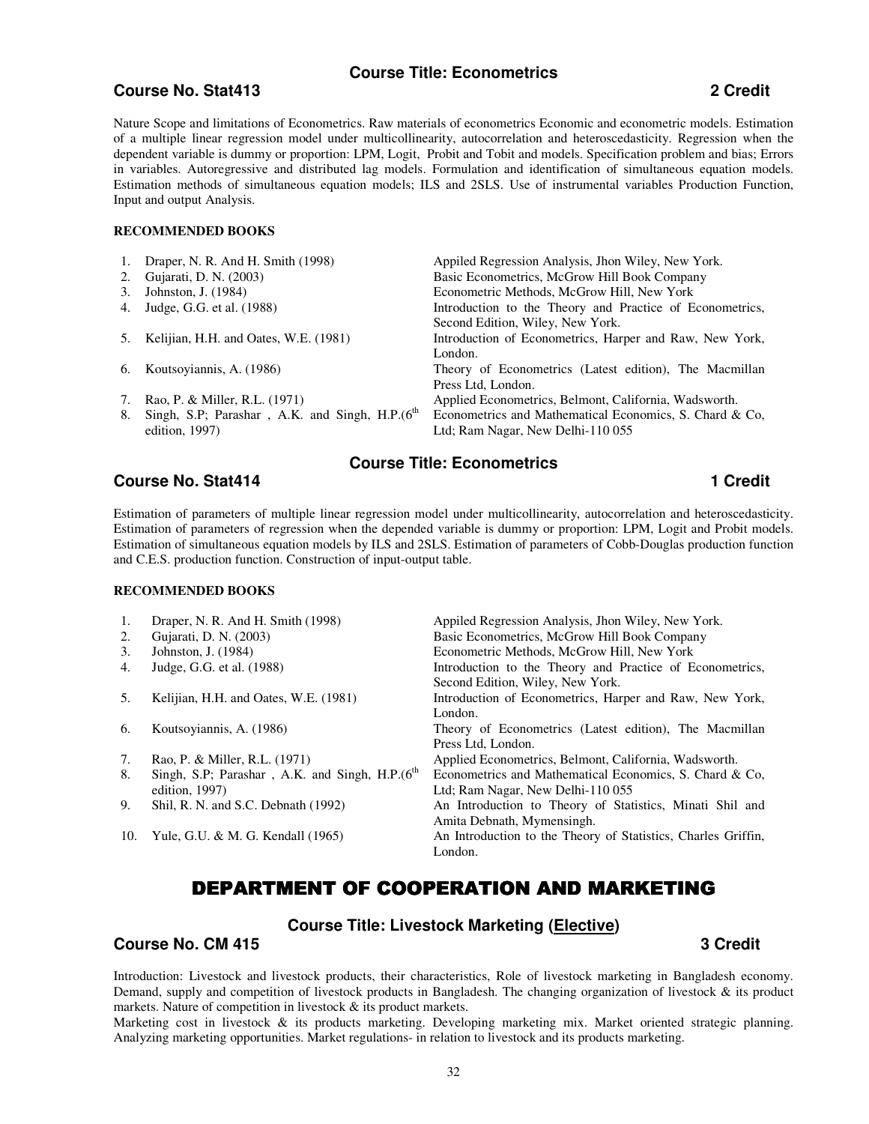## **Course Title: Econometrics**

#### **Course No. Stat413 2 Credit**

Nature Scope and limitations of Econometrics. Raw materials of econometrics Economic and econometric models. Estimation of a multiple linear regression model under multicollinearity, autocorrelation and heteroscedasticity. Regression when the dependent variable is dummy or proportion: LPM, Logit, Probit and Tobit and models. Specification problem and bias; Errors in variables. Autoregressive and distributed lag models. Formulation and identification of simultaneous equation models. Estimation methods of simultaneous equation models; ILS and 2SLS. Use of instrumental variables Production Function, Input and output Analysis.

#### **RECOMMENDED BOOKS**

|    | 1. Draper, N. R. And H. Smith (1998)                         | Appiled Regression Analysis, Jhon Wiley, New York.       |
|----|--------------------------------------------------------------|----------------------------------------------------------|
|    | 2. Gujarati, D. N. (2003)                                    | Basic Econometrics, McGrow Hill Book Company             |
| 3. | Johnston, J. (1984)                                          | Econometric Methods, McGrow Hill, New York               |
| 4. | Judge, G.G. et al. (1988)                                    | Introduction to the Theory and Practice of Econometrics, |
|    |                                                              | Second Edition, Wiley, New York.                         |
| 5. | Kelijian, H.H. and Oates, W.E. (1981)                        | Introduction of Econometrics, Harper and Raw, New York,  |
|    |                                                              | London.                                                  |
| 6. | Koutsoyiannis, A. (1986)                                     | Theory of Econometrics (Latest edition), The Macmillan   |
|    |                                                              | Press Ltd, London.                                       |
| 7. | Rao, P. & Miller, R.L. (1971)                                | Applied Econometrics, Belmont, California, Wadsworth.    |
| 8. | Singh, S.P; Parashar, A.K. and Singh, H.P.(6 <sup>th</sup> ) | Econometrics and Mathematical Economics, S. Chard & Co.  |
|    | edition, $1997$ )                                            | Ltd; Ram Nagar, New Delhi-110 055                        |
|    |                                                              |                                                          |

# **Course Title: Econometrics**

## **Course No. Stat414 1 Credit 1** Credit **1** Credit **1** Credit **1** Credit **1** Credit **1** Credit **1** Credit **1** Credit **1** Credit **1** Credit **1** Credit **1** Credit **1** Credit **1** Credit **1** Credit **1** Credit **1** Credit **1**

Estimation of parameters of multiple linear regression model under multicollinearity, autocorrelation and heteroscedasticity. Estimation of parameters of regression when the depended variable is dummy or proportion: LPM, Logit and Probit models. Estimation of simultaneous equation models by ILS and 2SLS. Estimation of parameters of Cobb-Douglas production function and C.E.S. production function. Construction of input-output table.

#### **RECOMMENDED BOOKS**

| 1.  | Draper, N. R. And H. Smith (1998)                            | Appiled Regression Analysis, Jhon Wiley, New York.            |
|-----|--------------------------------------------------------------|---------------------------------------------------------------|
| 2.  | Gujarati, D. N. (2003)                                       | Basic Econometrics, McGrow Hill Book Company                  |
| 3.  | Johnston, J. (1984)                                          | Econometric Methods, McGrow Hill, New York                    |
| 4.  | Judge, G.G. et al. (1988)                                    | Introduction to the Theory and Practice of Econometrics,      |
|     |                                                              | Second Edition, Wiley, New York.                              |
| 5.  | Kelijian, H.H. and Oates, W.E. (1981)                        | Introduction of Econometrics, Harper and Raw, New York,       |
|     |                                                              | London.                                                       |
| 6.  | Koutsoyiannis, A. (1986)                                     | Theory of Econometrics (Latest edition), The Macmillan        |
|     |                                                              | Press Ltd, London.                                            |
| 7.  | Rao, P. & Miller, R.L. (1971)                                | Applied Econometrics, Belmont, California, Wadsworth.         |
| 8.  | Singh, S.P; Parashar, A.K. and Singh, H.P.(6 <sup>th</sup> ) | Econometrics and Mathematical Economics, S. Chard & Co.       |
|     | edition, $1997$ )                                            | Ltd; Ram Nagar, New Delhi-110 055                             |
| 9.  | Shil, R. N. and S.C. Debnath (1992)                          | An Introduction to Theory of Statistics, Minati Shil and      |
|     |                                                              | Amita Debnath, Mymensingh.                                    |
| 10. | Yule, G.U. & M. G. Kendall (1965)                            | An Introduction to the Theory of Statistics, Charles Griffin, |
|     |                                                              | London.                                                       |

# DEPARTMENT OF COOPERATION AND MARKETING

#### **Course Title: Livestock Marketing (Elective)**

**Course No. CM 415 3 Credit 2008 3 Credit 2008 3 Credit 2008 3 Credit 2008 3 Credit 2008 3 Credit 2008 3 Credit** 

Introduction: Livestock and livestock products, their characteristics, Role of livestock marketing in Bangladesh economy. Demand, supply and competition of livestock products in Bangladesh. The changing organization of livestock & its product markets. Nature of competition in livestock & its product markets.

Marketing cost in livestock & its products marketing. Developing marketing mix. Market oriented strategic planning. Analyzing marketing opportunities. Market regulations- in relation to livestock and its products marketing.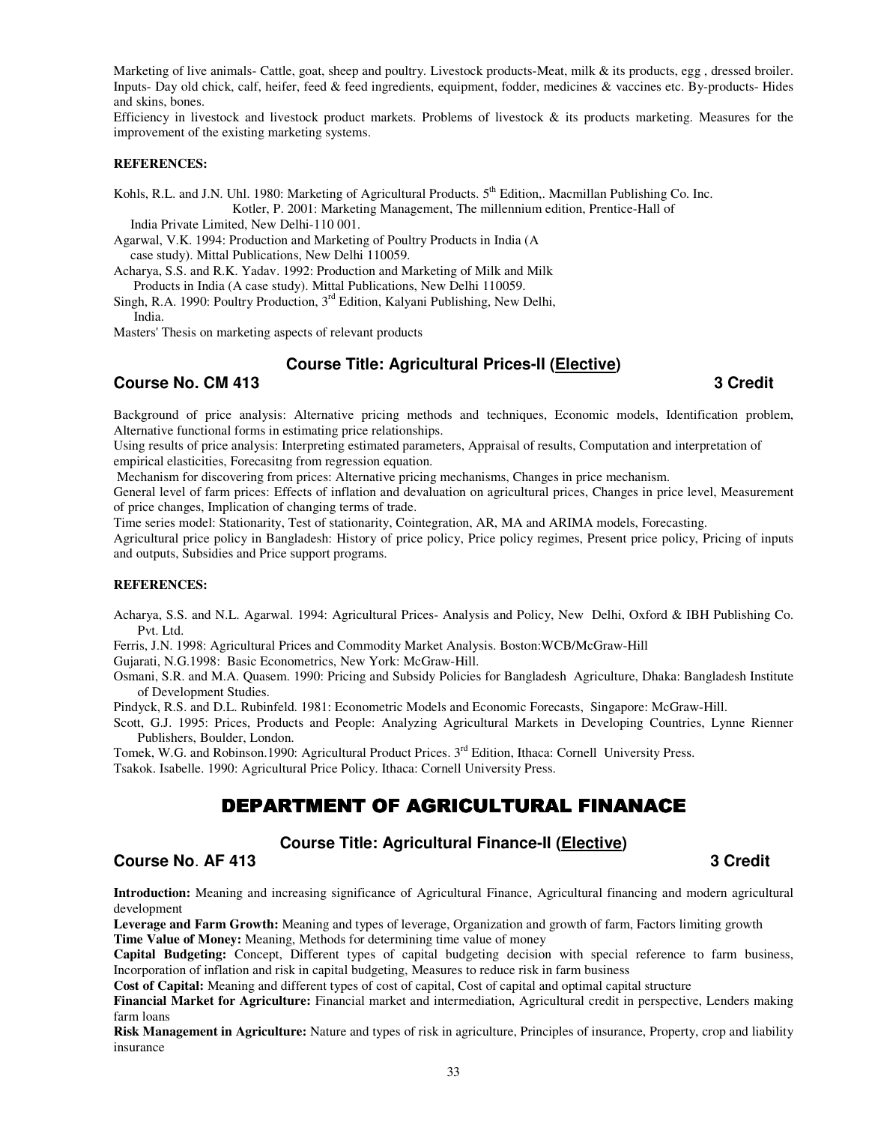Marketing of live animals- Cattle, goat, sheep and poultry. Livestock products-Meat, milk & its products, egg, dressed broiler. Inputs- Day old chick, calf, heifer, feed & feed ingredients, equipment, fodder, medicines & vaccines etc. By-products- Hides and skins, bones.

Efficiency in livestock and livestock product markets. Problems of livestock & its products marketing. Measures for the improvement of the existing marketing systems.

#### **REFERENCES:**

Kohls, R.L. and J.N. Uhl. 1980: Marketing of Agricultural Products. 5<sup>th</sup> Edition,. Macmillan Publishing Co. Inc.

Kotler, P. 2001: Marketing Management, The millennium edition, Prentice-Hall of India Private Limited, New Delhi-110 001.

Agarwal, V.K. 1994: Production and Marketing of Poultry Products in India (A case study). Mittal Publications, New Delhi 110059.

Acharya, S.S. and R.K. Yadav. 1992: Production and Marketing of Milk and Milk

 Products in India (A case study). Mittal Publications, New Delhi 110059. Singh, R.A. 1990: Poultry Production,  $3<sup>rd</sup>$  Edition, Kalyani Publishing, New Delhi,

India.

Masters' Thesis on marketing aspects of relevant products

## **Course Title: Agricultural Prices-II (Elective)**

## **Course No. CM 413** 3 Credit **3**

Background of price analysis: Alternative pricing methods and techniques, Economic models, Identification problem, Alternative functional forms in estimating price relationships.

Using results of price analysis: Interpreting estimated parameters, Appraisal of results, Computation and interpretation of empirical elasticities, Forecasitng from regression equation.

Mechanism for discovering from prices: Alternative pricing mechanisms, Changes in price mechanism.

General level of farm prices: Effects of inflation and devaluation on agricultural prices, Changes in price level, Measurement of price changes, Implication of changing terms of trade.

Time series model: Stationarity, Test of stationarity, Cointegration, AR, MA and ARIMA models, Forecasting.

Agricultural price policy in Bangladesh: History of price policy, Price policy regimes, Present price policy, Pricing of inputs and outputs, Subsidies and Price support programs.

#### **REFERENCES:**

Acharya, S.S. and N.L. Agarwal. 1994: Agricultural Prices- Analysis and Policy, New Delhi, Oxford & IBH Publishing Co. Pvt. Ltd.

Ferris, J.N. 1998: Agricultural Prices and Commodity Market Analysis. Boston:WCB/McGraw-Hill

Gujarati, N.G.1998: Basic Econometrics, New York: McGraw-Hill.

Osmani, S.R. and M.A. Quasem. 1990: Pricing and Subsidy Policies for Bangladesh Agriculture, Dhaka: Bangladesh Institute of Development Studies.

Pindyck, R.S. and D.L. Rubinfeld. 1981: Econometric Models and Economic Forecasts, Singapore: McGraw-Hill.

Scott, G.J. 1995: Prices, Products and People: Analyzing Agricultural Markets in Developing Countries, Lynne Rienner Publishers, Boulder, London.

Tomek, W.G. and Robinson.1990: Agricultural Product Prices. 3<sup>rd</sup> Edition, Ithaca: Cornell University Press.

Tsakok. Isabelle. 1990: Agricultural Price Policy. Ithaca: Cornell University Press.

# DEPARTMENT OF AGRICULTURAL FINANACE

## **Course Title: Agricultural Finance-II (Elective)**

#### **Course No. AF 413** 3 Credit **3**

**Introduction:** Meaning and increasing significance of Agricultural Finance, Agricultural financing and modern agricultural development

**Leverage and Farm Growth:** Meaning and types of leverage, Organization and growth of farm, Factors limiting growth **Time Value of Money:** Meaning, Methods for determining time value of money

**Capital Budgeting:** Concept, Different types of capital budgeting decision with special reference to farm business, Incorporation of inflation and risk in capital budgeting, Measures to reduce risk in farm business

**Cost of Capital:** Meaning and different types of cost of capital, Cost of capital and optimal capital structure

**Financial Market for Agriculture:** Financial market and intermediation, Agricultural credit in perspective, Lenders making farm loans

**Risk Management in Agriculture:** Nature and types of risk in agriculture, Principles of insurance, Property, crop and liability insurance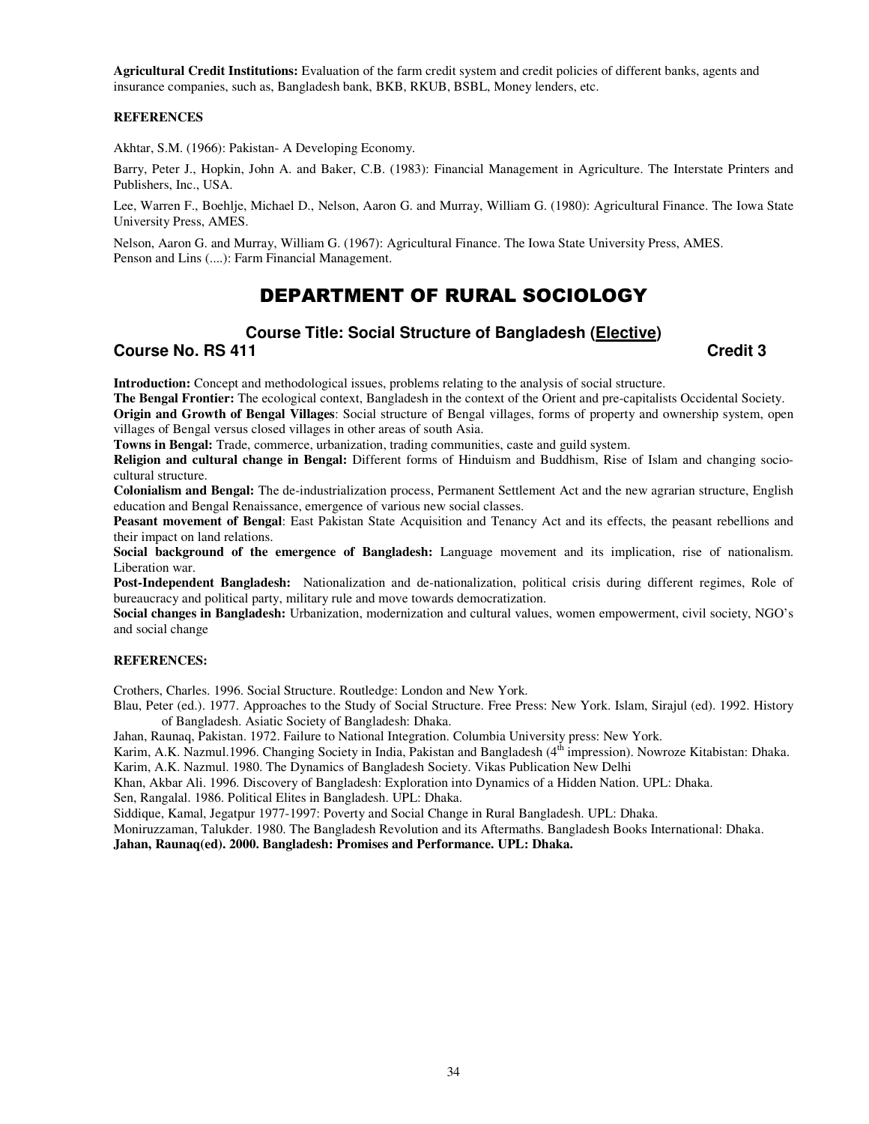**Agricultural Credit Institutions:** Evaluation of the farm credit system and credit policies of different banks, agents and insurance companies, such as, Bangladesh bank, BKB, RKUB, BSBL, Money lenders, etc.

#### **REFERENCES**

Akhtar, S.M. (1966): Pakistan- A Developing Economy.

Barry, Peter J., Hopkin, John A. and Baker, C.B. (1983): Financial Management in Agriculture. The Interstate Printers and Publishers, Inc., USA.

Lee, Warren F., Boehlje, Michael D., Nelson, Aaron G. and Murray, William G. (1980): Agricultural Finance. The Iowa State University Press, AMES.

Nelson, Aaron G. and Murray, William G. (1967): Agricultural Finance. The Iowa State University Press, AMES. Penson and Lins (....): Farm Financial Management.

# DEPARTMENT OF RURAL SOCIOLOGY

## **Course Title: Social Structure of Bangladesh (Elective)**

**Course No. RS 411** Credit 3

**Introduction:** Concept and methodological issues, problems relating to the analysis of social structure.

**The Bengal Frontier:** The ecological context, Bangladesh in the context of the Orient and pre-capitalists Occidental Society. **Origin and Growth of Bengal Villages**: Social structure of Bengal villages, forms of property and ownership system, open

villages of Bengal versus closed villages in other areas of south Asia.

**Towns in Bengal:** Trade, commerce, urbanization, trading communities, caste and guild system.

**Religion and cultural change in Bengal:** Different forms of Hinduism and Buddhism, Rise of Islam and changing sociocultural structure.

**Colonialism and Bengal:** The de-industrialization process, Permanent Settlement Act and the new agrarian structure, English education and Bengal Renaissance, emergence of various new social classes.

**Peasant movement of Bengal**: East Pakistan State Acquisition and Tenancy Act and its effects, the peasant rebellions and their impact on land relations.

**Social background of the emergence of Bangladesh:** Language movement and its implication, rise of nationalism. Liberation war.

**Post-Independent Bangladesh:** Nationalization and de-nationalization, political crisis during different regimes, Role of bureaucracy and political party, military rule and move towards democratization.

**Social changes in Bangladesh:** Urbanization, modernization and cultural values, women empowerment, civil society, NGO's and social change

#### **REFERENCES:**

Crothers, Charles. 1996. Social Structure. Routledge: London and New York.

Blau, Peter (ed.). 1977. Approaches to the Study of Social Structure. Free Press: New York. Islam, Sirajul (ed). 1992. History of Bangladesh. Asiatic Society of Bangladesh: Dhaka.

Jahan, Raunaq, Pakistan. 1972. Failure to National Integration. Columbia University press: New York.

Karim, A.K. Nazmul.1996. Changing Society in India, Pakistan and Bangladesh (4<sup>th</sup> impression). Nowroze Kitabistan: Dhaka. Karim, A.K. Nazmul. 1980. The Dynamics of Bangladesh Society. Vikas Publication New Delhi

Khan, Akbar Ali. 1996. Discovery of Bangladesh: Exploration into Dynamics of a Hidden Nation. UPL: Dhaka.

Sen, Rangalal. 1986. Political Elites in Bangladesh. UPL: Dhaka.

Siddique, Kamal, Jegatpur 1977-1997: Poverty and Social Change in Rural Bangladesh. UPL: Dhaka.

Moniruzzaman, Talukder. 1980. The Bangladesh Revolution and its Aftermaths. Bangladesh Books International: Dhaka.

**Jahan, Raunaq(ed). 2000. Bangladesh: Promises and Performance. UPL: Dhaka.**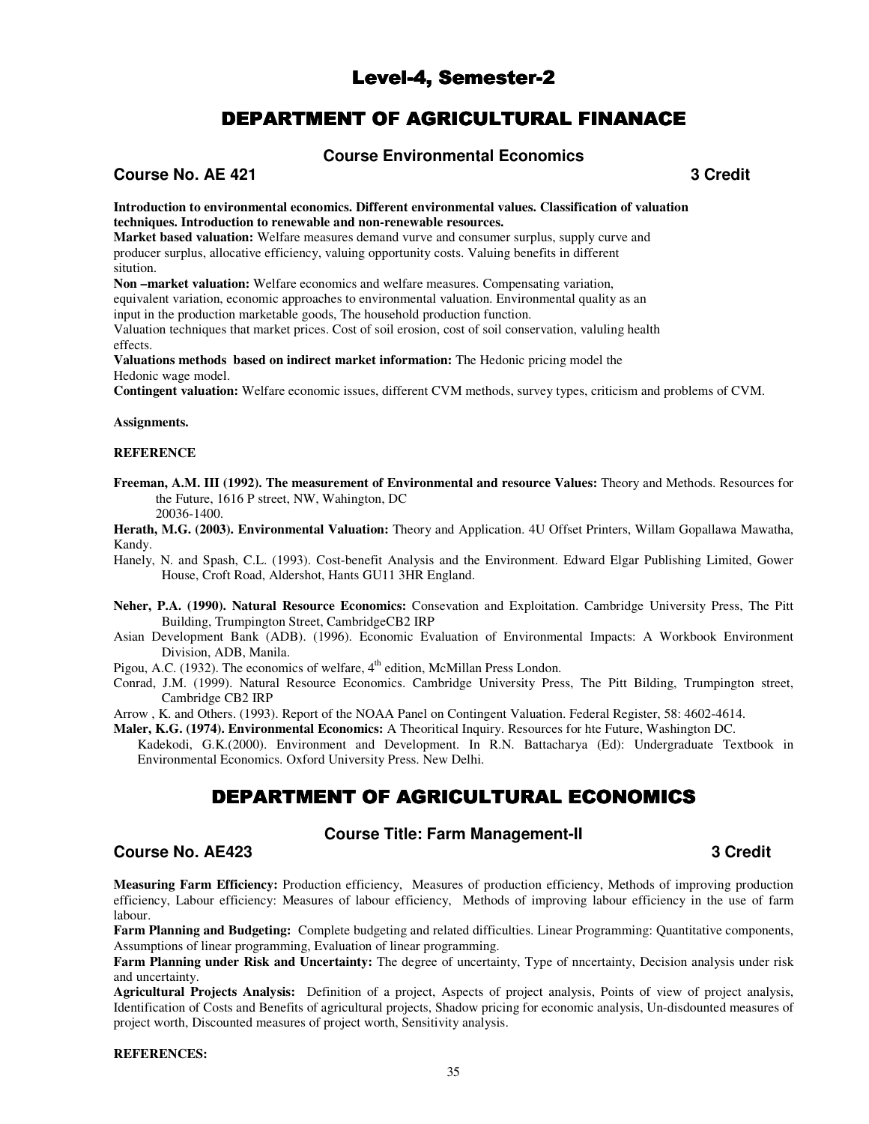# Level-4, Semester-2

# DEPARTMENT OF AGRICULTURAL FINANACE

## **Course Environmental Economics**

## **Course No. AE 421** 3 Credit **3**

**Introduction to environmental economics. Different environmental values. Classification of valuation techniques. Introduction to renewable and non-renewable resources.** 

**Market based valuation:** Welfare measures demand vurve and consumer surplus, supply curve and producer surplus, allocative efficiency, valuing opportunity costs. Valuing benefits in different sitution.

**Non –market valuation:** Welfare economics and welfare measures. Compensating variation,

equivalent variation, economic approaches to environmental valuation. Environmental quality as an

input in the production marketable goods, The household production function.

Valuation techniques that market prices. Cost of soil erosion, cost of soil conservation, valuling health effects.

**Valuations methods based on indirect market information:** The Hedonic pricing model the Hedonic wage model.

**Contingent valuation:** Welfare economic issues, different CVM methods, survey types, criticism and problems of CVM.

#### **Assignments.**

#### **REFERENCE**

**Freeman, A.M. III (1992). The measurement of Environmental and resource Values:** Theory and Methods. Resources for the Future, 1616 P street, NW, Wahington, DC 20036-1400.

**Herath, M.G. (2003). Environmental Valuation:** Theory and Application. 4U Offset Printers, Willam Gopallawa Mawatha, Kandy.

Hanely, N. and Spash, C.L. (1993). Cost-benefit Analysis and the Environment. Edward Elgar Publishing Limited, Gower House, Croft Road, Aldershot, Hants GU11 3HR England.

- **Neher, P.A. (1990). Natural Resource Economics:** Consevation and Exploitation. Cambridge University Press, The Pitt Building, Trumpington Street, CambridgeCB2 IRP
- Asian Development Bank (ADB). (1996). Economic Evaluation of Environmental Impacts: A Workbook Environment Division, ADB, Manila.
- Pigou, A.C. (1932). The economics of welfare,  $4<sup>th</sup>$  edition, McMillan Press London.
- Conrad, J.M. (1999). Natural Resource Economics. Cambridge University Press, The Pitt Bilding, Trumpington street, Cambridge CB2 IRP

Arrow , K. and Others. (1993). Report of the NOAA Panel on Contingent Valuation. Federal Register, 58: 4602-4614.

**Maler, K.G. (1974). Environmental Economics:** A Theoritical Inquiry. Resources for hte Future, Washington DC.

Kadekodi, G.K.(2000). Environment and Development. In R.N. Battacharya (Ed): Undergraduate Textbook in Environmental Economics. Oxford University Press. New Delhi.

# DEPARTMENT OF AGRICULTURAL ECONOMICS

#### **Course Title: Farm Management-II**

## **Course No. AE423 3 Credit**

**Measuring Farm Efficiency:** Production efficiency, Measures of production efficiency, Methods of improving production efficiency, Labour efficiency: Measures of labour efficiency, Methods of improving labour efficiency in the use of farm labour.

**Farm Planning and Budgeting:** Complete budgeting and related difficulties. Linear Programming: Quantitative components, Assumptions of linear programming, Evaluation of linear programming.

Farm Planning under Risk and Uncertainty: The degree of uncertainty, Type of nncertainty, Decision analysis under risk and uncertainty.

**Agricultural Projects Analysis:** Definition of a project, Aspects of project analysis, Points of view of project analysis, Identification of Costs and Benefits of agricultural projects, Shadow pricing for economic analysis, Un-disdounted measures of project worth, Discounted measures of project worth, Sensitivity analysis.

#### **REFERENCES:**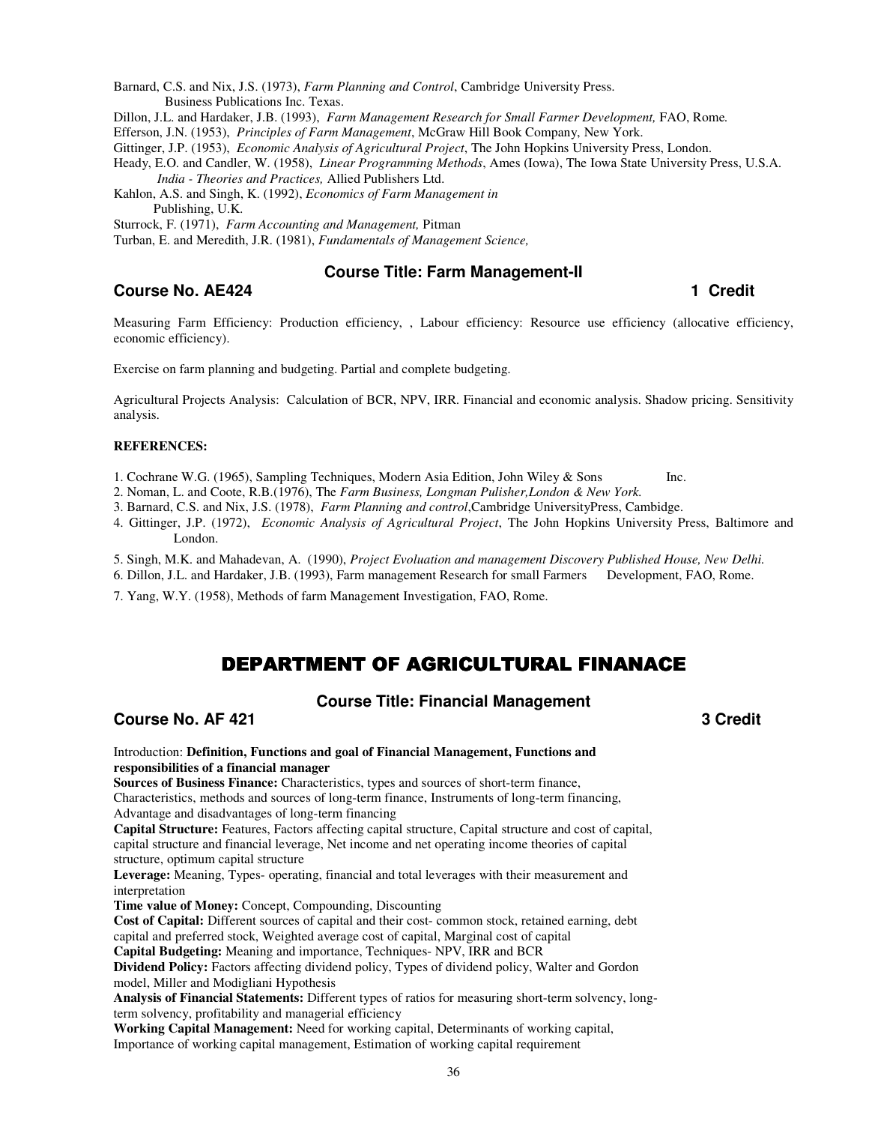Barnard, C.S. and Nix, J.S. (1973), *Farm Planning and Control*, Cambridge University Press. **Business Publications Inc. Texas.** 

Dillon, J.L. and Hardaker, J.B. (1993), *Farm Management Research for Small Farmer Development*, FAO, Rome.

Efferson, J.N. (1953), *Principles of Farm Management*, McGraw Hill Book Company, New York.

Gittinger, J.P. (1953), *Economic Analysis of Agricultural Project*, The John Hopkins University Press, London.

Heady, E.O. and Candler, W. (1958), *Linear Programming Methods*, Ames (Iowa), The Iowa State University Press, U.S.A.  *India - Theories and Practices,* Allied Publishers Ltd.

Kahlon, A.S. and Singh, K. (1992), *Economics of Farm Management in*  Publishing, U.K.

Sturrock, F. (1971), *Farm Accounting and Management,* Pitman

Turban, E. and Meredith, J.R. (1981), *Fundamentals of Management Science,* 

# **Course No. AE424 1 Credit 1** Credit **1** Credit **1** Credit **1** Credit **1** Credit **1** Credit **1** Credit **1** Credit **1** Credit **1** Credit **1** Credit **1** Credit **1** Credit **1** Credit **1** Credit **1** Credit **1** Credit **1**

#### **Course Title: Farm Management-II**

Measuring Farm Efficiency: Production efficiency, , Labour efficiency: Resource use efficiency (allocative efficiency, economic efficiency).

Exercise on farm planning and budgeting. Partial and complete budgeting.

Agricultural Projects Analysis: Calculation of BCR, NPV, IRR. Financial and economic analysis. Shadow pricing. Sensitivity analysis.

#### **REFERENCES:**

1. Cochrane W.G. (1965), Sampling Techniques, Modern Asia Edition, John Wiley & Sons Inc.

2. Noman, L. and Coote, R.B.(1976), The *Farm Business, Longman Pulisher,London & New York.*

3. Barnard, C.S. and Nix, J.S. (1978), *Farm Planning and control*,Cambridge UniversityPress, Cambidge.

4. Gittinger, J.P. (1972), *Economic Analysis of Agricultural Project*, The John Hopkins University Press, Baltimore and London.

5. Singh, M.K. and Mahadevan, A. (1990), *Project Evoluation and management Discovery Published House, New Delhi.* 

6. Dillon, J.L. and Hardaker, J.B. (1993), Farm management Research for small Farmers Development, FAO, Rome.

7. Yang, W.Y. (1958), Methods of farm Management Investigation, FAO, Rome.

# DEPARTMENT OF AGRICULTURAL FINANACE

## **Course Title: Financial Management**

**Course No. AF 421** 3 Credit

Introduction: **Definition, Functions and goal of Financial Management, Functions and responsibilities of a financial manager** 

**Sources of Business Finance:** Characteristics, types and sources of short-term finance, Characteristics, methods and sources of long-term finance, Instruments of long-term financing, Advantage and disadvantages of long-term financing

**Capital Structure:** Features, Factors affecting capital structure, Capital structure and cost of capital, capital structure and financial leverage, Net income and net operating income theories of capital structure, optimum capital structure

**Leverage:** Meaning, Types- operating, financial and total leverages with their measurement and interpretation

**Time value of Money:** Concept, Compounding, Discounting

**Cost of Capital:** Different sources of capital and their cost- common stock, retained earning, debt capital and preferred stock, Weighted average cost of capital, Marginal cost of capital **Capital Budgeting:** Meaning and importance, Techniques- NPV, IRR and BCR

**Dividend Policy:** Factors affecting dividend policy, Types of dividend policy, Walter and Gordon model, Miller and Modigliani Hypothesis

**Analysis of Financial Statements:** Different types of ratios for measuring short-term solvency, longterm solvency, profitability and managerial efficiency

**Working Capital Management:** Need for working capital, Determinants of working capital, Importance of working capital management, Estimation of working capital requirement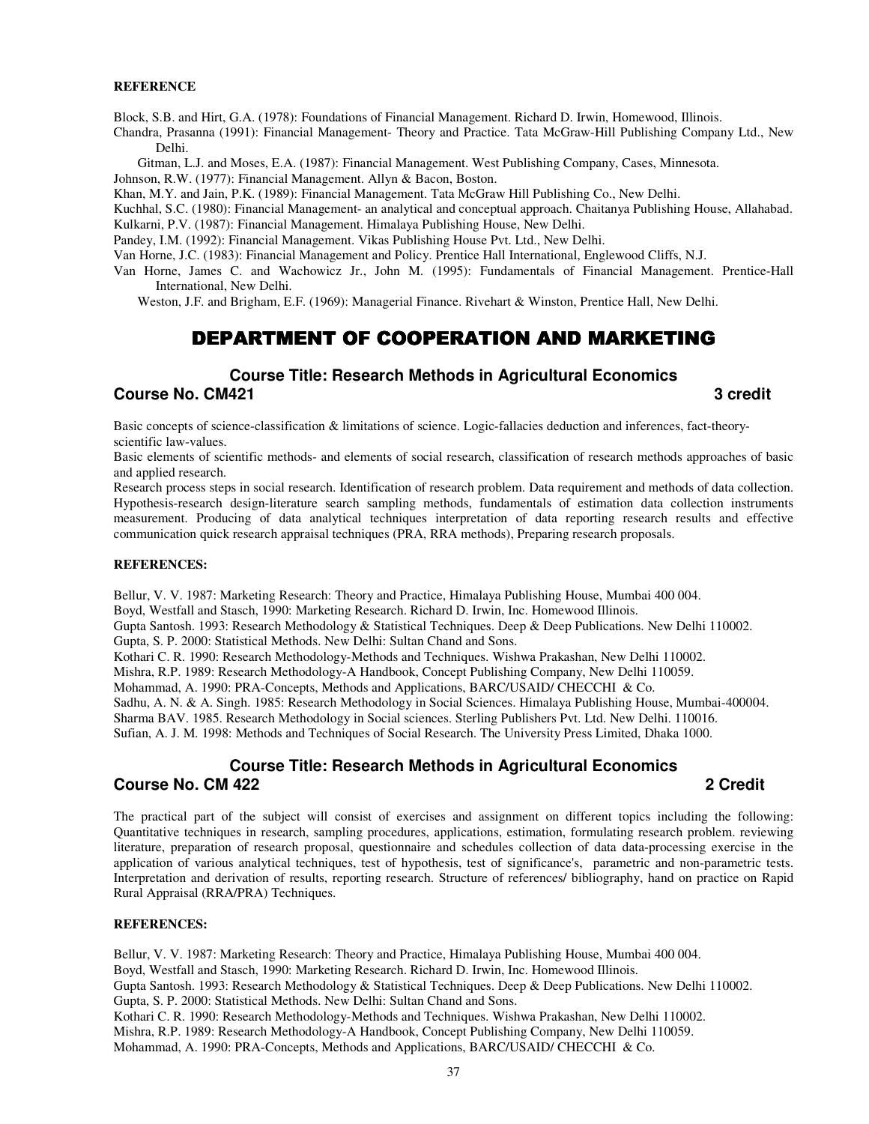#### **REFERENCE**

Block, S.B. and Hirt, G.A. (1978): Foundations of Financial Management. Richard D. Irwin, Homewood, Illinois.

Chandra, Prasanna (1991): Financial Management- Theory and Practice. Tata McGraw-Hill Publishing Company Ltd., New Delhi.

Gitman, L.J. and Moses, E.A. (1987): Financial Management. West Publishing Company, Cases, Minnesota.

Johnson, R.W. (1977): Financial Management. Allyn & Bacon, Boston.

Khan, M.Y. and Jain, P.K. (1989): Financial Management. Tata McGraw Hill Publishing Co., New Delhi.

Kuchhal, S.C. (1980): Financial Management- an analytical and conceptual approach. Chaitanya Publishing House, Allahabad.

Kulkarni, P.V. (1987): Financial Management. Himalaya Publishing House, New Delhi.

Pandey, I.M. (1992): Financial Management. Vikas Publishing House Pvt. Ltd., New Delhi.

Van Horne, J.C. (1983): Financial Management and Policy. Prentice Hall International, Englewood Cliffs, N.J.

Van Horne, James C. and Wachowicz Jr., John M. (1995): Fundamentals of Financial Management. Prentice-Hall International, New Delhi.

Weston, J.F. and Brigham, E.F. (1969): Managerial Finance. Rivehart & Winston, Prentice Hall, New Delhi.

# DEPARTMENT OF COOPERATION AND MARKETING

#### **Course Title: Research Methods in Agricultural Economics Course No. CM421** 3 credit **3**

Basic concepts of science-classification & limitations of science. Logic-fallacies deduction and inferences, fact-theoryscientific law-values.

Basic elements of scientific methods- and elements of social research, classification of research methods approaches of basic and applied research.

Research process steps in social research. Identification of research problem. Data requirement and methods of data collection. Hypothesis-research design-literature search sampling methods, fundamentals of estimation data collection instruments measurement. Producing of data analytical techniques interpretation of data reporting research results and effective communication quick research appraisal techniques (PRA, RRA methods), Preparing research proposals.

#### **REFERENCES:**

Bellur, V. V. 1987: Marketing Research: Theory and Practice, Himalaya Publishing House, Mumbai 400 004. Boyd, Westfall and Stasch, 1990: Marketing Research. Richard D. Irwin, Inc. Homewood Illinois.

Gupta Santosh. 1993: Research Methodology & Statistical Techniques. Deep & Deep Publications. New Delhi 110002.

Gupta, S. P. 2000: Statistical Methods. New Delhi: Sultan Chand and Sons.

Kothari C. R. 1990: Research Methodology-Methods and Techniques. Wishwa Prakashan, New Delhi 110002.

Mishra, R.P. 1989: Research Methodology-A Handbook, Concept Publishing Company, New Delhi 110059.

Mohammad, A. 1990: PRA-Concepts, Methods and Applications, BARC/USAID/ CHECCHI & Co.

Sadhu, A. N. & A. Singh. 1985: Research Methodology in Social Sciences. Himalaya Publishing House, Mumbai-400004.

Sharma BAV. 1985. Research Methodology in Social sciences. Sterling Publishers Pvt. Ltd. New Delhi. 110016.

Sufian, A. J. M. 1998: Methods and Techniques of Social Research. The University Press Limited, Dhaka 1000.

# **Course Title: Research Methods in Agricultural Economics Course No. CM 422 2 Credit**

The practical part of the subject will consist of exercises and assignment on different topics including the following: Quantitative techniques in research, sampling procedures, applications, estimation, formulating research problem. reviewing literature, preparation of research proposal, questionnaire and schedules collection of data data-processing exercise in the application of various analytical techniques, test of hypothesis, test of significance's, parametric and non-parametric tests. Interpretation and derivation of results, reporting research. Structure of references/ bibliography, hand on practice on Rapid Rural Appraisal (RRA/PRA) Techniques.

#### **REFERENCES:**

Bellur, V. V. 1987: Marketing Research: Theory and Practice, Himalaya Publishing House, Mumbai 400 004. Boyd, Westfall and Stasch, 1990: Marketing Research. Richard D. Irwin, Inc. Homewood Illinois. Gupta Santosh. 1993: Research Methodology & Statistical Techniques. Deep & Deep Publications. New Delhi 110002. Gupta, S. P. 2000: Statistical Methods. New Delhi: Sultan Chand and Sons. Kothari C. R. 1990: Research Methodology-Methods and Techniques. Wishwa Prakashan, New Delhi 110002. Mishra, R.P. 1989: Research Methodology-A Handbook, Concept Publishing Company, New Delhi 110059.

Mohammad, A. 1990: PRA-Concepts, Methods and Applications, BARC/USAID/ CHECCHI & Co.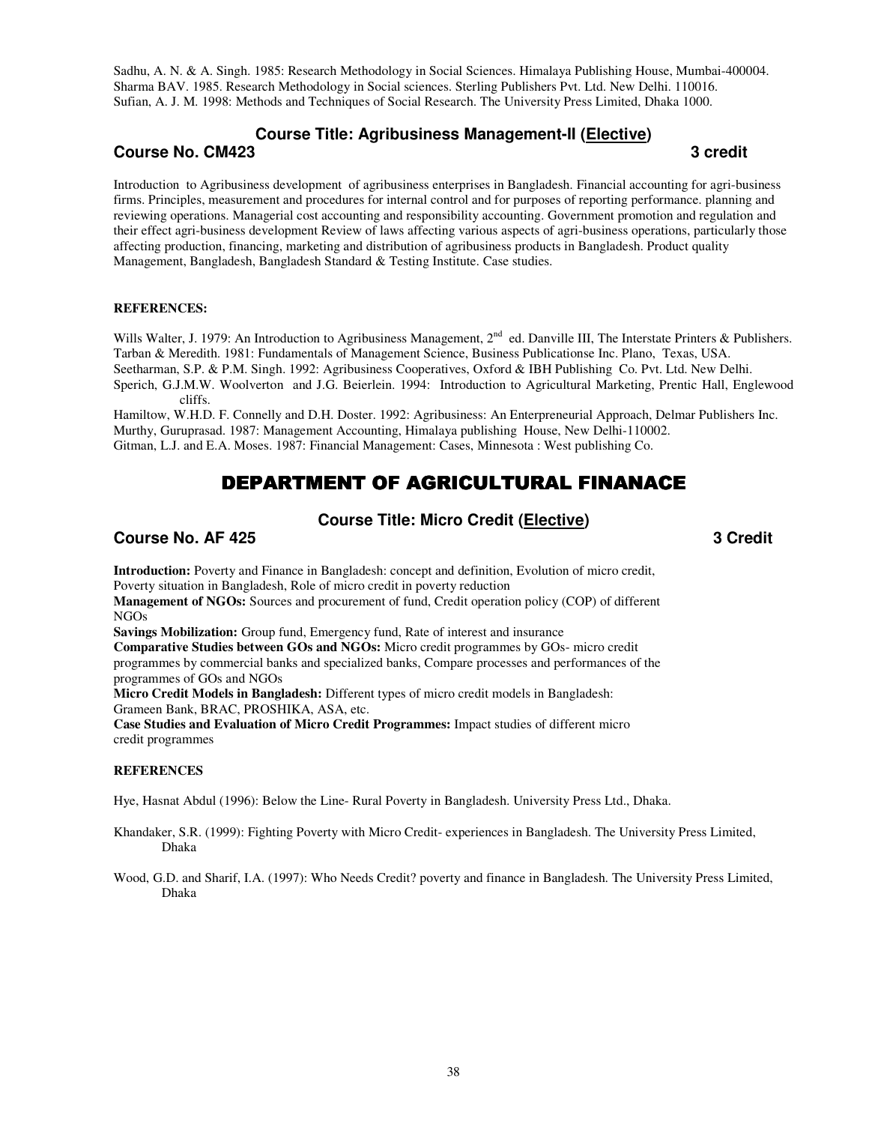Sadhu, A. N. & A. Singh. 1985: Research Methodology in Social Sciences. Himalaya Publishing House, Mumbai-400004. Sharma BAV. 1985. Research Methodology in Social sciences. Sterling Publishers Pvt. Ltd. New Delhi. 110016. Sufian, A. J. M. 1998: Methods and Techniques of Social Research. The University Press Limited, Dhaka 1000.

# **Course Title: Agribusiness Management-II (Elective)**

**Course No. CM423** 3 credit **3** credit **1** 

Introduction to Agribusiness development of agribusiness enterprises in Bangladesh. Financial accounting for agri-business firms. Principles, measurement and procedures for internal control and for purposes of reporting performance. planning and reviewing operations. Managerial cost accounting and responsibility accounting. Government promotion and regulation and their effect agri-business development Review of laws affecting various aspects of agri-business operations, particularly those affecting production, financing, marketing and distribution of agribusiness products in Bangladesh. Product quality Management, Bangladesh, Bangladesh Standard & Testing Institute. Case studies.

#### **REFERENCES:**

Wills Walter, J. 1979: An Introduction to Agribusiness Management, 2<sup>nd</sup> ed. Danville III, The Interstate Printers & Publishers. Tarban & Meredith. 1981: Fundamentals of Management Science, Business Publicationse Inc. Plano, Texas, USA. Seetharman, S.P. & P.M. Singh. 1992: Agribusiness Cooperatives, Oxford & IBH Publishing Co. Pvt. Ltd. New Delhi. Sperich, G.J.M.W. Woolverton and J.G. Beierlein. 1994: Introduction to Agricultural Marketing, Prentic Hall, Englewood cliffs.

Hamiltow, W.H.D. F. Connelly and D.H. Doster. 1992: Agribusiness: An Enterpreneurial Approach, Delmar Publishers Inc. Murthy, Guruprasad. 1987: Management Accounting, Himalaya publishing House, New Delhi-110002. Gitman, L.J. and E.A. Moses. 1987: Financial Management: Cases, Minnesota : West publishing Co.

# DEPARTMENT OF AGRICULTURAL FINANACE

# **Course Title: Micro Credit (Elective)**

## **Course No. AF 425 3 Credit 2008 3 Credit 2008 3 Credit 2008 3 Credit 2008 3 Credit 2008 3 Credit 2008 3 Credit**

**Introduction:** Poverty and Finance in Bangladesh: concept and definition, Evolution of micro credit, Poverty situation in Bangladesh, Role of micro credit in poverty reduction **Management of NGOs:** Sources and procurement of fund, Credit operation policy (COP) of different

NGOs

**Savings Mobilization:** Group fund, Emergency fund, Rate of interest and insurance

**Comparative Studies between GOs and NGOs:** Micro credit programmes by GOs- micro credit programmes by commercial banks and specialized banks, Compare processes and performances of the programmes of GOs and NGOs

**Micro Credit Models in Bangladesh:** Different types of micro credit models in Bangladesh: Grameen Bank, BRAC, PROSHIKA, ASA, etc.

**Case Studies and Evaluation of Micro Credit Programmes:** Impact studies of different micro credit programmes

#### **REFERENCES**

Hye, Hasnat Abdul (1996): Below the Line- Rural Poverty in Bangladesh. University Press Ltd., Dhaka.

Khandaker, S.R. (1999): Fighting Poverty with Micro Credit- experiences in Bangladesh. The University Press Limited, Dhaka

Wood, G.D. and Sharif, I.A. (1997): Who Needs Credit? poverty and finance in Bangladesh. The University Press Limited, Dhaka